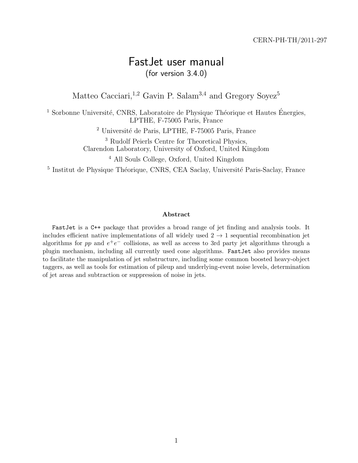# FastJet user manual (for version 3.4.0)

Matteo Cacciari,<sup>1,2</sup> Gavin P. Salam<sup>3,4</sup> and Gregory Soyez<sup>5</sup>

 $1$  Sorbonne Université, CNRS, Laboratoire de Physique Théorique et Hautes Énergies, LPTHE, F-75005 Paris, France

<sup>2</sup> Université de Paris, LPTHE, F-75005 Paris, France

<sup>3</sup> Rudolf Peierls Centre for Theoretical Physics, Clarendon Laboratory, University of Oxford, United Kingdom

<sup>4</sup> All Souls College, Oxford, United Kingdom

<sup>5</sup> Institut de Physique Théorique, CNRS, CEA Saclay, Université Paris-Saclay, France

#### Abstract

FastJet is a C++ package that provides a broad range of jet finding and analysis tools. It includes efficient native implementations of all widely used  $2 \rightarrow 1$  sequential recombination jet algorithms for pp and  $e^+e^-$  collisions, as well as access to 3rd party jet algorithms through a plugin mechanism, including all currently used cone algorithms. FastJet also provides means to facilitate the manipulation of jet substructure, including some common boosted heavy-object taggers, as well as tools for estimation of pileup and underlying-event noise levels, determination of jet areas and subtraction or suppression of noise in jets.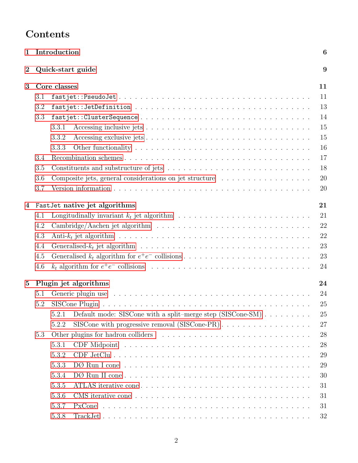# Contents

| $\mathbf 1$    |              | Introduction                                                                                             | 6  |  |  |
|----------------|--------------|----------------------------------------------------------------------------------------------------------|----|--|--|
| $\bf{2}$       |              | Quick-start guide                                                                                        | 9  |  |  |
| 3              | Core classes |                                                                                                          |    |  |  |
|                | 3.1          |                                                                                                          | 11 |  |  |
|                | 3.2          |                                                                                                          | 13 |  |  |
|                | 3.3          |                                                                                                          | 14 |  |  |
|                |              | 3.3.1                                                                                                    | 15 |  |  |
|                |              | 3.3.2                                                                                                    | 15 |  |  |
|                |              | 3.3.3                                                                                                    | 16 |  |  |
|                | 3.4          |                                                                                                          | 17 |  |  |
|                | 3.5          |                                                                                                          | 18 |  |  |
|                | 3.6          |                                                                                                          | 20 |  |  |
|                | 3.7          |                                                                                                          | 20 |  |  |
| 4              |              | Fast Jet native jet algorithms                                                                           | 21 |  |  |
|                | 4.1          |                                                                                                          | 21 |  |  |
| 4.2            |              | $Cambridge/Aachen jet algorithm \dots \dots \dots \dots \dots \dots \dots \dots \dots \dots \dots \dots$ | 22 |  |  |
|                | 4.3          |                                                                                                          | 22 |  |  |
|                | 4.4          |                                                                                                          | 23 |  |  |
|                | 4.5          |                                                                                                          | 23 |  |  |
|                | 4.6          |                                                                                                          | 24 |  |  |
| $\overline{5}$ |              | Plugin jet algorithms                                                                                    | 24 |  |  |
|                | 5.1          |                                                                                                          | 24 |  |  |
| 5.2            |              |                                                                                                          | 25 |  |  |
|                |              | Default mode: SISCone with a split-merge step (SISCone-SM) $\ldots \ldots \ldots$<br>5.2.1               | 25 |  |  |
|                |              | 5.2.2                                                                                                    | 27 |  |  |
|                | 5.3          |                                                                                                          | 28 |  |  |
|                |              | 5.3.1                                                                                                    | 28 |  |  |
|                |              | 5.3.2                                                                                                    | 29 |  |  |
|                |              | 5.3.3                                                                                                    | 29 |  |  |
|                |              | 5.3.4                                                                                                    | 30 |  |  |
|                |              | 5.3.5                                                                                                    | 31 |  |  |
|                |              | 5.3.6                                                                                                    | 31 |  |  |
|                |              | 5.3.7                                                                                                    | 31 |  |  |
|                |              | 5.3.8                                                                                                    | 32 |  |  |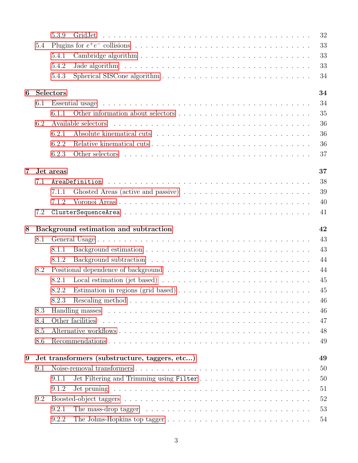|   |     | 5.3.9                                                                                                                                                                                                                          | 32 |  |  |  |  |  |
|---|-----|--------------------------------------------------------------------------------------------------------------------------------------------------------------------------------------------------------------------------------|----|--|--|--|--|--|
|   | 5.4 |                                                                                                                                                                                                                                | 33 |  |  |  |  |  |
|   |     | 5.4.1                                                                                                                                                                                                                          | 33 |  |  |  |  |  |
|   |     | 5.4.2                                                                                                                                                                                                                          | 33 |  |  |  |  |  |
|   |     | 5.4.3                                                                                                                                                                                                                          | 34 |  |  |  |  |  |
| 6 |     | <b>Selectors</b>                                                                                                                                                                                                               | 34 |  |  |  |  |  |
|   | 6.1 | Essential usage recovered recovered as a series of the series of the series of the series of the series of the series of the series of the series of the series of the series of the series of the series of the series of the | 34 |  |  |  |  |  |
|   |     | 6.1.1                                                                                                                                                                                                                          | 35 |  |  |  |  |  |
|   | 6.2 |                                                                                                                                                                                                                                | 36 |  |  |  |  |  |
|   |     | 6.2.1                                                                                                                                                                                                                          | 36 |  |  |  |  |  |
|   |     | 6.2.2                                                                                                                                                                                                                          | 36 |  |  |  |  |  |
|   |     | 6.2.3                                                                                                                                                                                                                          | 37 |  |  |  |  |  |
| 7 |     | Jet areas                                                                                                                                                                                                                      | 37 |  |  |  |  |  |
|   | 7.1 |                                                                                                                                                                                                                                | 38 |  |  |  |  |  |
|   |     | 7.1.1                                                                                                                                                                                                                          | 39 |  |  |  |  |  |
|   |     | 7.1.2                                                                                                                                                                                                                          | 40 |  |  |  |  |  |
|   | 7.2 |                                                                                                                                                                                                                                | 41 |  |  |  |  |  |
| 8 |     | Background estimation and subtraction                                                                                                                                                                                          | 42 |  |  |  |  |  |
|   | 8.1 |                                                                                                                                                                                                                                | 43 |  |  |  |  |  |
|   |     | 8.1.1                                                                                                                                                                                                                          | 43 |  |  |  |  |  |
|   |     | 8.1.2                                                                                                                                                                                                                          | 44 |  |  |  |  |  |
|   | 8.2 |                                                                                                                                                                                                                                |    |  |  |  |  |  |
|   |     | Local estimation (jet based) $\ldots \ldots \ldots \ldots \ldots \ldots \ldots \ldots \ldots \ldots$<br>8.2.1                                                                                                                  | 45 |  |  |  |  |  |
|   |     | 8.2.2                                                                                                                                                                                                                          | 45 |  |  |  |  |  |
|   |     | 8.2.3                                                                                                                                                                                                                          | 46 |  |  |  |  |  |
|   | 8.3 |                                                                                                                                                                                                                                | 46 |  |  |  |  |  |
|   | 8.4 |                                                                                                                                                                                                                                | 47 |  |  |  |  |  |
|   | 8.5 |                                                                                                                                                                                                                                | 48 |  |  |  |  |  |
|   | 8.6 |                                                                                                                                                                                                                                | 49 |  |  |  |  |  |
| 9 |     | Jet transformers (substructure, taggers, etc)                                                                                                                                                                                  | 49 |  |  |  |  |  |
|   | 9.1 |                                                                                                                                                                                                                                | 50 |  |  |  |  |  |
|   |     | 9.1.1                                                                                                                                                                                                                          | 50 |  |  |  |  |  |
|   |     | 9.1.2                                                                                                                                                                                                                          | 51 |  |  |  |  |  |
|   | 9.2 |                                                                                                                                                                                                                                | 52 |  |  |  |  |  |
|   |     | The mass-drop tagger $\ldots \ldots \ldots \ldots \ldots \ldots \ldots \ldots \ldots \ldots$<br>9.2.1                                                                                                                          | 53 |  |  |  |  |  |
|   |     | 9.2.2                                                                                                                                                                                                                          | 54 |  |  |  |  |  |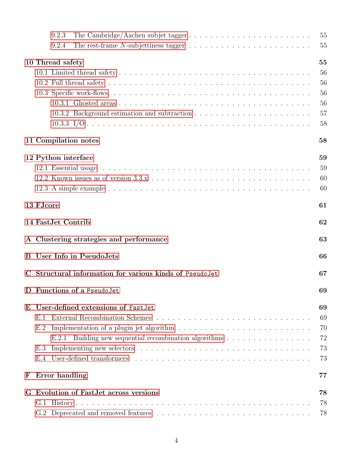|             | 9.2.3                                                     | 55 |
|-------------|-----------------------------------------------------------|----|
|             | 9.2.4                                                     | 55 |
|             | 10 Thread safety                                          | 55 |
|             |                                                           | 56 |
|             |                                                           | 56 |
|             |                                                           | 56 |
|             |                                                           | 56 |
|             |                                                           | 57 |
|             |                                                           | 58 |
|             | 11 Compilation notes                                      | 58 |
|             | 12 Python interface                                       | 59 |
|             |                                                           | 59 |
|             |                                                           | 60 |
|             |                                                           | 60 |
|             | 13 FJcore                                                 | 61 |
|             | 14 FastJet Contrib                                        | 62 |
|             | A Clustering strategies and performance                   | 63 |
|             | <b>B</b> User Info in PseudoJets                          | 66 |
| $\mathbf C$ | Structural information for various kinds of PseudoJet     | 67 |
|             | D Functions of a PseudoJet                                | 69 |
| E           | User-defined extensions of FastJet                        | 69 |
|             | E.1                                                       | 69 |
|             | E.2                                                       | 70 |
|             | Building new sequential recombination algorithms<br>E.2.1 | 72 |
|             | E.3                                                       | 73 |
|             | E.4                                                       | 73 |
| $\mathbf F$ | Error handling                                            | 77 |
|             | G Evolution of FastJet across versions                    | 78 |
|             | G.1                                                       | 78 |
|             | G.2                                                       | 78 |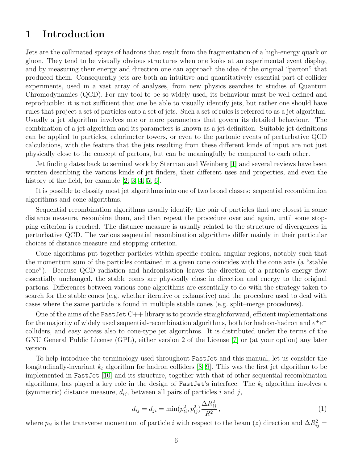# <span id="page-5-0"></span>1 Introduction

Jets are the collimated sprays of hadrons that result from the fragmentation of a high-energy quark or gluon. They tend to be visually obvious structures when one looks at an experimental event display, and by measuring their energy and direction one can approach the idea of the original "parton" that produced them. Consequently jets are both an intuitive and quantitatively essential part of collider experiments, used in a vast array of analyses, from new physics searches to studies of Quantum Chromodynamics (QCD). For any tool to be so widely used, its behaviour must be well defined and reproducible: it is not sufficient that one be able to visually identify jets, but rather one should have rules that project a set of particles onto a set of jets. Such a set of rules is referred to as a jet algorithm. Usually a jet algorithm involves one or more parameters that govern its detailed behaviour. The combination of a jet algorithm and its parameters is known as a jet definition. Suitable jet definitions can be applied to particles, calorimeter towers, or even to the partonic events of perturbative QCD calculations, with the feature that the jets resulting from these different kinds of input are not just physically close to the concept of partons, but can be meaningfully be compared to each other.

Jet finding dates back to seminal work by Sterman and Weinberg [\[1\]](#page-80-0) and several reviews have been written describing the various kinds of jet finders, their different uses and properties, and even the history of the field, for example [\[2,](#page-80-1) [3,](#page-80-2) [4,](#page-80-3) [5,](#page-80-4) [6\]](#page-80-5).

It is possible to classify most jet algorithms into one of two broad classes: sequential recombination algorithms and cone algorithms.

Sequential recombination algorithms usually identify the pair of particles that are closest in some distance measure, recombine them, and then repeat the procedure over and again, until some stopping criterion is reached. The distance measure is usually related to the structure of divergences in perturbative QCD. The various sequential recombination algorithms differ mainly in their particular choices of distance measure and stopping criterion.

Cone algorithms put together particles within specific conical angular regions, notably such that the momentum sum of the particles contained in a given cone coincides with the cone axis (a "stable cone"). Because QCD radiation and hadronisation leaves the direction of a parton's energy flow essentially unchanged, the stable cones are physically close in direction and energy to the original partons. Differences between various cone algorithms are essentially to do with the strategy taken to search for the stable cones (e.g. whether iterative or exhaustive) and the procedure used to deal with cases where the same particle is found in multiple stable cones (e.g. split–merge procedures).

One of the aims of the Fast Jet  $C_{++}$  library is to provide straightforward, efficient implementations for the majority of widely used sequential-recombination algorithms, both for hadron-hadron and  $e^+e^$ colliders, and easy access also to cone-type jet algorithms. It is distributed under the terms of the GNU General Public License (GPL), either version 2 of the License [\[7\]](#page-80-6) or (at your option) any later version.

To help introduce the terminology used throughout FastJet and this manual, let us consider the longitudinally-invariant  $k_t$  algorithm for hadron colliders [\[8,](#page-80-7) [9\]](#page-80-8). This was the first jet algorithm to be implemented in FastJet [\[10\]](#page-80-9) and its structure, together with that of other sequential recombination algorithms, has played a key role in the design of FastJet's interface. The  $k_t$  algorithm involves a (symmetric) distance measure,  $d_{ij}$ , between all pairs of particles i and j,

<span id="page-5-1"></span>
$$
d_{ij} = d_{ji} = \min(p_{ti}^2, p_{tj}^2) \frac{\Delta R_{ij}^2}{R^2},
$$
\n(1)

where  $p_{ti}$  is the transverse momentum of particle i with respect to the beam (z) direction and  $\Delta R_{ij}^2 =$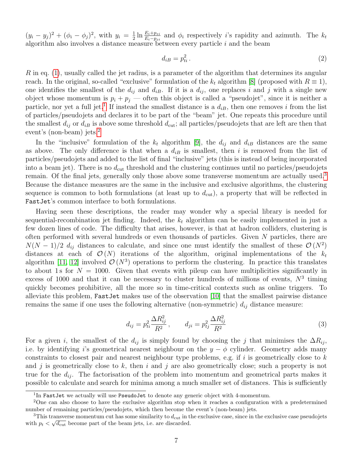$(y_i - y_j)^2 + (\phi_i - \phi_j)^2$ , with  $y_i = \frac{1}{2}$  $\frac{1}{2} \ln \frac{E_i + p_{zi}}{E_i - p_{zi}}$  and  $\phi_i$  respectively *i*'s rapidity and azimuth. The  $k_t$ algorithm also involves a distance measure between every particle i and the beam

<span id="page-6-3"></span>
$$
d_{iB} = p_{ti}^2. \tag{2}
$$

 $R$  in eq. [\(1\)](#page-5-1), usually called the jet radius, is a parameter of the algorithm that determines its angular reach. In the original, so-called "exclusive" formulation of the  $k_t$  algorithm [\[8\]](#page-80-7) (proposed with  $R \equiv 1$ ), one identifies the smallest of the  $d_{ij}$  and  $d_{iB}$ . If it is a  $d_{ij}$ , one replaces i and j with a single new object whose momentum is  $p_i + p_j$  — often this object is called a "pseudojet", since it is neither a particle, nor yet a full jet.<sup>[1](#page-6-0)</sup> If instead the smallest distance is a  $d_{iB}$ , then one removes i from the list of particles/pseudojets and declares it to be part of the "beam" jet. One repeats this procedure until the smallest  $d_{ij}$  or  $d_{iB}$  is above some threshold  $d_{\text{cut}}$ ; all particles/pseudojets that are left are then that event's (non-beam) jets.<sup>[2](#page-6-1)</sup>

In the "inclusive" formulation of the  $k_t$  algorithm [\[9\]](#page-80-8), the  $d_{ij}$  and  $d_{i}$  distances are the same as above. The only difference is that when a  $d_{iB}$  is smallest, then i is removed from the list of particles/pseudojets and added to the list of final "inclusive" jets (this is instead of being incorporated into a beam jet). There is no  $d_{\text{cut}}$  threshold and the clustering continues until no particles/pseudojets remain. Of the final jets, generally only those above some transverse momentum are actually used.<sup>[3](#page-6-2)</sup> Because the distance measures are the same in the inclusive and exclusive algorithms, the clustering sequence is common to both formulations (at least up to  $d_{\text{cut}}$ ), a property that will be reflected in FastJet's common interface to both formulations.

Having seen these descriptions, the reader may wonder why a special library is needed for sequential-recombination jet finding. Indeed, the  $k_t$  algorithm can be easily implemented in just a few dozen lines of code. The difficulty that arises, however, is that at hadron colliders, clustering is often performed with several hundreds or even thousands of particles. Given N particles, there are  $N(N-1)/2$   $d_{ij}$  distances to calculate, and since one must identify the smallest of these  $\mathcal{O}(N^2)$ distances at each of  $\mathcal{O}(N)$  iterations of the algorithm, original implementations of the  $k_t$ algorithm [\[11,](#page-80-10) [12\]](#page-80-11) involved  $\mathcal{O}(N^3)$  operations to perform the clustering. In practice this translates to about 1s for  $N = 1000$ . Given that events with pileup can have multiplicities significantly in excess of 1000 and that it can be necessary to cluster hundreds of millions of events,  $N^3$  timing quickly becomes prohibitive, all the more so in time-critical contexts such as online triggers. To alleviate this problem, FastJet makes use of the observation [\[10\]](#page-80-9) that the smallest pairwise distance remains the same if one uses the following alternative (non-symmetric)  $d_{ij}$  distance measure:

$$
d_{ij} = p_{ti}^2 \frac{\Delta R_{ij}^2}{R^2}, \qquad d_{ji} = p_{tj}^2 \frac{\Delta R_{ij}^2}{R^2}
$$
 (3)

For a given i, the smallest of the  $d_{ij}$  is simply found by choosing the j that minimises the  $\Delta R_{ij}$ , i.e. by identifying i's geometrical nearest neighbour on the  $y - \phi$  cylinder. Geometry adds many constraints to closest pair and nearest neighbour type problems, e.g. if i is geometrically close to  $k$ and j is geometrically close to  $k$ , then i and j are also geometrically close; such a property is not true for the  $d_{ij}$ . The factorisation of the problem into momentum and geometrical parts makes it possible to calculate and search for minima among a much smaller set of distances. This is sufficiently

<span id="page-6-1"></span><span id="page-6-0"></span> ${}^{1}\text{In}$  FastJet we actually will use PseudoJet to denote any generic object with 4-momentum.

<sup>&</sup>lt;sup>2</sup>One can also choose to have the exclusive algorithm stop when it reaches a configuration with a predetermined number of remaining particles/pseudojets, which then become the event's (non-beam) jets.

<span id="page-6-2"></span><sup>&</sup>lt;sup>3</sup>This transverse momentum cut has some similarity to  $d_{\text{cut}}$  in the exclusive case, since in the exclusive case pseudojets with  $p_t < \sqrt{d_{\text{cut}}}$  become part of the beam jets, i.e. are discarded.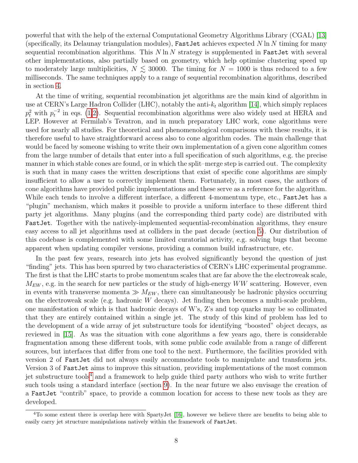powerful that with the help of the external Computational Geometry Algorithms Library (CGAL) [\[13\]](#page-80-12) (specifically, its Delaunay triangulation modules), Fast Jet achieves expected  $N \ln N$  timing for many sequential recombination algorithms. This  $N \ln N$  strategy is supplemented in FastJet with several other implementations, also partially based on geometry, which help optimise clustering speed up to moderately large multiplicities,  $N \lesssim 30000$ . The timing for  $N = 1000$  is thus reduced to a few milliseconds. The same techniques apply to a range of sequential recombination algorithms, described in section [4.](#page-20-0)

At the time of writing, sequential recombination jet algorithms are the main kind of algorithm in use at CERN's Large Hadron Collider (LHC), notably the anti- $k_t$  algorithm [\[14\]](#page-80-13), which simply replaces  $p_t^2$  with  $p_t^{-2}$  in eqs. [\(1](#page-5-1)[,2\)](#page-6-3). Sequential recombination algorithms were also widely used at HERA and LEP. However at Fermilab's Tevatron, and in much preparatory LHC work, cone algorithms were used for nearly all studies. For theoretical and phenomenological comparisons with these results, it is therefore useful to have straightforward access also to cone algorithm codes. The main challenge that would be faced by someone wishing to write their own implementation of a given cone algorithm comes from the large number of details that enter into a full specification of such algorithms, e.g. the precise manner in which stable cones are found, or in which the split–merge step is carried out. The complexity is such that in many cases the written descriptions that exist of specific cone algorithms are simply insufficient to allow a user to correctly implement them. Fortunately, in most cases, the authors of cone algorithms have provided public implementations and these serve as a reference for the algorithm. While each tends to involve a different interface, a different 4-momentum type, etc., FastJet has a "plugin" mechanism, which makes it possible to provide a uniform interface to these different third party jet algorithms. Many plugins (and the corresponding third party code) are distributed with FastJet. Together with the natively-implemented sequential-recombination algorithms, they ensure easy access to all jet algorithms used at colliders in the past decade (section [5\)](#page-23-1). Our distribution of this codebase is complemented with some limited curatorial activity, e.g. solving bugs that become apparent when updating compiler versions, providing a common build infrastructure, etc.

In the past few years, research into jets has evolved significantly beyond the question of just "finding" jets. This has been spurred by two characteristics of CERN's LHC experimental programme. The first is that the LHC starts to probe momentum scales that are far above the the electroweak scale,  $M_{EW}$ , e.g. in the search for new particles or the study of high-energy  $WW$  scattering. However, even in events with transverse momenta  $\gg M_{EW}$ , there can simultaneously be hadronic physics occurring on the electroweak scale (e.g. hadronic  $W$  decays). Jet finding then becomes a multi-scale problem, one manifestation of which is that hadronic decays of W's, Z's and top quarks may be so collimated that they are entirely contained within a single jet. The study of this kind of problem has led to the development of a wide array of jet substructure tools for identifying "boosted" object decays, as reviewed in [\[15\]](#page-80-14). As was the situation with cone algorithms a few years ago, there is considerable fragmentation among these different tools, with some public code available from a range of different sources, but interfaces that differ from one tool to the next. Furthermore, the facilities provided with version 2 of FastJet did not always easily accommodate tools to manipulate and transform jets. Version 3 of FastJet aims to improve this situation, providing implementations of the most common jet substructure tools<sup>[4](#page-7-0)</sup> and a framework to help guide third party authors who wish to write further such tools using a standard interface (section [9\)](#page-48-1). In the near future we also envisage the creation of a FastJet "contrib" space, to provide a common location for access to these new tools as they are developed.

<span id="page-7-0"></span> $4$ To some extent there is overlap here with SpartyJet [\[16\]](#page-80-15), however we believe there are benefits to being able to easily carry jet structure manipulations natively within the framework of FastJet.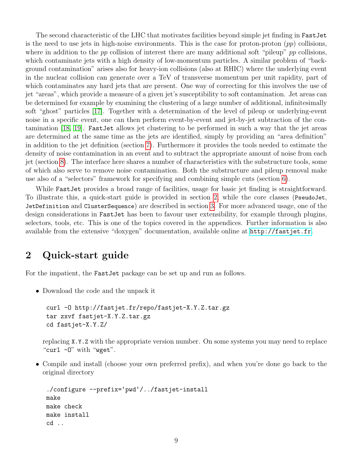The second characteristic of the LHC that motivates facilities beyond simple jet finding in FastJet is the need to use jets in high-noise environments. This is the case for proton-proton  $(pp)$  collisions, where in addition to the pp collision of interest there are many additional soft "pileup" pp collisions, which contaminate jets with a high density of low-momentum particles. A similar problem of "background contamination" arises also for heavy-ion collisions (also at RHIC) where the underlying event in the nuclear collision can generate over a TeV of transverse momentum per unit rapidity, part of which contaminates any hard jets that are present. One way of correcting for this involves the use of jet "areas", which provide a measure of a given jet's susceptibility to soft contamination. Jet areas can be determined for example by examining the clustering of a large number of additional, infinitesimally soft "ghost" particles [\[17\]](#page-80-16). Together with a determination of the level of pileup or underlying-event noise in a specific event, one can then perform event-by-event and jet-by-jet subtraction of the contamination [\[18,](#page-80-17) [19\]](#page-80-18). FastJet allows jet clustering to be performed in such a way that the jet areas are determined at the same time as the jets are identified, simply by providing an "area definition" in addition to the jet definition (section [7\)](#page-36-1). Furthermore it provides the tools needed to estimate the density of noise contamination in an event and to subtract the appropriate amount of noise from each jet (section [8\)](#page-41-0). The interface here shares a number of characteristics with the substructure tools, some of which also serve to remove noise contamination. Both the substructure and pileup removal make use also of a "selectors" framework for specifying and combining simple cuts (section [6\)](#page-33-1).

While FastJet provides a broad range of facilities, usage for basic jet finding is straightforward. To illustrate this, a quick-start guide is provided in section [2,](#page-8-0) while the core classes (PseudoJet, JetDefinition and ClusterSequence) are described in section [3.](#page-10-0) For more advanced usage, one of the design considerations in FastJet has been to favour user extensibility, for example through plugins, selectors, tools, etc. This is one of the topics covered in the appendices. Further information is also available from the extensive "doxygen" documentation, available online at <http://fastjet.fr>.

# <span id="page-8-0"></span>2 Quick-start guide

For the impatient, the FastJet package can be set up and run as follows.

• Download the code and the unpack it

```
curl -O http://fastjet.fr/repo/fastjet-X.Y.Z.tar.gz
tar zxvf fastjet-X.Y.Z.tar.gz
cd fastjet-X.Y.Z/
```
replacing X.Y.Z with the appropriate version number. On some systems you may need to replace " $cur1 -0$ " with "wget".

• Compile and install (choose your own preferred prefix), and when you're done go back to the original directory

```
./configure --prefix='pwd'/../fastjet-install
make
make check
make install
cd ..
```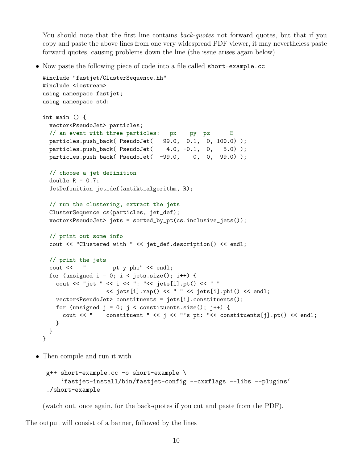You should note that the first line contains *back-quotes* not forward quotes, but that if you copy and paste the above lines from one very widespread PDF viewer, it may nevertheless paste forward quotes, causing problems down the line (the issue arises again below).

• Now paste the following piece of code into a file called short-example.cc

```
#include "fastjet/ClusterSequence.hh"
#include <iostream>
using namespace fastjet;
using namespace std;
int main () {
  vector<PseudoJet> particles;
  // an event with three particles: px    py    pz    E
  particles.push_back( PseudoJet( 99.0, 0.1, 0, 100.0) );
  particles.push_back(PseudoJet( 4.0, -0.1, 0, 5.0));
  particles.push_back(PseudoJet( -99.0, 0, 0, 99.0));
  // choose a jet definition
  double R = 0.7;
  JetDefinition jet_def(antikt_algorithm, R);
  // run the clustering, extract the jets
  ClusterSequence cs(particles, jet_def);
  vector<PseudoJet> jets = sorted_by_pt(cs.inclusive_jets());
  // print out some info
  cout << "Clustered with " << jet_def.description() << endl;
  // print the jets
  cout << " pt y phi" << endl;
  for (unsigned i = 0; i < jets.size(); i++) {
    cout \le "jet " \le i \le ": "\le jets[i].pt() \le " "
                    \langle \cdot \rangle jets[i].rap() \langle \cdot \rangle " \langle \cdot \rangle jets[i].phi() \langle \cdot \rangle endl;
    vector<PseudoJet> constituents = jets[i].constituents();
    for (unsigned j = 0; j < constituents.size(); j^{++}) {
      cout << " constituent " << j << "'s pt: "<< constituents[j].pt() << endl;
    }
  }
}
```
• Then compile and run it with

```
g++ short-example.cc -o short-example \
    'fastjet-install/bin/fastjet-config --cxxflags --libs --plugins'
./short-example
```
(watch out, once again, for the back-quotes if you cut and paste from the PDF).

The output will consist of a banner, followed by the lines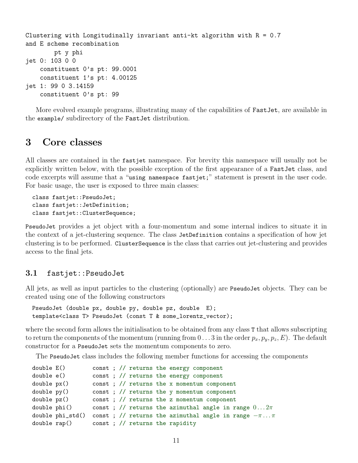```
Clustering with Longitudinally invariant anti-kt algorithm with R = 0.7and E scheme recombination
        pt y phi
jet 0: 103 0 0
    constituent 0's pt: 99.0001
    constituent 1's pt: 4.00125
jet 1: 99 0 3.14159
    constituent 0's pt: 99
```
More evolved example programs, illustrating many of the capabilities of FastJet, are available in the example/ subdirectory of the FastJet distribution.

# <span id="page-10-0"></span>3 Core classes

All classes are contained in the fastjet namespace. For brevity this namespace will usually not be explicitly written below, with the possible exception of the first appearance of a FastJet class, and code excerpts will assume that a "using namespace fastjet;" statement is present in the user code. For basic usage, the user is exposed to three main classes:

```
class fastjet::PseudoJet;
class fastjet::JetDefinition;
class fastjet::ClusterSequence;
```
PseudoJet provides a jet object with a four-momentum and some internal indices to situate it in the context of a jet-clustering sequence. The class JetDefinition contains a specification of how jet clustering is to be performed. ClusterSequence is the class that carries out jet-clustering and provides access to the final jets.

## <span id="page-10-1"></span>3.1 fastjet::PseudoJet

All jets, as well as input particles to the clustering (optionally) are PseudoJet objects. They can be created using one of the following constructors

```
PseudoJet (double px, double py, double pz, double E);
template<class T> PseudoJet (const T & some_lorentz_vector);
```
where the second form allows the initialisation to be obtained from any class T that allows subscripting to return the components of the momentum (running from  $0 \dots 3$  in the order  $p_x, p_y, p_z, E$ ). The default constructor for a PseudoJet sets the momentum components to zero.

The PseudoJet class includes the following member functions for accessing the components

| double E()   |  | const; // returns the energy component                                             |
|--------------|--|------------------------------------------------------------------------------------|
| double e()   |  | const; // returns the energy component                                             |
| double px()  |  | $const$ ; // returns the x momentum component                                      |
| double py()  |  | const; // returns the y momentum component                                         |
| double pz()  |  | $const$ ; // returns the $z$ momentum component                                    |
| double phi() |  | const ; // returns the azimuthal angle in range $02\pi$                            |
|              |  | double phi_std() const ; // returns the azimuthal angle in range $-\pi \ldots \pi$ |
| double rap() |  | $const$ ; // returns the rapidity                                                  |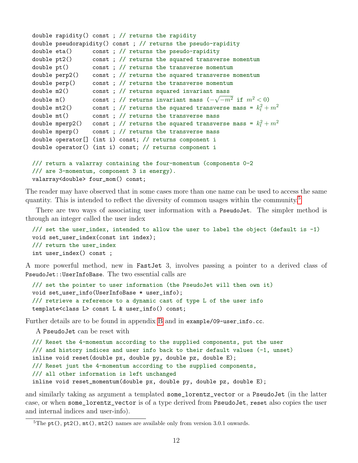```
double rapidity() const ; // returns the rapidity
double pseudorapidity() const ; // returns the pseudo-rapidity
double eta() const ; // returns the pseudo-rapidity
double pt2() const ; // returns the squared transverse momentum
double pt() const ; // returns the transverse momentum
double perp(2) const; // returns the squared transverse momentum
double perp() const ; // returns the transverse momentum
double m2() const; // returns squared invariant mass
double m() const ; // returns invariant mass (-\sqrt{-m^2} \text{ if } m^2 < 0)double mt2() const ; // returns the squared transverse mass = k_t^2 + m^2double mt() const ; // returns the transverse mass
double mperp2() \quad const ; // returns the squared transverse mass = k_t^2 + m^2double mperp() const ; // returns the transverse mass
double operator[] (int i) const; // returns component i
double operator() (int i) const; // returns component i
/// return a valarray containing the four-momentum (components 0-2
```

```
/// are 3-momentum, component 3 is energy).
valarray<double> four_mom() const;
```
The reader may have observed that in some cases more than one name can be used to access the same quantity. This is intended to reflect the diversity of common usages within the community.[5](#page-11-0)

There are two ways of associating user information with a PseudoJet. The simpler method is through an integer called the user index

```
/// set the user_index, intended to allow the user to label the object (default is -1)
void set_user_index(const int index);
/// return the user_index
int user_index() const ;
```
A more powerful method, new in FastJet 3, involves passing a pointer to a derived class of PseudoJet::UserInfoBase. The two essential calls are

```
/// set the pointer to user information (the PseudoJet will then own it)
void set_user_info(UserInfoBase * user_info);
/// retrieve a reference to a dynamic cast of type L of the user info
template<class L> const L & user_info() const;
```
Further details are to be found in appendix [B](#page-65-0) and in example/09-user\_info.cc.

A PseudoJet can be reset with

```
/// Reset the 4-momentum according to the supplied components, put the user
/// and history indices and user info back to their default values (-1, unset)
inline void reset(double px, double py, double pz, double E);
/// Reset just the 4-momentum according to the supplied components,
/// all other information is left unchanged
inline void reset_momentum(double px, double py, double pz, double E);
```
and similarly taking as argument a templated some\_lorentz\_vector or a PseudoJet (in the latter case, or when some\_lorentz\_vector is of a type derived from PseudoJet, reset also copies the user and internal indices and user-info).

<span id="page-11-0"></span> ${}^{5}$ The pt(), pt2(), mt(), mt2() names are available only from version 3.0.1 onwards.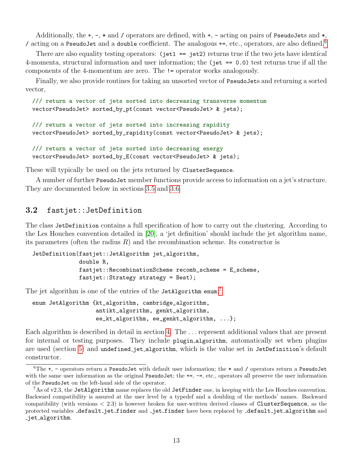Additionally, the  $+$ ,  $-$ ,  $*$  and / operators are defined, with  $+$ ,  $-$  acting on pairs of PseudoJets and  $*$ , / acting on a PseudoJet and a double coefficient. The analogous  $+=$ , etc., operators, are also defined.<sup>[6](#page-12-1)</sup>

There are also equality testing operators: ( $jet1 == jet2$ ) returns true if the two jets have identical 4-momenta, structural information and user information; the (jet == 0.0) test returns true if all the components of the 4-momentum are zero. The != operator works analogously.

Finally, we also provide routines for taking an unsorted vector of PseudoJets and returning a sorted vector,

```
/// return a vector of jets sorted into decreasing transverse momentum
vector<PseudoJet> sorted_by_pt(const vector<PseudoJet> & jets);
```

```
/// return a vector of jets sorted into increasing rapidity
vector<PseudoJet> sorted_by_rapidity(const vector<PseudoJet> & jets);
```

```
/// return a vector of jets sorted into decreasing energy
vector<PseudoJet> sorted_by_E(const vector<PseudoJet> & jets);
```
These will typically be used on the jets returned by ClusterSequence.

A number of further PseudoJet member functions provide access to information on a jet's structure. They are documented below in sections [3.5](#page-17-0) and [3.6.](#page-19-0)

# <span id="page-12-0"></span>3.2 fastjet::JetDefinition

The class JetDefinition contains a full specification of how to carry out the clustering. According to the Les Houches convention detailed in [\[20\]](#page-80-19), a 'jet definition' should include the jet algorithm name, its parameters (often the radius  $R$ ) and the recombination scheme. Its constructor is

```
JetDefinition(fastjet::JetAlgorithm jet_algorithm,
              double R,
              fastjet::RecombinationScheme recomb_scheme = E_scheme,
              fastjet::Strategy strategy = Best);
```
The jet algorithm is one of the entries of the JetAlgorithm enum:<sup>[7](#page-12-2)</sup>

```
enum JetAlgorithm {kt_algorithm, cambridge_algorithm,
                   antikt_algorithm, genkt_algorithm,
                   ee_kt_algorithm, ee_genkt_algorithm, ...};
```
Each algorithm is described in detail in section [4.](#page-20-0) The . . . represent additional values that are present for internal or testing purposes. They include plugin algorithm, automatically set when plugins are used (section [5\)](#page-23-1) and undefined jet algorithm, which is the value set in JetDefinition's default constructor.

<span id="page-12-1"></span><sup>&</sup>lt;sup>6</sup>The  $+$ ,  $-$  operators return a PseudoJet with default user information; the  $*$  and  $/$  operators return a PseudoJet with the same user information as the original PseudoJet; the  $+=, -=, \text{etc.}$ , operators all preserve the user information of the PseudoJet on the left-hand side of the operator.

<span id="page-12-2"></span> $7$ As of v2.3, the JetAlgorithm name replaces the old JetFinder one, in keeping with the Les Houches convention. Backward compatibility is assured at the user level by a typedef and a doubling of the methods' names. Backward compatibility (with versions  $\langle 2.3 \rangle$ ) is however broken for user-written derived classes of ClusterSequence, as the protected variables **default** jet finder and jet finder have been replaced by **default** jet algorithm and jet algorithm.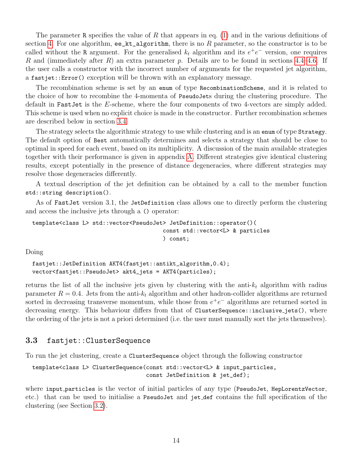The parameter R specifies the value of R that appears in eq.  $(1)$  and in the various definitions of section [4.](#page-20-0) For one algorithm,  $ee_kt_algorithms$ , there is no R parameter, so the constructor is to be called without the R argument. For the generalised  $k_t$  algorithm and its  $e^+e^-$  version, one requires R and (immediately after R) an extra parameter p. Details are to be found in sections [4.4–](#page-22-0)[4.6.](#page-23-0) If the user calls a constructor with the incorrect number of arguments for the requested jet algorithm, a fastjet::Error() exception will be thrown with an explanatory message.

The recombination scheme is set by an enum of type RecombinationScheme, and it is related to the choice of how to recombine the 4-momenta of PseudoJets during the clustering procedure. The default in FastJet is the E-scheme, where the four components of two 4-vectors are simply added. This scheme is used when no explicit choice is made in the constructor. Further recombination schemes are described below in section [3.4.](#page-16-0)

The strategy selects the algorithmic strategy to use while clustering and is an enum of type Strategy. The default option of Best automatically determines and selects a strategy that should be close to optimal in speed for each event, based on its multiplicity. A discussion of the main available strategies together with their performance is given in appendix [A.](#page-62-0) Different strategies give identical clustering results, except potentially in the presence of distance degeneracies, where different strategies may resolve those degeneracies differently.

A textual description of the jet definition can be obtained by a call to the member function std::string description().

As of FastJet version 3.1, the JetDefinition class allows one to directly perform the clustering and access the inclusive jets through a () operator:

```
template<class L> std::vector<PseudoJet> JetDefinition::operator()(
                                       const std::vector<L> & particles
                                       ) const;
```
Doing

```
fastjet::JetDefinition AKT4(fastjet::antikt_algorithm,0.4);
vector<fastjet::PseudoJet> akt4_jets = AKT4(particles);
```
returns the list of all the inclusive jets given by clustering with the anti- $k_t$  algorithm with radius parameter  $R = 0.4$ . Jets from the anti- $k_t$  algorithm and other hadron-collider algorithms are returned sorted in decreasing transverse momentum, while those from  $e^+e^-$  algorithms are returned sorted in decreasing energy. This behaviour differs from that of ClusterSequence::inclusive jets(), where the ordering of the jets is not a priori determined (i.e. the user must manually sort the jets themselves).

## <span id="page-13-0"></span>3.3 fastjet::ClusterSequence

To run the jet clustering, create a ClusterSequence object through the following constructor

```
template<class L> ClusterSequence(const std::vector<L> & input_particles,
                                  const JetDefinition & jet_def);
```
where input particles is the vector of initial particles of any type (PseudoJet, HepLorentzVector, etc.) that can be used to initialise a PseudoJet and jet def contains the full specification of the clustering (see Section [3.2\)](#page-12-0).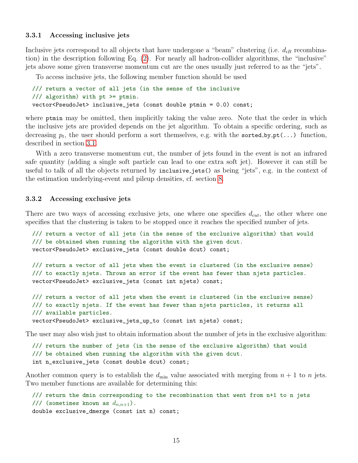#### <span id="page-14-0"></span>3.3.1 Accessing inclusive jets

Inclusive jets correspond to all objects that have undergone a "beam" clustering (i.e.  $d_{iB}$  recombination) in the description following Eq. [\(2\)](#page-6-3). For nearly all hadron-collider algorithms, the "inclusive" jets above some given transverse momentum cut are the ones usually just referred to as the "jets".

To access inclusive jets, the following member function should be used

```
/// return a vector of all jets (in the sense of the inclusive
/// algorithm) with pt >= ptmin.
vector<PseudoJet> inclusive_jets (const double ptmin = 0.0) const;
```
where ptmin may be omitted, then implicitly taking the value zero. Note that the order in which the inclusive jets are provided depends on the jet algorithm. To obtain a specific ordering, such as decreasing  $p_t$ , the user should perform a sort themselves, e.g. with the sorted by pt(...) function, described in section [3.1.](#page-10-1)

With a zero transverse momentum cut, the number of jets found in the event is not an infrared safe quantity (adding a single soft particle can lead to one extra soft jet). However it can still be useful to talk of all the objects returned by inclusive jets() as being "jets", e.g. in the context of the estimation underlying-event and pileup densities, cf. section [8.](#page-41-0)

#### <span id="page-14-1"></span>3.3.2 Accessing exclusive jets

There are two ways of accessing exclusive jets, one where one specifies  $d_{cut}$ , the other where one specifies that the clustering is taken to be stopped once it reaches the specified number of jets.

```
/// return a vector of all jets (in the sense of the exclusive algorithm) that would
/// be obtained when running the algorithm with the given dcut.
vector<PseudoJet> exclusive_jets (const double dcut) const;
```
/// return a vector of all jets when the event is clustered (in the exclusive sense) /// to exactly njets. Throws an error if the event has fewer than njets particles. vector<PseudoJet> exclusive\_jets (const int njets) const;

/// return a vector of all jets when the event is clustered (in the exclusive sense) /// to exactly njets. If the event has fewer than njets particles, it returns all /// available particles. vector<PseudoJet> exclusive\_jets\_up\_to (const int njets) const;

The user may also wish just to obtain information about the number of jets in the exclusive algorithm:

```
/// return the number of jets (in the sense of the exclusive algorithm) that would
/// be obtained when running the algorithm with the given dcut.
int n_exclusive_jets (const double dcut) const;
```
Another common query is to establish the  $d_{\min}$  value associated with merging from  $n + 1$  to n jets. Two member functions are available for determining this:

```
/// return the dmin corresponding to the recombination that went from n+1 to n jets
/// (sometimes known as d_{n,n+1}).
double exclusive_dmerge (const int n) const;
```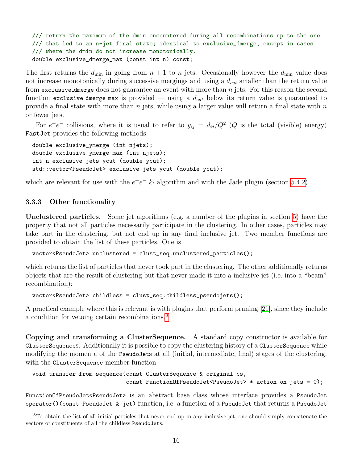```
/// return the maximum of the dmin encountered during all recombinations up to the one
/// that led to an n-jet final state; identical to exclusive_dmerge, except in cases
/// where the dmin do not increase monotonically.
double exclusive_dmerge_max (const int n) const;
```
The first returns the  $d_{\min}$  in going from  $n + 1$  to n jets. Occasionally however the  $d_{\min}$  value does not increase monotonically during successive mergings and using a  $d_{cut}$  smaller than the return value from exclusive dmerge does not guarantee an event with more than  $n$  jets. For this reason the second function exclusive dmerge max is provided — using a  $d_{cut}$  below its return value is guaranteed to provide a final state with more than  $n$  jets, while using a larger value will return a final state with  $n$ or fewer jets.

For  $e^+e^-$  collisions, where it is usual to refer to  $y_{ij} = d_{ij}/Q^2$  (Q is the total (visible) energy) FastJet provides the following methods:

```
double exclusive_ymerge (int njets);
double exclusive_ymerge_max (int njets);
int n_exclusive_jets_ycut (double ycut);
std::vector<PseudoJet> exclusive_jets_ycut (double ycut);
```
which are relevant for use with the  $e^+e^- k_t$  algorithm and with the Jade plugin (section [5.4.2\)](#page-32-2).

### <span id="page-15-0"></span>3.3.3 Other functionality

Unclustered particles. Some jet algorithms (e.g. a number of the plugins in section [5\)](#page-23-1) have the property that not all particles necessarily participate in the clustering. In other cases, particles may take part in the clustering, but not end up in any final inclusive jet. Two member functions are provided to obtain the list of these particles. One is

vector<PseudoJet> unclustered = clust\_seq.unclustered\_particles();

which returns the list of particles that never took part in the clustering. The other additionally returns objects that are the result of clustering but that never made it into a inclusive jet (i.e. into a "beam" recombination):

```
vector<PseudoJet> childless = clust_seq.childless_pseudojets();
```
A practical example where this is relevant is with plugins that perform pruning [\[21\]](#page-80-20), since they include a condition for vetoing certain recombinations.<sup>[8](#page-15-1)</sup>

Copying and transforming a ClusterSequence. A standard copy constructor is available for ClusterSequences. Additionally it is possible to copy the clustering history of a ClusterSequence while modifying the momenta of the PseudoJets at all (initial, intermediate, final) stages of the clustering, with the ClusterSequence member function

```
void transfer_from_sequence(const ClusterSequence & original_cs,
                            const FunctionOfPseudoJet<PseudoJet> * action_on_jets = 0);
```
FunctionOfPseudoJet<PseudoJet> is an abstract base class whose interface provides a PseudoJet operator()(const PseudoJet & jet) function, i.e. a function of a PseudoJet that returns a PseudoJet

<span id="page-15-1"></span><sup>8</sup>To obtain the list of all initial particles that never end up in any inclusive jet, one should simply concatenate the vectors of constituents of all the childless PseudoJets.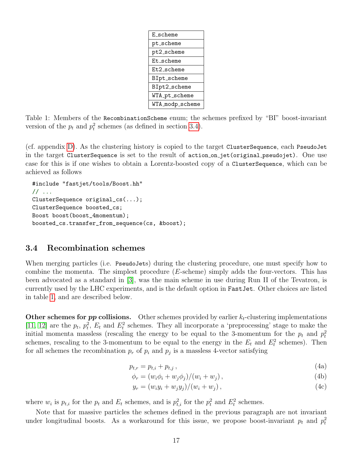| E scheme        |
|-----------------|
| pt_scheme       |
| pt2_scheme      |
| Et_scheme       |
| Et2 scheme      |
| BIpt_scheme     |
| BIpt2_scheme    |
| WTA_pt_scheme   |
| WTA_modp_scheme |

<span id="page-16-1"></span>Table 1: Members of the RecombinationScheme enum; the schemes prefixed by "BI" boost-invariant version of the  $p_t$  and  $p_t^2$  schemes (as defined in section [3.4\)](#page-16-0).

(cf. appendix [D\)](#page-68-0). As the clustering history is copied to the target ClusterSequence, each PseudoJet in the target ClusterSequence is set to the result of action on jet(original pseudojet). One use case for this is if one wishes to obtain a Lorentz-boosted copy of a ClusterSequence, which can be achieved as follows

```
#include "fastjet/tools/Boost.hh"
// ...
ClusterSequence original_cs(...);
ClusterSequence boosted_cs;
Boost boost(boost_4momentum);
boosted_cs.transfer_from_sequence(cs, &boost);
```
## <span id="page-16-0"></span>3.4 Recombination schemes

When merging particles (i.e. PseudoJets) during the clustering procedure, one must specify how to combine the momenta. The simplest procedure  $(E\text{-scheme})$  simply adds the four-vectors. This has been advocated as a standard in [\[3\]](#page-80-2), was the main scheme in use during Run II of the Tevatron, is currently used by the LHC experiments, and is the default option in FastJet. Other choices are listed in table [1,](#page-16-1) and are described below.

**Other schemes for pp collisions.** Other schemes provided by earlier  $k_t$ -clustering implementations [\[11,](#page-80-10) [12\]](#page-80-11) are the  $p_t$ ,  $p_t^2$ ,  $E_t$  and  $E_t^2$  schemes. They all incorporate a 'preprocessing' stage to make the initial momenta massless (rescaling the energy to be equal to the 3-momentum for the  $p_t$  and  $p_t^2$ schemes, rescaling to the 3-momentum to be equal to the energy in the  $E_t$  and  $E_t^2$  schemes). Then for all schemes the recombination  $p_r$  of  $p_i$  and  $p_j$  is a massless 4-vector satisfying

<span id="page-16-2"></span>
$$
p_{t,r} = p_{t,i} + p_{t,j}, \t\t(4a)
$$

$$
\phi_r = (w_i \phi_i + w_j \phi_j) / (w_i + w_j), \qquad (4b)
$$

$$
y_r = (w_i y_i + w_j y_j)/(w_i + w_j),
$$
\n(4c)

where  $w_i$  is  $p_{t,i}$  for the  $p_t$  and  $E_t$  schemes, and is  $p_{t,i}^2$  for the  $p_t^2$  and  $E_t^2$  schemes.

Note that for massive particles the schemes defined in the previous paragraph are not invariant under longitudinal boosts. As a workaround for this issue, we propose boost-invariant  $p_t$  and  $p_t^2$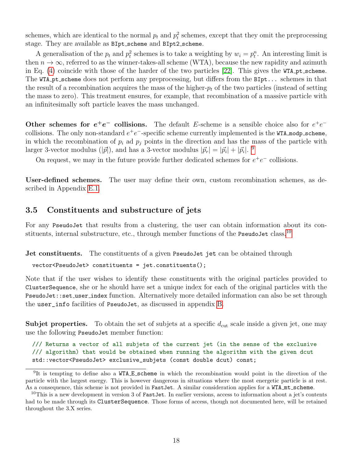schemes, which are identical to the normal  $p_t$  and  $p_t^2$  schemes, except that they omit the preprocessing stage. They are available as BIpt scheme and BIpt2 scheme.

A generalisation of the  $p_t$  and  $p_t^2$  schemes is to take a weighting by  $w_i = p_t^n$ . An interesting limit is then  $n \to \infty$ , referred to as the winner-takes-all scheme (WTA), because the new rapidity and azimuth in Eq.  $(4)$  coincide with those of the harder of the two particles [\[22\]](#page-81-0). This gives the WTA pt scheme. The WTA pt scheme does not perform any preprocessing, but differs from the BIpt... schemes in that the result of a recombination acquires the mass of the higher- $p_t$  of the two particles (instead of setting the mass to zero). This treatment ensures, for example, that recombination of a massive particle with an infinitesimally soft particle leaves the mass unchanged.

Other schemes for  $e^+e^-$  collisions. The default E-scheme is a sensible choice also for  $e^+e^$ collisions. The only non-standard  $e^+e^-$ -specific scheme currently implemented is the WTA modp\_scheme, in which the recombination of  $p_i$  ad  $p_j$  points in the direction and has the mass of the particle with larger 3-vector modulus  $(|\vec{p}|)$ , and has a 3-vector modulus  $|\vec{p}_r| = |\vec{p}_i| + |\vec{p}_i|$ . <sup>[9](#page-17-1)</sup>

On request, we may in the future provide further dedicated schemes for  $e^+e^-$  collisions.

User-defined schemes. The user may define their own, custom recombination schemes, as described in Appendix [E.1.](#page-68-2)

## <span id="page-17-0"></span>3.5 Constituents and substructure of jets

For any PseudoJet that results from a clustering, the user can obtain information about its con-stituents, internal substructure, etc., through member functions of the PseudoJet class.<sup>[10](#page-17-2)</sup>

Jet constituents. The constituents of a given PseudoJet jet can be obtained through

```
vector<PseudoJet> constituents = jet.constituents();
```
Note that if the user wishes to identify these constituents with the original particles provided to ClusterSequence, she or he should have set a unique index for each of the original particles with the PseudoJet::set user index function. Alternatively more detailed information can also be set through the user\_info facilities of PseudoJet, as discussed in appendix [B.](#page-65-0)

**Subjet properties.** To obtain the set of subjets at a specific  $d_{\text{cut}}$  scale inside a given jet, one may use the following PseudoJet member function:

/// Returns a vector of all subjets of the current jet (in the sense of the exclusive /// algorithm) that would be obtained when running the algorithm with the given dcut std::vector<PseudoJet> exclusive\_subjets (const double dcut) const;

<span id="page-17-1"></span><sup>&</sup>lt;sup>9</sup>It is tempting to define also a WTA E scheme in which the recombination would point in the direction of the particle with the largest energy. This is however dangerous in situations where the most energetic particle is at rest. As a consequence, this scheme is not provided in FastJet. A similar consideration applies for a WTA mt\_scheme.

<span id="page-17-2"></span> $10$ This is a new development in version 3 of FastJet. In earlier versions, access to information about a jet's contents had to be made through its ClusterSequence. Those forms of access, though not documented here, will be retained throughout the 3.X series.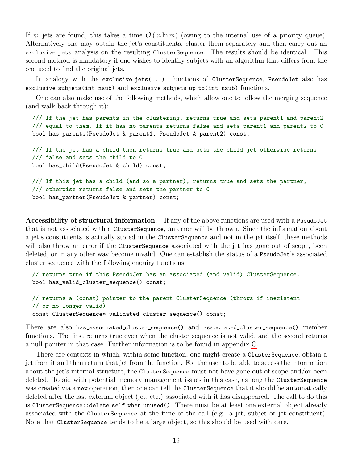If m jets are found, this takes a time  $\mathcal{O}(m \ln m)$  (owing to the internal use of a priority queue). Alternatively one may obtain the jet's constituents, cluster them separately and then carry out an exclusive jets analysis on the resulting ClusterSequence. The results should be identical. This second method is mandatory if one wishes to identify subjets with an algorithm that differs from the one used to find the original jets.

In analogy with the exclusive jets(...) functions of ClusterSequence, PseudoJet also has exclusive subjets(int nsub) and exclusive subjets up to(int nsub) functions.

One can also make use of the following methods, which allow one to follow the merging sequence (and walk back through it):

/// If the jet has parents in the clustering, returns true and sets parent1 and parent2  $\frac{1}{2}$  equal to them. If it has no parents returns false and sets parent1 and parent2 to 0 bool has\_parents(PseudoJet & parent1, PseudoJet & parent2) const;

/// If the jet has a child then returns true and sets the child jet otherwise returns /// false and sets the child to 0 bool has\_child(PseudoJet & child) const;

```
/// If this jet has a child (and so a partner), returns true and sets the partner,
/// otherwise returns false and sets the partner to 0
bool has_partner(PseudoJet & partner) const;
```
Accessibility of structural information. If any of the above functions are used with a PseudoJet that is not associated with a ClusterSequence, an error will be thrown. Since the information about a jet's constituents is actually stored in the ClusterSequence and not in the jet itself, these methods will also throw an error if the ClusterSequence associated with the jet has gone out of scope, been deleted, or in any other way become invalid. One can establish the status of a PseudoJet's associated cluster sequence with the following enquiry functions:

```
// returns true if this PseudoJet has an associated (and valid) ClusterSequence.
bool has_valid_cluster_sequence() const;
// returns a (const) pointer to the parent ClusterSequence (throws if inexistent
// or no longer valid)
const ClusterSequence* validated_cluster_sequence() const;
```
There are also has associated cluster sequence() and associated cluster sequence() member functions. The first returns true even when the cluster sequence is not valid, and the second returns a null pointer in that case. Further information is to be found in appendix [C.](#page-66-0)

There are contexts in which, within some function, one might create a ClusterSequence, obtain a jet from it and then return that jet from the function. For the user to be able to access the information about the jet's internal structure, the ClusterSequence must not have gone out of scope and/or been deleted. To aid with potential memory management issues in this case, as long the ClusterSequence was created via a new operation, then one can tell the ClusterSequence that it should be automatically deleted after the last external object (jet, etc.) associated with it has disappeared. The call to do this is ClusterSequence::delete self when unused(). There must be at least one external object already associated with the ClusterSequence at the time of the call (e.g. a jet, subjet or jet constituent). Note that ClusterSequence tends to be a large object, so this should be used with care.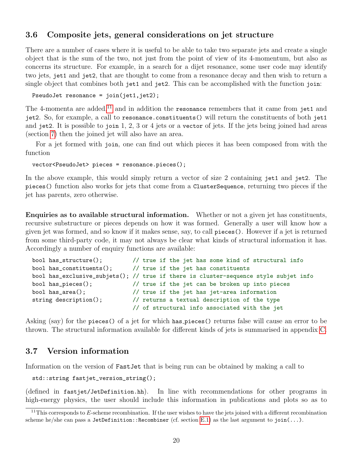# <span id="page-19-0"></span>3.6 Composite jets, general considerations on jet structure

There are a number of cases where it is useful to be able to take two separate jets and create a single object that is the sum of the two, not just from the point of view of its 4-momentum, but also as concerns its structure. For example, in a search for a dijet resonance, some user code may identify two jets, jet1 and jet2, that are thought to come from a resonance decay and then wish to return a single object that combines both jet1 and jet2. This can be accomplished with the function join:

PseudoJet resonance = join(jet1,jet2);

The 4-momenta are added,<sup>[11](#page-19-2)</sup> and in addition the **resonance** remembers that it came from jet1 and jet2. So, for example, a call to resonance.constituents() will return the constituents of both jet1 and jet2. It is possible to join 1, 2, 3 or 4 jets or a vector of jets. If the jets being joined had areas (section [7\)](#page-36-1) then the joined jet will also have an area.

For a jet formed with join, one can find out which pieces it has been composed from with the function

vector<PseudoJet> pieces = resonance.pieces();

In the above example, this would simply return a vector of size 2 containing jet1 and jet2. The pieces() function also works for jets that come from a ClusterSequence, returning two pieces if the jet has parents, zero otherwise.

Enquiries as to available structural information. Whether or not a given jet has constituents, recursive substructure or pieces depends on how it was formed. Generally a user will know how a given jet was formed, and so know if it makes sense, say, to call pieces(). However if a jet is returned from some third-party code, it may not always be clear what kinds of structural information it has. Accordingly a number of enquiry functions are available:

```
bool has_structure(); // true if the jet has some kind of structural info
bool has_constituents(); // true if the jet has constituents
bool has_exclusive_subjets(); // true if there is cluster-sequence style subjet info
bool has_pieces(); // true if the jet can be broken up into pieces
bool has_area(); // true if the jet has jet-area information
string description(); \frac{1}{2} // returns a textual description of the type
                            // of structural info associated with the jet
```
Asking (say) for the pieces() of a jet for which has pieces() returns false will cause an error to be thrown. The structural information available for different kinds of jets is summarised in appendix [C.](#page-66-0)

## <span id="page-19-1"></span>3.7 Version information

Information on the version of FastJet that is being run can be obtained by making a call to

```
std::string fastjet_version_string();
```
(defined in fastjet/JetDefinition.hh). In line with recommendations for other programs in high-energy physics, the user should include this information in publications and plots so as to

<span id="page-19-2"></span><sup>&</sup>lt;sup>11</sup>This corresponds to E-scheme recombination. If the user wishes to have the jets joined with a different recombination scheme he/she can pass a JetDefinition::Recombiner (cf. section [E.1\)](#page-68-2) as the last argument to join(...).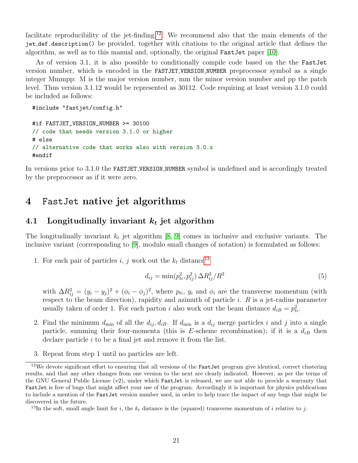facilitate reproducibility of the jet-finding.<sup>[12](#page-20-2)</sup> We recommend also that the main elements of the jet def.description() be provided, together with citations to the original article that defines the algorithm, as well as to this manual and, optionally, the original FastJet paper [\[10\]](#page-80-9).

As of version 3.1, it is also possible to conditionally compile code based on the the FastJet version number, which is encoded in the FASTJET VERSION NUMBER preprocessor symbol as a single integer Mmmpp: M is the major version number, mm the minor version number and pp the patch level. Thus version 3.1.12 would be represented as 30112. Code requiring at least version 3.1.0 could be included as follows:

#include "fastjet/config.h" #if FASTJET\_VERSION\_NUMBER >= 30100 // code that needs version 3.1.0 or higher # else // alternative code that works also with version 3.0.x #endif

In versions prior to 3.1.0 the FASTJET VERSION NUMBER symbol is undefined and is accordingly treated by the preprocessor as if it were zero.

# <span id="page-20-0"></span>4 FastJet native jet algorithms

# <span id="page-20-1"></span>4.1 Longitudinally invariant  $k_t$  jet algorithm

The longitudinally invariant  $k_t$  jet algorithm [\[8,](#page-80-7) [9\]](#page-80-8) comes in inclusive and exclusive variants. The inclusive variant (corresponding to [\[9\]](#page-80-8), modulo small changes of notation) is formulated as follows:

1. For each pair of particles i, j work out the  $k_t$  distance<sup>[13](#page-20-3)</sup>

$$
d_{ij} = \min(p_{ti}^2, p_{tj}^2) \,\Delta R_{ij}^2 / R^2 \tag{5}
$$

with  $\Delta R_{ij}^2 = (y_i - y_j)^2 + (\phi_i - \phi_j)^2$ , where  $p_{ti}$ ,  $y_i$  and  $\phi_i$  are the transverse momentum (with respect to the beam direction), rapidity and azimuth of particle  $i$ .  $R$  is a jet-radius parameter usually taken of order 1. For each parton *i* also work out the beam distance  $d_{iB} = p_{ti}^2$ .

- 2. Find the minimum  $d_{\min}$  of all the  $d_{ij}, d_{iB}$ . If  $d_{\min}$  is a  $d_{ij}$  merge particles i and j into a single particle, summing their four-momenta (this is E-scheme recombination); if it is a  $d_{iB}$  then declare particle i to be a final jet and remove it from the list.
- <span id="page-20-2"></span>3. Repeat from step 1 until no particles are left.

<sup>&</sup>lt;sup>12</sup>We devote significant effort to ensuring that all versions of the FastJet program give identical, correct clustering results, and that any other changes from one version to the next are clearly indicated. However, as per the terms of the GNU General Public License  $(v2)$ , under which FastJet is released, we are not able to provide a warranty that FastJet is free of bugs that might affect your use of the program. Accordingly it is important for physics publications to include a mention of the FastJet version number used, in order to help trace the impact of any bugs that might be discovered in the future.

<span id="page-20-3"></span><sup>&</sup>lt;sup>13</sup>In the soft, small angle limit for i, the  $k_t$  distance is the (squared) transverse momentum of i relative to j.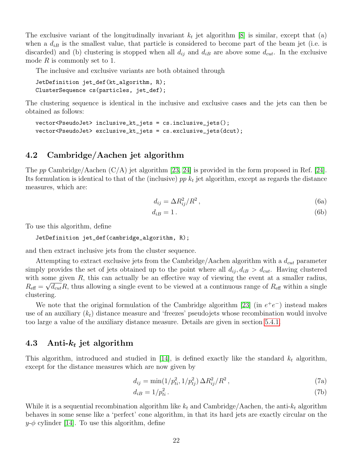The exclusive variant of the longitudinally invariant  $k_t$  jet algorithm [\[8\]](#page-80-7) is similar, except that (a) when a  $d_{iB}$  is the smallest value, that particle is considered to become part of the beam jet (i.e. is discarded) and (b) clustering is stopped when all  $d_{ij}$  and  $d_{i}$  are above some  $d_{cut}$ . In the exclusive mode  $R$  is commonly set to 1.

The inclusive and exclusive variants are both obtained through

```
JetDefinition jet_def(kt_algorithm, R);
ClusterSequence cs(particles, jet_def);
```
The clustering sequence is identical in the inclusive and exclusive cases and the jets can then be obtained as follows:

```
vector<PseudoJet> inclusive_kt_jets = cs.inclusive_jets();
vector<PseudoJet> exclusive_kt_jets = cs.exclusive_jets(dcut);
```
# <span id="page-21-0"></span>4.2 Cambridge/Aachen jet algorithm

The pp Cambridge/Aachen  $(C/A)$  jet algorithm [\[23,](#page-81-1) [24\]](#page-81-2) is provided in the form proposed in Ref. [\[24\]](#page-81-2). Its formulation is identical to that of the (inclusive)  $pp\ k_t$  jet algorithm, except as regards the distance measures, which are:

$$
d_{ij} = \Delta R_{ij}^2 / R^2, \qquad (6a)
$$

$$
d_{iB} = 1. \t\t(6b)
$$

To use this algorithm, define

```
JetDefinition jet_def(cambridge_algorithm, R);
```
and then extract inclusive jets from the cluster sequence.

Attempting to extract exclusive jets from the Cambridge/Aachen algorithm with a  $d_{cut}$  parameter simply provides the set of jets obtained up to the point where all  $d_{ij}$ ,  $d_{iB} > d_{cut}$ . Having clustered with some given R, this can actually be an effective way of viewing the event at a smaller radius,  $R_{\text{eff}} = \sqrt{d_{cut}}R$ , thus allowing a single event to be viewed at a continuous range of  $R_{\text{eff}}$  within a single clustering.

We note that the original formulation of the Cambridge algorithm [\[23\]](#page-81-1) (in  $e^+e^-$ ) instead makes use of an auxiliary  $(k_t)$  distance measure and 'freezes' pseudojets whose recombination would involve too large a value of the auxiliary distance measure. Details are given in section [5.4.1.](#page-32-1)

## <span id="page-21-1"></span>4.3 Anti- $k_t$  jet algorithm

This algorithm, introduced and studied in [\[14\]](#page-80-13), is defined exactly like the standard  $k_t$  algorithm, except for the distance measures which are now given by

$$
d_{ij} = \min(1/p_{ti}^2, 1/p_{tj}^2) \,\Delta R_{ij}^2/R^2\,,\tag{7a}
$$

$$
d_{iB} = 1/p_{ti}^2. \tag{7b}
$$

While it is a sequential recombination algorithm like  $k_t$  and Cambridge/Aachen, the anti- $k_t$  algorithm behaves in some sense like a 'perfect' cone algorithm, in that its hard jets are exactly circular on the  $y-\phi$  cylinder [\[14\]](#page-80-13). To use this algorithm, define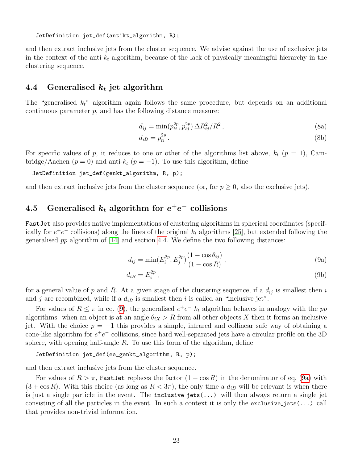```
JetDefinition jet_def(antikt_algorithm, R);
```
and then extract inclusive jets from the cluster sequence. We advise against the use of exclusive jets in the context of the anti- $k_t$  algorithm, because of the lack of physically meaningful hierarchy in the clustering sequence.

## <span id="page-22-0"></span>4.4 Generalised  $k_t$  jet algorithm

The "generalised  $k_t$ " algorithm again follows the same procedure, but depends on an additional continuous parameter  $p$ , and has the following distance measure:

$$
d_{ij} = \min(p_{ti}^{2p}, p_{tj}^{2p}) \Delta R_{ij}^{2} / R^{2} , \qquad (8a)
$$

$$
d_{iB} = p_{ti}^{2p} \tag{8b}
$$

For specific values of p, it reduces to one or other of the algorithms list above,  $k_t$  ( $p = 1$ ), Cambridge/Aachen ( $p = 0$ ) and anti- $k_t$  ( $p = -1$ ). To use this algorithm, define

```
JetDefinition jet_def(genkt_algorithm, R, p);
```
and then extract inclusive jets from the cluster sequence (or, for  $p \geq 0$ , also the exclusive jets).

# <span id="page-22-1"></span> $4.5$  Generalised  $k_t$  algorithm for  $e^+e^-$  collisions

FastJet also provides native implementations of clustering algorithms in spherical coordinates (specifically for  $e^+e^-$  collisions) along the lines of the original  $k_t$  algorithms [\[25\]](#page-81-3), but extended following the generalised  $pp$  algorithm of  $[14]$  and section [4.4.](#page-22-0) We define the two following distances:

<span id="page-22-3"></span><span id="page-22-2"></span>
$$
d_{ij} = \min(E_i^{2p}, E_j^{2p}) \frac{(1 - \cos \theta_{ij})}{(1 - \cos R)},
$$
\n(9a)

$$
d_{iB} = E_i^{2p},\tag{9b}
$$

for a general value of p and R. At a given stage of the clustering sequence, if a  $d_{ij}$  is smallest then i and j are recombined, while if a  $d_{iB}$  is smallest then i is called an "inclusive jet".

For values of  $R \leq \pi$  in eq. [\(9\)](#page-22-2), the generalised  $e^+e^- k_t$  algorithm behaves in analogy with the pp algorithms: when an object is at an angle  $\theta_{iX} > R$  from all other objects X then it forms an inclusive jet. With the choice  $p = -1$  this provides a simple, infrared and collinear safe way of obtaining a cone-like algorithm for  $e^+e^-$  collisions, since hard well-separated jets have a circular profile on the 3D sphere, with opening half-angle  $R$ . To use this form of the algorithm, define

```
JetDefinition jet_def(ee_genkt_algorithm, R, p);
```
and then extract inclusive jets from the cluster sequence.

For values of  $R > \pi$ , FastJet replaces the factor  $(1 - \cos R)$  in the denominator of eq. [\(9a\)](#page-22-3) with  $(3 + \cos R)$ . With this choice (as long as  $R < 3\pi$ ), the only time a  $d_{iB}$  will be relevant is when there is just a single particle in the event. The inclusive jets(...) will then always return a single jet consisting of all the particles in the event. In such a context it is only the  $\alpha$  exclusive jets(...) call that provides non-trivial information.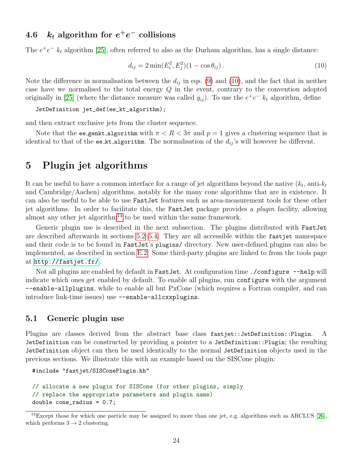# <span id="page-23-0"></span> $4.6$   $k_t$  algorithm for  $e^+e^-$  collisions

The  $e^+e^ k_t$  algorithm [\[25\]](#page-81-3), often referred to also as the Durham algorithm, has a single distance:

<span id="page-23-3"></span>
$$
d_{ij} = 2\min(E_i^2, E_j^2)(1 - \cos\theta_{ij}).
$$
\n(10)

Note the difference in normalisation between the  $d_{ij}$  in eqs. [\(9\)](#page-22-2) and [\(10\)](#page-23-3), and the fact that in neither case have we normalised to the total energy Q in the event, contrary to the convention adopted originally in [\[25\]](#page-81-3) (where the distance measure was called  $y_{ij}$ ). To use the  $e^+e^- k_t$  algorithm, define

JetDefinition jet\_def(ee\_kt\_algorithm);

and then extract exclusive jets from the cluster sequence.

Note that the ee genkt algorithm with  $\pi < R < 3\pi$  and  $p = 1$  gives a clustering sequence that is identical to that of the ee\_kt\_algorithm. The normalisation of the  $d_{ij}$ 's will however be different.

# <span id="page-23-1"></span>5 Plugin jet algorithms

It can be useful to have a common interface for a range of jet algorithms beyond the native  $(k_t, \text{anti-}k_t)$ and Cambridge/Aachen) algorithms, notably for the many cone algorithms that are in existence. It can also be useful to be able to use FastJet features such as area-measurement tools for these other jet algorithms. In order to facilitate this, the FastJet package provides a *plugin* facility, allowing almost any other jet algorithm<sup>[14](#page-23-4)</sup> to be used within the same framework.

Generic plugin use is described in the next subsection. The plugins distributed with FastJet are described afterwards in sections [5.2](#page-24-0)[–5.4.](#page-32-0) They are all accessible within the fastjet namespace and their code is to be found in FastJet's plugins/ directory. New user-defined plugins can also be implemented, as described in section [E.2.](#page-69-0) Some third-party plugins are linked to from the tools page at <http://fastjet.fr/> .

Not all plugins are enabled by default in FastJet. At configuration time ./configure --help will indicate which ones get enabled by default. To enable all plugins, run configure with the argument --enable-allplugins, while to enable all but PxCone (which requires a Fortran compiler, and can introduce link-time issues) use --enable-allcxxplugins.

## <span id="page-23-2"></span>5.1 Generic plugin use

Plugins are classes derived from the abstract base class fastjet::JetDefinition::Plugin. A JetDefinition can be constructed by providing a pointer to a JetDefinition::Plugin; the resulting JetDefinition object can then be used identically to the normal JetDefinition objects used in the previous sections. We illustrate this with an example based on the SISCone plugin:

```
#include "fastjet/SISConePlugin.hh"
```

```
// allocate a new plugin for SISCone (for other plugins, simply
// replace the appropriate parameters and plugin name)
double cone_radius = 0.7;
```
<span id="page-23-4"></span> $14$ Except those for which one particle may be assigned to more than one jet, e.g. algorithms such as ARCLUS [\[26\]](#page-81-4), which performs  $3 \rightarrow 2$  clustering.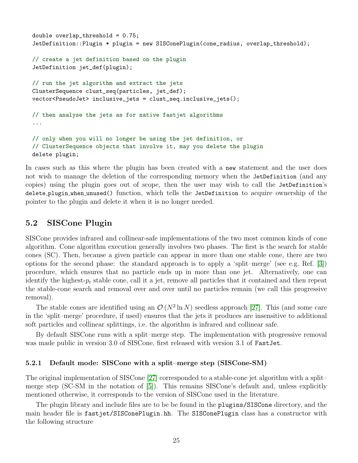```
double overlap_threshold = 0.75;
JetDefinition::Plugin * plugin = new SISConePlugin(cone_radius, overlap_threshold);
// create a jet definition based on the plugin
JetDefinition jet_def(plugin);
// run the jet algorithm and extract the jets
ClusterSequence clust_seq(particles, jet_def);
vector<PseudoJet> inclusive_jets = clust_seq.inclusive_jets();
// then analyse the jets as for native fastjet algorithms
...
// only when you will no longer be using the jet definition, or
// ClusterSequence objects that involve it, may you delete the plugin
delete plugin;
```
In cases such as this where the plugin has been created with a new statement and the user does not wish to manage the deletion of the corresponding memory when the JetDefinition (and any copies) using the plugin goes out of scope, then the user may wish to call the JetDefinition's delete plugin when unused() function, which tells the JetDefinition to acquire ownership of the pointer to the plugin and delete it when it is no longer needed.

# <span id="page-24-0"></span>5.2 SISCone Plugin

SISCone provides infrared and collinear-safe implementations of the two most common kinds of cone algorithm. Cone algorithm execution generally involves two phases. The first is the search for stable cones (SC). Then, because a given particle can appear in more than one stable cone, there are two options for the second phase: the standard approach is to apply a 'split–merge' (see e.g. Ref. [\[3\]](#page-80-2)) procedure, which ensures that no particle ends up in more than one jet. Alternatively, one can identify the highest- $p_t$  stable cone, call it a jet, remove all particles that it contained and then repeat the stable-cone search and removal over and over until no particles remain (we call this progressive removal).

The stable cones are identified using an  $\mathcal{O}(N^2 \ln N)$  seedless approach [\[27\]](#page-81-5). This (and some care in the 'split–merge' procedure, if used) ensures that the jets it produces are insensitive to additional soft particles and collinear splittings, i.e. the algorithm is infrared and collinear safe.

By default SISCone runs with a split–merge step. The implementation with progressive removal was made public in version 3.0 of SISCone, first released with version 3.1 of FastJet.

### <span id="page-24-1"></span>5.2.1 Default mode: SISCone with a split–merge step (SISCone-SM)

The original implementation of SISCone [\[27\]](#page-81-5) corresponded to a stable-cone jet algorithm with a split– merge step (SC-SM in the notation of [\[5\]](#page-80-4)). This remains SISCone's default and, unless explicitly mentioned otherwise, it corresponds to the version of SISCone used in the literature.

The plugin library and include files are to be be found in the plugins/SISCone directory, and the main header file is fastjet/SISConePlugin.hh. The SISConePlugin class has a constructor with the following structure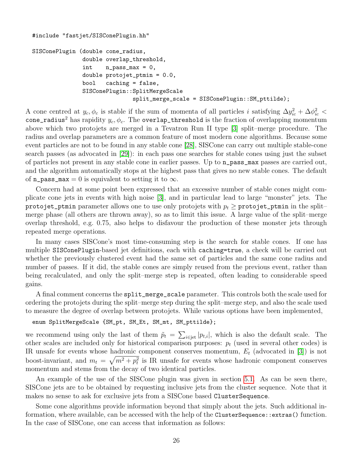#### #include "fastjet/SISConePlugin.hh"

```
SISConePlugin (double cone_radius,
               double overlap_threshold,
               int n_pass_max = 0,
               double protojet_ptmin = 0.0,
               bool caching = false,
               SISConePlugin::SplitMergeScale
                              split_merge_scale = SISConePlugin::SM_pttilde);
```
A cone centred at  $y_c, \phi_c$  is stable if the sum of momenta of all particles i satisfying  $\Delta y_{ic}^2 + \Delta \phi_{ic}^2$ cone\_radius<sup>2</sup> has rapidity  $y_c, \phi_c$ . The overlap\_threshold is the fraction of overlapping momentum above which two protojets are merged in a Tevatron Run II type [\[3\]](#page-80-2) split–merge procedure. The radius and overlap parameters are a common feature of most modern cone algorithms. Because some event particles are not to be found in any stable cone [\[28\]](#page-81-6), SISCone can carry out multiple stable-cone search passes (as advocated in [\[29\]](#page-81-7)): in each pass one searches for stable cones using just the subset of particles not present in any stable cone in earlier passes. Up to n\_pass\_max passes are carried out, and the algorithm automatically stops at the highest pass that gives no new stable cones. The default of n\_pass\_max = 0 is equivalent to setting it to  $\infty$ .

Concern had at some point been expressed that an excessive number of stable cones might complicate cone jets in events with high noise [\[3\]](#page-80-2), and in particular lead to large "monster" jets. The protojet\_ptmin parameter allows one to use only protojets with  $p_t$  > protojet\_ptmin in the split– merge phase (all others are thrown away), so as to limit this issue. A large value of the split–merge overlap threshold, e.g. 0.75, also helps to disfavour the production of these monster jets through repeated merge operations.

In many cases SISCone's most time-consuming step is the search for stable cones. If one has multiple SISConePlugin-based jet definitions, each with caching=true, a check will be carried out whether the previously clustered event had the same set of particles and the same cone radius and number of passes. If it did, the stable cones are simply reused from the previous event, rather than being recalculated, and only the split–merge step is repeated, often leading to considerable speed gains.

A final comment concerns the split\_merge\_scale parameter. This controls both the scale used for ordering the protojets during the split–merge step during the split–merge step, and also the scale used to measure the degree of overlap between protojets. While various options have been implemented,

#### enum SplitMergeScale {SM\_pt, SM\_Et, SM\_mt, SM\_pttilde};

we recommend using only the last of them  $\tilde{p}_t = \sum_{i \in \text{jet}} |p_{t,i}|$ , which is also the default scale. The other scales are included only for historical comparison purposes:  $p_t$  (used in several other codes) is IR unsafe for events whose hadronic component conserves momentum,  $E_t$  (advocated in [\[3\]](#page-80-2)) is not boost-invariant, and  $m_t = \sqrt{m^2 + p_t^2}$  is IR unsafe for events whose hadronic component conserves momentum and stems from the decay of two identical particles.

An example of the use of the SISCone plugin was given in section [5.1.](#page-23-2) As can be seen there, SISCone jets are to be obtained by requesting inclusive jets from the cluster sequence. Note that it makes no sense to ask for exclusive jets from a SISCone based ClusterSequence.

Some cone algorithms provide information beyond that simply about the jets. Such additional information, where available, can be accessed with the help of the ClusterSequence::extras() function. In the case of SISCone, one can access that information as follows: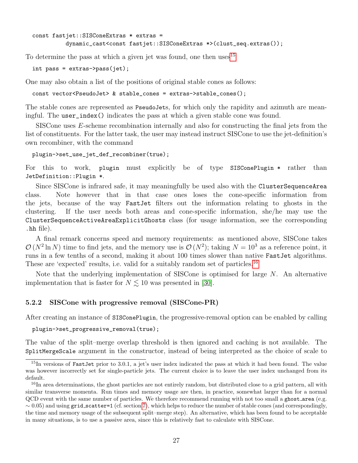```
const fastjet::SISConeExtras * extras =
          dynamic_cast<const fastjet::SISConeExtras *>(clust_seq.extras());
```
To determine the pass at which a given jet was found, one then uses  $15$ 

```
int pass = extras->pass(jet);
```
One may also obtain a list of the positions of original stable cones as follows:

```
const vector<PseudoJet> & stable_cones = extras->stable_cones();
```
The stable cones are represented as PseudoJets, for which only the rapidity and azimuth are meaningful. The user\_index() indicates the pass at which a given stable cone was found.

SISCone uses  $E$ -scheme recombination internally and also for constructing the final jets from the list of constituents. For the latter task, the user may instead instruct SISCone to use the jet-definition's own recombiner, with the command

```
plugin->set_use_jet_def_recombiner(true);
```
For this to work, plugin must explicitly be of type SISConePlugin \* rather than JetDefinition::Plugin \*.

Since SISCone is infrared safe, it may meaningfully be used also with the ClusterSequenceArea class. Note however that in that case ones loses the cone-specific information from the jets, because of the way FastJet filters out the information relating to ghosts in the clustering. If the user needs both areas and cone-specific information, she/he may use the ClusterSequenceActiveAreaExplicitGhosts class (for usage information, see the corresponding .hh file).

A final remark concerns speed and memory requirements: as mentioned above, SISCone takes  $\mathcal{O}(N^2 \ln N)$  time to find jets, and the memory use is  $\mathcal{O}(N^2)$ ; taking  $N = 10^3$  as a reference point, it runs in a few tenths of a second, making it about 100 times slower than native FastJet algorithms. These are 'expected' results, i.e. valid for a suitably random set of particles.<sup>[16](#page-26-2)</sup>

Note that the underlying implementation of SISCone is optimised for large  $N$ . An alternative implementation that is faster for  $N \lesssim 10$  was presented in [\[30\]](#page-81-8).

### <span id="page-26-0"></span>5.2.2 SISCone with progressive removal (SISCone-PR)

After creating an instance of SISConePlugin, the progressive-removal option can be enabled by calling

```
plugin->set_progressive_removal(true);
```
The value of the split–merge overlap threshold is then ignored and caching is not available. The SplitMergeScale argument in the constructor, instead of being interpreted as the choice of scale to

<span id="page-26-1"></span> $^{15}$ In versions of FastJet prior to 3.0.1, a jet's user index indicated the pass at which it had been found. The value was however incorrectly set for single-particle jets. The current choice is to leave the user index unchanged from its default.

<span id="page-26-2"></span><sup>&</sup>lt;sup>16</sup>In area determinations, the ghost particles are not entirely random, but distributed close to a grid pattern, all with similar transverse momenta. Run times and memory usage are then, in practice, somewhat larger than for a normal QCD event with the same number of particles. We therefore recommend running with not too small a ghost area (e.g.  $\sim 0.05$ ) and using grid\_scatter=1 (cf. section [7\)](#page-36-1), which helps to reduce the number of stable cones (and correspondingly, the time and memory usage of the subsequent split–merge step). An alternative, which has been found to be acceptable in many situations, is to use a passive area, since this is relatively fast to calculate with SISCone.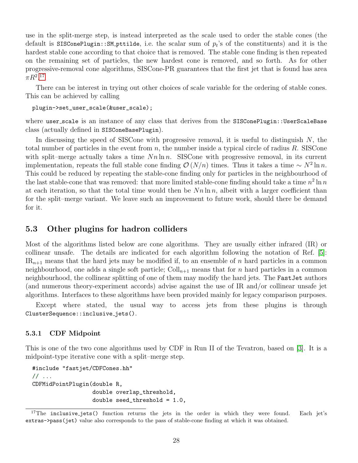use in the split-merge step, is instead interpreted as the scale used to order the stable cones (the default is SISConePlugin::SM\_pttilde, i.e. the scalar sum of  $p_t$ 's of the constituents) and it is the hardest stable cone according to that choice that is removed. The stable cone finding is then repeated on the remaining set of particles, the new hardest cone is removed, and so forth. As for other progressive-removal cone algorithms, SISCone-PR guarantees that the first jet that is found has area  $\pi R^{2.17}$  $\pi R^{2.17}$  $\pi R^{2.17}$ 

There can be interest in trying out other choices of scale variable for the ordering of stable cones. This can be achieved by calling

plugin->set\_user\_scale(&user\_scale);

where user\_scale is an instance of any class that derives from the SISConePlugin::UserScaleBase class (actually defined in SISConeBasePlugin).

In discussing the speed of SISCone with progressive removal, it is useful to distinguish  $N$ , the total number of particles in the event from  $n$ , the number inside a typical circle of radius  $R$ . SISCone with split–merge actually takes a time  $Nn \ln n$ . SISCone with progressive removal, in its current implementation, repeats the full stable cone finding  $\mathcal{O}(N/n)$  times. Thus it takes a time ~  $N^2 \ln n$ . This could be reduced by repeating the stable-cone finding only for particles in the neighbourhood of the last stable-cone that was removed: that more limited stable-cone finding should take a time  $n^2 \ln n$ at each iteration, so that the total time would then be  $Nn \ln n$ , albeit with a larger coefficient than for the split–merge variant. We leave such an improvement to future work, should there be demand for it.

## <span id="page-27-0"></span>5.3 Other plugins for hadron colliders

Most of the algorithms listed below are cone algorithms. They are usually either infrared (IR) or collinear unsafe. The details are indicated for each algorithm following the notation of Ref. [\[5\]](#page-80-4):  $IR_{n+1}$  means that the hard jets may be modified if, to an ensemble of n hard particles in a common neighbourhood, one adds a single soft particle;  $Coll_{n+1}$  means that for n hard particles in a common neighbourhood, the collinear splitting of one of them may modify the hard jets. The FastJet authors (and numerous theory-experiment accords) advise against the use of IR and/or collinear unsafe jet algorithms. Interfaces to these algorithms have been provided mainly for legacy comparison purposes.

Except where stated, the usual way to access jets from these plugins is through ClusterSequence::inclusive jets().

### <span id="page-27-1"></span>5.3.1 CDF Midpoint

This is one of the two cone algorithms used by CDF in Run II of the Tevatron, based on [\[3\]](#page-80-2). It is a midpoint-type iterative cone with a split–merge step.

```
#include "fastjet/CDFCones.hh"
// ...
CDFMidPointPlugin(double R,
                  double overlap_threshold,
                  double seed_threshold = 1.0,
```
<span id="page-27-2"></span><sup>&</sup>lt;sup>17</sup>The inclusive jets() function returns the jets in the order in which they were found. Each jet's extras->pass(jet) value also corresponds to the pass of stable-cone finding at which it was obtained.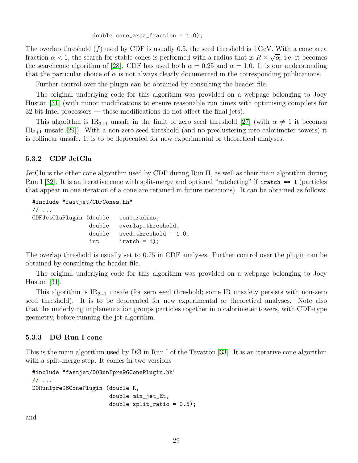The overlap threshold  $(f)$  used by CDF is usually 0.5, the seed threshold is 1 GeV. With a cone area fraction  $\alpha < 1$ , the search for stable cones is performed with a radius that is  $R \times \sqrt{\alpha}$ , i.e. it becomes the searchcone algorithm of [\[28\]](#page-81-6). CDF has used both  $\alpha = 0.25$  and  $\alpha = 1.0$ . It is our understanding that the particular choice of  $\alpha$  is not always clearly documented in the corresponding publications.

Further control over the plugin can be obtained by consulting the header file.

The original underlying code for this algorithm was provided on a webpage belonging to Joey Huston [\[31\]](#page-81-9) (with minor modifications to ensure reasonable run times with optimising compilers for 32-bit Intel processors — these modifications do not affect the final jets).

This algorithm is  $IR_{3+1}$  unsafe in the limit of zero seed threshold [\[27\]](#page-81-5) (with  $\alpha \neq 1$  it becomes  $IR<sub>2+1</sub>$  unsafe [\[29\]](#page-81-7)). With a non-zero seed threshold (and no preclustering into calorimeter towers) it is collinear unsafe. It is to be deprecated for new experimental or theoretical analyses.

#### <span id="page-28-0"></span>5.3.2 CDF JetClu

JetClu is the other cone algorithm used by CDF during Run II, as well as their main algorithm during Run I  $|32|$ . It is an iterative cone with split-merge and optional "ratcheting" if iratch  $=$  1 (particles that appear in one iteration of a cone are retained in future iterations). It can be obtained as follows:

```
#include "fastjet/CDFCones.hh"
// ...
CDFJetCluPlugin (double cone_radius,
                double overlap_threshold,
                double seed_threshold = 1.0,
                int iratch = 1);
```
The overlap threshold is usually set to 0.75 in CDF analyses. Further control over the plugin can be obtained by consulting the header file.

The original underlying code for this algorithm was provided on a webpage belonging to Joey Huston [\[31\]](#page-81-9).

This algorithm is  $IR_{2+1}$  unsafe (for zero seed threshold; some IR unsafety persists with non-zero seed threshold). It is to be deprecated for new experimental or theoretical analyses. Note also that the underlying implementation groups particles together into calorimeter towers, with CDF-type geometry, before running the jet algorithm.

#### <span id="page-28-1"></span>5.3.3 DØ Run I cone

This is the main algorithm used by  $D\varnothing$  in Run I of the Tevatron [\[33\]](#page-81-11). It is an iterative cone algorithm with a split-merge step. It comes in two versions

```
#include "fastjet/D0RunIpre96ConePlugin.hh"
// ...
D0RunIpre96ConePlugin (double R,
                       double min_jet_Et,
                       double split\_ratio = 0.5;
```
and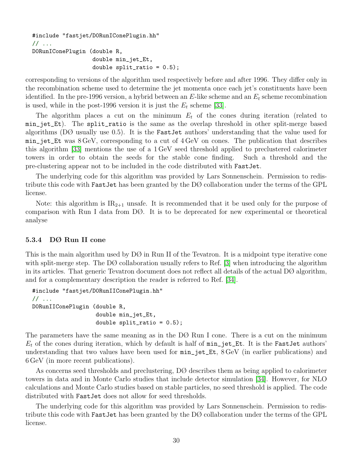```
#include "fastjet/D0RunIConePlugin.hh"
// ...
D0RunIConePlugin (double R,
                  double min_jet_Et,
                  double split\_ratio = 0.5;
```
corresponding to versions of the algorithm used respectively before and after 1996. They differ only in the recombination scheme used to determine the jet momenta once each jet's constituents have been identified. In the pre-1996 version, a hybrid between an E-like scheme and an  $E_t$  scheme recombination is used, while in the post-1996 version it is just the  $E_t$  scheme [\[33\]](#page-81-11).

The algorithm places a cut on the minimum  $E_t$  of the cones during iteration (related to min\_jet\_Et). The split\_ratio is the same as the overlap threshold in other split-merge based algorithms (DØ usually use 0.5). It is the FastJet authors' understanding that the value used for min\_jet\_Et was 8 GeV, corresponding to a cut of 4 GeV on cones. The publication that describes this algorithm [\[33\]](#page-81-11) mentions the use of a 1 GeV seed threshold applied to preclustered calorimeter towers in order to obtain the seeds for the stable cone finding. Such a threshold and the pre-clustering appear not to be included in the code distributed with FastJet.

The underlying code for this algorithm was provided by Lars Sonnenschein. Permission to redistribute this code with FastJet has been granted by the DØ collaboration under the terms of the GPL license.

Note: this algorithm is  $IR_{2+1}$  unsafe. It is recommended that it be used only for the purpose of comparison with Run I data from DØ. It is to be deprecated for new experimental or theoretical analyse

### <span id="page-29-0"></span>5.3.4 DØ Run II cone

This is the main algorithm used by DØ in Run II of the Tevatron. It is a midpoint type iterative cone with split-merge step. The  $D\emptyset$  collaboration usually refers to Ref. [\[3\]](#page-80-2) when introducing the algorithm in its articles. That generic Tevatron document does not reflect all details of the actual DØ algorithm, and for a complementary description the reader is referred to Ref. [\[34\]](#page-81-12).

```
#include "fastjet/D0RunIIConePlugin.hh"
// ...
D0RunIIConePlugin (double R,
                   double min_jet_Et,
                   double split\_ratio = 0.5;
```
The parameters have the same meaning as in the DØ Run I cone. There is a cut on the minimum  $E_t$  of the cones during iteration, which by default is half of  $min_j$ et\_Et. It is the FastJet authors' understanding that two values have been used for min\_jet\_Et, 8 GeV (in earlier publications) and 6 GeV (in more recent publications).

As concerns seed thresholds and preclustering, DØ describes them as being applied to calorimeter towers in data and in Monte Carlo studies that include detector simulation [\[34\]](#page-81-12). However, for NLO calculations and Monte Carlo studies based on stable particles, no seed threshold is applied. The code distributed with FastJet does not allow for seed thresholds.

The underlying code for this algorithm was provided by Lars Sonnenschein. Permission to redistribute this code with FastJet has been granted by the DØ collaboration under the terms of the GPL license.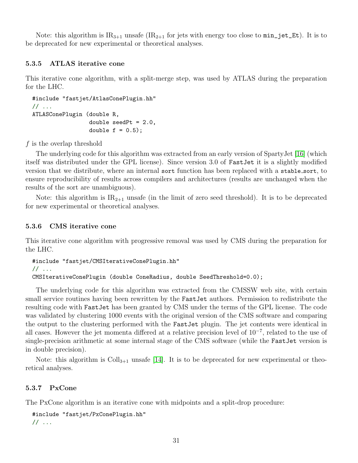Note: this algorithm is  $IR_{3+1}$  unsafe  $IR_{2+1}$  for jets with energy too close to  $min\_jet\_Et$ ). It is to be deprecated for new experimental or theoretical analyses.

### <span id="page-30-0"></span>5.3.5 ATLAS iterative cone

This iterative cone algorithm, with a split-merge step, was used by ATLAS during the preparation for the LHC.

```
#include "fastjet/AtlasConePlugin.hh"
// ...
ATLASConePlugin (double R,
                 double seedPt = 2.0,
                 double f = 0.5;
```
f is the overlap threshold

The underlying code for this algorithm was extracted from an early version of SpartyJet [\[16\]](#page-80-15) (which itself was distributed under the GPL license). Since version 3.0 of FastJet it is a slightly modified version that we distribute, where an internal sort function has been replaced with a stable sort, to ensure reproducibility of results across compilers and architectures (results are unchanged when the results of the sort are unambiguous).

Note: this algorithm is  $IR_{2+1}$  unsafe (in the limit of zero seed threshold). It is to be deprecated for new experimental or theoretical analyses.

#### <span id="page-30-1"></span>5.3.6 CMS iterative cone

This iterative cone algorithm with progressive removal was used by CMS during the preparation for the LHC.

```
#include "fastjet/CMSIterativeConePlugin.hh"
// ...
CMSIterativeConePlugin (double ConeRadius, double SeedThreshold=0.0);
```
The underlying code for this algorithm was extracted from the CMSSW web site, with certain small service routines having been rewritten by the FastJet authors. Permission to redistribute the resulting code with FastJet has been granted by CMS under the terms of the GPL license. The code was validated by clustering 1000 events with the original version of the CMS software and comparing the output to the clustering performed with the FastJet plugin. The jet contents were identical in all cases. However the jet momenta differed at a relative precision level of  $10^{-7}$ , related to the use of single-precision arithmetic at some internal stage of the CMS software (while the FastJet version is in double precision).

Note: this algorithm is  $Coll_{3+1}$  unsafe [\[14\]](#page-80-13). It is to be deprecated for new experimental or theoretical analyses.

### <span id="page-30-2"></span>5.3.7 PxCone

The PxCone algorithm is an iterative cone with midpoints and a split-drop procedure:

```
#include "fastjet/PxConePlugin.hh"
// ...
```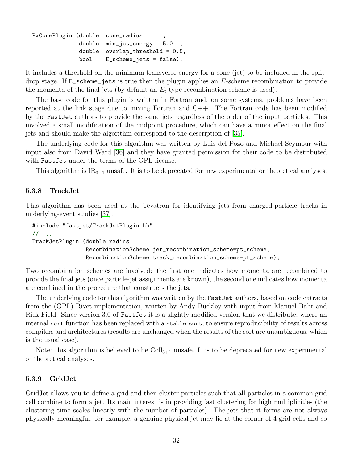```
PxConePlugin (double cone_radius ,
             double min_jet\_energy = 5.0double overlap_threshold = 0.5,
             bool E_scheme_jets = false);
```
It includes a threshold on the minimum transverse energy for a cone (jet) to be included in the splitdrop stage. If  $E$ <sub>scheme</sub> jets is true then the plugin applies an E-scheme recombination to provide the momenta of the final jets (by default an  $E_t$  type recombination scheme is used).

The base code for this plugin is written in Fortran and, on some systems, problems have been reported at the link stage due to mixing Fortran and C++. The Fortran code has been modified by the FastJet authors to provide the same jets regardless of the order of the input particles. This involved a small modification of the midpoint procedure, which can have a minor effect on the final jets and should make the algorithm correspond to the description of [\[35\]](#page-81-13).

The underlying code for this algorithm was written by Luis del Pozo and Michael Seymour with input also from David Ward [\[36\]](#page-81-14) and they have granted permission for their code to be distributed with FastJet under the terms of the GPL license.

This algorithm is  $IR_{3+1}$  unsafe. It is to be deprecated for new experimental or theoretical analyses.

### <span id="page-31-0"></span>5.3.8 TrackJet

This algorithm has been used at the Tevatron for identifying jets from charged-particle tracks in underlying-event studies [\[37\]](#page-81-15).

```
#include "fastjet/TrackJetPlugin.hh"
// ...
TrackJetPlugin (double radius,
                RecombinationScheme jet_recombination_scheme=pt_scheme,
                RecombinationScheme track_recombination_scheme=pt_scheme);
```
Two recombination schemes are involved: the first one indicates how momenta are recombined to provide the final jets (once particle-jet assignments are known), the second one indicates how momenta are combined in the procedure that constructs the jets.

The underlying code for this algorithm was written by the FastJet authors, based on code extracts from the (GPL) Rivet implementation, written by Andy Buckley with input from Manuel Bahr and Rick Field. Since version 3.0 of FastJet it is a slightly modified version that we distribute, where an internal sort function has been replaced with a stable sort, to ensure reproducibility of results across compilers and architectures (results are unchanged when the results of the sort are unambiguous, which is the usual case).

Note: this algorithm is believed to be  $Coll_{3+1}$  unsafe. It is to be deprecated for new experimental or theoretical analyses.

### <span id="page-31-1"></span>5.3.9 GridJet

GridJet allows you to define a grid and then cluster particles such that all particles in a common grid cell combine to form a jet. Its main interest is in providing fast clustering for high multiplicities (the clustering time scales linearly with the number of particles). The jets that it forms are not always physically meaningful: for example, a genuine physical jet may lie at the corner of 4 grid cells and so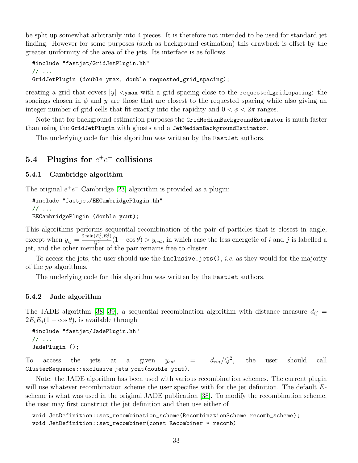be split up somewhat arbitrarily into 4 pieces. It is therefore not intended to be used for standard jet finding. However for some purposes (such as background estimation) this drawback is offset by the greater uniformity of the area of the jets. Its interface is as follows

```
#include "fastjet/GridJetPlugin.hh"
// ...
GridJetPlugin (double ymax, double requested_grid_spacing);
```
creating a grid that covers  $|y|$   $\lt$ ymax with a grid spacing close to the requested grid spacing: the spacings chosen in  $\phi$  and y are those that are closest to the requested spacing while also giving an integer number of grid cells that fit exactly into the rapidity and  $0 < \phi < 2\pi$  ranges.

Note that for background estimation purposes the GridMedianBackgroundEstimator is much faster than using the GridJetPlugin with ghosts and a JetMedianBackgroundEstimator.

The underlying code for this algorithm was written by the FastJet authors.

# <span id="page-32-0"></span>5.4 Plugins for  $e^+e^-$  collisions

### <span id="page-32-1"></span>5.4.1 Cambridge algorithm

The original  $e^+e^-$  Cambridge [\[23\]](#page-81-1) algorithm is provided as a plugin:

```
#include "fastjet/EECambridgePlugin.hh"
// ...
EECambridgePlugin (double ycut);
```
This algorithms performs sequential recombination of the pair of particles that is closest in angle, except when  $y_{ij} = \frac{2 \min(E_i^2, E_j^2)}{Q^2} (1 - \cos \theta) > y_{cut}$ , in which case the less energetic of i and j is labelled a jet, and the other member of the pair remains free to cluster.

To access the jets, the user should use the inclusive jets(), *i.e.* as they would for the majority of the pp algorithms.

The underlying code for this algorithm was written by the FastJet authors.

### <span id="page-32-2"></span>5.4.2 Jade algorithm

The JADE algorithm [\[38,](#page-81-16) [39\]](#page-81-17), a sequential recombination algorithm with distance measure  $d_{ij}$  =  $2E_iE_j(1-\cos\theta)$ , is available through

```
#include "fastjet/JadePlugin.hh"
// ...
JadePlugin ();
```
To access the jets at a given  $y_{cut} = d_{cut}/Q^2$ , , the user should call ClusterSequence::exclusive jets ycut(double ycut).

Note: the JADE algorithm has been used with various recombination schemes. The current plugin will use whatever recombination scheme the user specifies with for the jet definition. The default Escheme is what was used in the original JADE publication [\[38\]](#page-81-16). To modify the recombination scheme, the user may first construct the jet definition and then use either of

```
void JetDefinition::set_recombination_scheme(RecombinationScheme recomb_scheme);
void JetDefinition::set_recombiner(const Recombiner * recomb)
```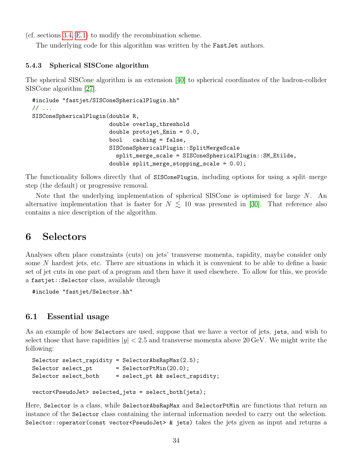(cf. sections [3.4,](#page-16-0) [E.1\)](#page-68-2) to modify the recombination scheme.

The underlying code for this algorithm was written by the FastJet authors.

## <span id="page-33-0"></span>5.4.3 Spherical SISCone algorithm

The spherical SISCone algorithm is an extension [\[40\]](#page-81-18) to spherical coordinates of the hadron-collider SISCone algorithm [\[27\]](#page-81-5).

```
#include "fastjet/SISConeSphericalPlugin.hh"
// ...
SISConeSphericalPlugin(double R,
                       double overlap_threshold
                       double protojet_Emin = 0.0,
                       bool caching = false,
                       SISConeSphericalPlugin::SplitMergeScale
                         split_merge_scale = SISConeSphericalPlugin::SM_Etilde,
                       double split_merge_stopping_scale = 0.0);
```
The functionality follows directly that of **SISConePlugin**, including options for using a split–merge step (the default) or progressive removal.

Note that the underlying implementation of spherical SISCone is optimised for large N. An alternative implementation that is faster for  $N \leq 10$  was presented in [\[30\]](#page-81-8). That reference also contains a nice description of the algorithm.

# <span id="page-33-1"></span>6 Selectors

Analyses often place constraints (cuts) on jets' transverse momenta, rapidity, maybe consider only some N hardest jets, etc. There are situations in which it is convenient to be able to define a basic set of jet cuts in one part of a program and then have it used elsewhere. To allow for this, we provide a fastjet::Selector class, available through

```
#include "fastjet/Selector.hh"
```
# <span id="page-33-2"></span>6.1 Essential usage

As an example of how Selectors are used, suppose that we have a vector of jets, jets, and wish to select those that have rapidities  $|y| < 2.5$  and transverse momenta above 20 GeV. We might write the following:

```
Selector select_rapidity = SelectorAbsRapMax(2.5);
Selectron\ select\_pt = SelectronPtMin(20.0);Selector select_both = select_pt && select_rapidity;
```
vector<PseudoJet> selected\_jets = select\_both(jets);

Here, Selector is a class, while SelectorAbsRapMax and SelectorPtMin are functions that return an instance of the Selector class containing the internal information needed to carry out the selection. Selector::operator(const vector<PseudoJet> & jets) takes the jets given as input and returns a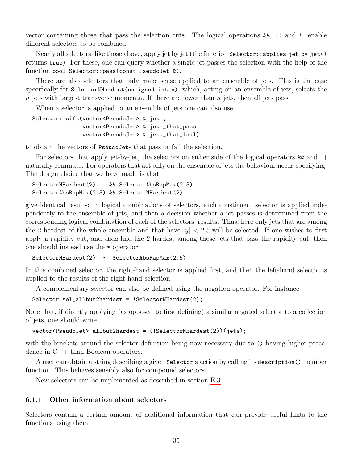vector containing those that pass the selection cuts. The logical operations  $\&$ ,  $||$  and  $||$  enable different selectors to be combined.

Nearly all selectors, like those above, apply jet by jet (the function Selector::applies jet by jet() returns true). For these, one can query whether a single jet passes the selection with the help of the function bool Selector::pass(const PseudoJet &).

There are also selectors that only make sense applied to an ensemble of jets. This is the case specifically for SelectorNHardest(unsigned int n), which, acting on an ensemble of jets, selects the  $n$  jets with largest transverse momenta. If there are fewer than  $n$  jets, then all jets pass.

When a selector is applied to an ensemble of jets one can also use

```
Selector::sift(vector<PseudoJet> & jets,
               vector<PseudoJet> & jets_that_pass,
               vector<PseudoJet> & jets_that_fail)
```
to obtain the vectors of PseudoJets that pass or fail the selection.

For selectors that apply jet-by-jet, the selectors on either side of the logical operators && and || naturally commute. For operators that act only on the ensemble of jets the behaviour needs specifying. The design choice that we have made is that

```
SelectorNHardest(2) && SelectorAbsRapMax(2.5)
SelectorAbsRapMax(2.5) && SelectorNHardest(2)
```
give identical results: in logical combinations of selectors, each constituent selector is applied independently to the ensemble of jets, and then a decision whether a jet passes is determined from the corresponding logical combination of each of the selectors' results. Thus, here only jets that are among the 2 hardest of the whole ensemble and that have  $|y| < 2.5$  will be selected. If one wishes to first apply a rapidity cut, and then find the 2 hardest among those jets that pass the rapidity cut, then one should instead use the \* operator:

SelectorNHardest(2) \* SelectorAbsRapMax(2.5)

In this combined selector, the right-hand selector is applied first, and then the left-hand selector is applied to the results of the right-hand selection.

A complementary selector can also be defined using the negation operator. For instance

Selector sel\_allbut2hardest = !SelectorNHardest(2);

Note that, if directly applying (as opposed to first defining) a similar negated selector to a collection of jets, one should write

vector<PseudoJet> allbut2hardest = (!SelectorNHardest(2))(jets);

with the brackets around the selector definition being now necessary due to  $\alpha$  having higher precedence in C++ than Boolean operators.

A user can obtain a string describing a given Selector's action by calling its description() member function. This behaves sensibly also for compound selectors.

New selectors can be implemented as described in section [E.3.](#page-72-0)

### <span id="page-34-0"></span>6.1.1 Other information about selectors

Selectors contain a certain amount of additional information that can provide useful hints to the functions using them.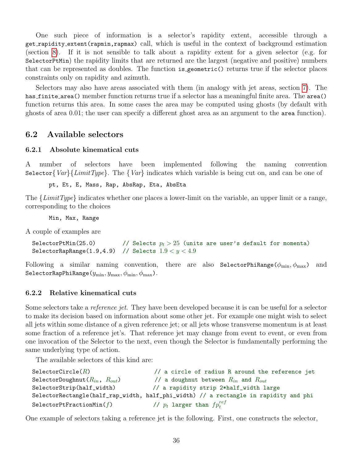One such piece of information is a selector's rapidity extent, accessible through a get rapidity extent(rapmin,rapmax) call, which is useful in the context of background estimation (section [8\)](#page-41-0). If it is not sensible to talk about a rapidity extent for a given selector (e.g. for SelectorPtMin) the rapidity limits that are returned are the largest (negative and positive) numbers that can be represented as doubles. The function is geometric() returns true if the selector places constraints only on rapidity and azimuth.

Selectors may also have areas associated with them (in analogy with jet areas, section [7\)](#page-36-1). The has finite area() member function returns true if a selector has a meaningful finite area. The area() function returns this area. In some cases the area may be computed using ghosts (by default with ghosts of area 0.01; the user can specify a different ghost area as an argument to the area function).

### <span id="page-35-0"></span>6.2 Available selectors

#### <span id="page-35-1"></span>6.2.1 Absolute kinematical cuts

A number of selectors have been implemented following the naming convention Selector{ $Var\{LimitType\}$ . The { $Var\}$  indicates which variable is being cut on, and can be one of

pt, Et, E, Mass, Rap, AbsRap, Eta, AbsEta

The  $\{LimitType\}$  indicates whether one places a lower-limit on the variable, an upper limit or a range, corresponding to the choices

Min, Max, Range

A couple of examples are

```
SelectorPtMin(25.0) \qquad // Selects p_t > 25 (units are user's default for momenta)
SelectorRapRange(1.9,4.9) // Selects 1.9 < y < 4.9
```
Following a similar naming convention, there are also SelectorPhiRange( $\phi_{min}, \phi_{max}$ ) and SelectorRapPhiRange( $y_{\text{min}}, y_{\text{max}}, \phi_{\text{min}}, \phi_{\text{max}}$ ).

#### <span id="page-35-2"></span>6.2.2 Relative kinematical cuts

Some selectors take a reference jet. They have been developed because it is can be useful for a selector to make its decision based on information about some other jet. For example one might wish to select all jets within some distance of a given reference jet; or all jets whose transverse momentum is at least some fraction of a reference jet's. That reference jet may change from event to event, or even from one invocation of the Selector to the next, even though the Selector is fundamentally performing the same underlying type of action.

The available selectors of this kind are:

| $\texttt{SelectorCircle}(R)$             | // a circle of radius R around the reference jet                                     |
|------------------------------------------|--------------------------------------------------------------------------------------|
| SelectorDoughnut( $R_{in}$ , $R_{out}$ ) | // a doughnut between $R_{in}$ and $R_{out}$                                         |
| SelectorStrip(half_width)                | // a rapidity strip 2*half_width large                                               |
|                                          | SelectorRectangle(half_rap_width, half_phi_width) // a rectangle in rapidity and phi |
| $\text{SelectionPrim}(f)$                | // $p_t$ larger than $fp_t^{ref}$                                                    |

One example of selectors taking a reference jet is the following. First, one constructs the selector,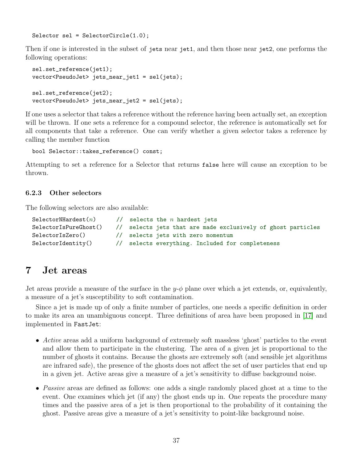```
Selector sel = SelectorCircle(1.0);
```
Then if one is interested in the subset of jets near jet1, and then those near jet2, one performs the following operations:

```
sel.set_reference(jet1);
vector<PseudoJet> jets_near_jet1 = sel(jets);
sel.set_reference(jet2);
vector<PseudoJet> jets_near_jet2 = sel(jets);
```
If one uses a selector that takes a reference without the reference having been actually set, an exception will be thrown. If one sets a reference for a compound selector, the reference is automatically set for all components that take a reference. One can verify whether a given selector takes a reference by calling the member function

bool Selector::takes\_reference() const;

Attempting to set a reference for a Selector that returns false here will cause an exception to be thrown.

### 6.2.3 Other selectors

The following selectors are also available:

| $\texttt{SelectorNHardest}(n)$ |               | // selects the $n$ hardest jets                           |
|--------------------------------|---------------|-----------------------------------------------------------|
| SelectorIsPureGhost()          | $\frac{1}{2}$ | selects jets that are made exclusively of ghost particles |
| SelectorIsZero()               |               | // selects jets with zero momentum                        |
| SelectorIdentity()             |               | // selects everything. Included for completeness          |

# 7 Jet areas

Jet areas provide a measure of the surface in the  $y-\phi$  plane over which a jet extends, or, equivalently, a measure of a jet's susceptibility to soft contamination.

Since a jet is made up of only a finite number of particles, one needs a specific definition in order to make its area an unambiguous concept. Three definitions of area have been proposed in [\[17\]](#page-80-0) and implemented in FastJet:

- Active areas add a uniform background of extremely soft massless 'ghost' particles to the event and allow them to participate in the clustering. The area of a given jet is proportional to the number of ghosts it contains. Because the ghosts are extremely soft (and sensible jet algorithms are infrared safe), the presence of the ghosts does not affect the set of user particles that end up in a given jet. Active areas give a measure of a jet's sensitivity to diffuse background noise.
- Passive areas are defined as follows: one adds a single randomly placed ghost at a time to the event. One examines which jet (if any) the ghost ends up in. One repeats the procedure many times and the passive area of a jet is then proportional to the probability of it containing the ghost. Passive areas give a measure of a jet's sensitivity to point-like background noise.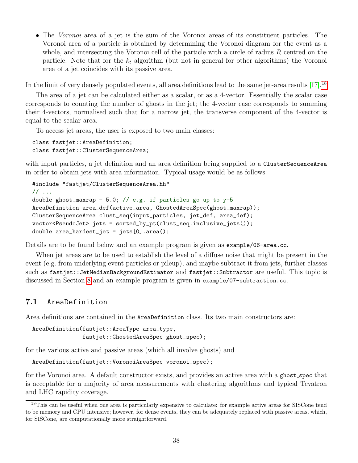• The Voronoi area of a jet is the sum of the Voronoi areas of its constituent particles. The Voronoi area of a particle is obtained by determining the Voronoi diagram for the event as a whole, and intersecting the Voronoi cell of the particle with a circle of radius R centred on the particle. Note that for the  $k_t$  algorithm (but not in general for other algorithms) the Voronoi area of a jet coincides with its passive area.

In the limit of very densely populated events, all area definitions lead to the same jet-area results [\[17\]](#page-80-0).<sup>[18](#page-37-0)</sup>

The area of a jet can be calculated either as a scalar, or as a 4-vector. Essentially the scalar case corresponds to counting the number of ghosts in the jet; the 4-vector case corresponds to summing their 4-vectors, normalised such that for a narrow jet, the transverse component of the 4-vector is equal to the scalar area.

To access jet areas, the user is exposed to two main classes:

class fastjet::AreaDefinition; class fastjet::ClusterSequenceArea;

with input particles, a jet definition and an area definition being supplied to a ClusterSequenceArea in order to obtain jets with area information. Typical usage would be as follows:

```
#include "fastjet/ClusterSequenceArea.hh"
// ...
double ghost_maxrap = 5.0; // e.g. if particles go up to y=5AreaDefinition area_def(active_area, GhostedAreaSpec(ghost_maxrap));
ClusterSequenceArea clust_seq(input_particles, jet_def, area_def);
vector<PseudoJet> jets = sorted_by_pt(clust_seq.inclusive_jets());
double area_hardest_jet = jets[0].area();
```
Details are to be found below and an example program is given as example/06-area.cc.

When jet areas are to be used to establish the level of a diffuse noise that might be present in the event (e.g. from underlying event particles or pileup), and maybe subtract it from jets, further classes such as fastjet::JetMedianBackgroundEstimator and fastjet::Subtractor are useful. This topic is discussed in Section [8](#page-41-0) and an example program is given in example/07-subtraction.cc.

## 7.1 AreaDefinition

Area definitions are contained in the AreaDefinition class. Its two main constructors are:

```
AreaDefinition(fastjet::AreaType area_type,
               fastjet::GhostedAreaSpec ghost_spec);
```
for the various active and passive areas (which all involve ghosts) and

```
AreaDefinition(fastjet::VoronoiAreaSpec voronoi_spec);
```
for the Voronoi area. A default constructor exists, and provides an active area with a ghost spec that is acceptable for a majority of area measurements with clustering algorithms and typical Tevatron and LHC rapidity coverage.

<span id="page-37-0"></span><sup>&</sup>lt;sup>18</sup>This can be useful when one area is particularly expensive to calculate: for example active areas for SISCone tend to be memory and CPU intensive; however, for dense events, they can be adequately replaced with passive areas, which, for SISCone, are computationally more straightforward.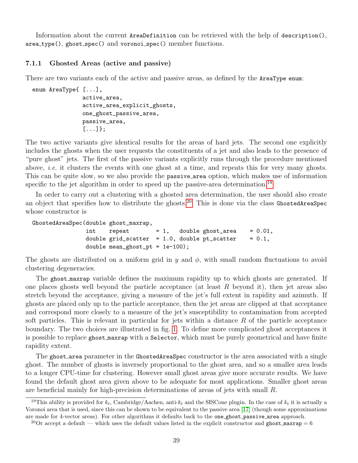Information about the current AreaDefinition can be retrieved with the help of description(), area\_type(), ghost\_spec() and voronoi\_spec() member functions.

#### <span id="page-38-2"></span>7.1.1 Ghosted Areas (active and passive)

There are two variants each of the active and passive areas, as defined by the AreaType enum:

```
enum AreaType{ [...],
               active_area,
               active_area_explicit_ghosts,
               one_ghost_passive_area,
               passive_area,
                [...]};
```
The two active variants give identical results for the areas of hard jets. The second one explicitly includes the ghosts when the user requests the constituents of a jet and also leads to the presence of "pure ghost" jets. The first of the passive variants explicitly runs through the procedure mentioned above, *i.e.* it clusters the events with one ghost at a time, and repeats this for very many ghosts. This can be quite slow, so we also provide the passive area option, which makes use of information specific to the jet algorithm in order to speed up the passive-area determination.<sup>[19](#page-38-0)</sup>

In order to carry out a clustering with a ghosted area determination, the user should also create an object that specifies how to distribute the ghosts.<sup>[20](#page-38-1)</sup> This is done via the class GhostedAreaSpec whose constructor is

```
GhostedAreaSpec(double ghost_maxrap,
```

```
int repeat = 1, double ghost_area = 0.01,
double grid_scatter = 1.0, double pt_scatter = 0.1,
double mean_ghost_pt = 1e-100);
```
The ghosts are distributed on a uniform grid in y and  $\phi$ , with small random fluctuations to avoid clustering degeneracies.

The ghost maxrap variable defines the maximum rapidity up to which ghosts are generated. If one places ghosts well beyond the particle acceptance (at least  $R$  beyond it), then jet areas also stretch beyond the acceptance, giving a measure of the jet's full extent in rapidity and azimuth. If ghosts are placed only up to the particle acceptance, then the jet areas are clipped at that acceptance and correspond more closely to a measure of the jet's susceptibility to contamination from accepted soft particles. This is relevant in particular for jets within a distance  $R$  of the particle acceptance boundary. The two choices are illustrated in fig. [1.](#page-39-0) To define more complicated ghost acceptances it is possible to replace ghost maxrap with a Selector, which must be purely geometrical and have finite rapidity extent.

The ghost area parameter in the GhostedAreaSpec constructor is the area associated with a single ghost. The number of ghosts is inversely proportional to the ghost area, and so a smaller area leads to a longer CPU-time for clustering. However small ghost areas give more accurate results. We have found the default ghost area given above to be adequate for most applications. Smaller ghost areas are beneficial mainly for high-precision determinations of areas of jets with small R.

<span id="page-38-0"></span><sup>&</sup>lt;sup>19</sup>This ability is provided for  $k_t$ , Cambridge/Aachen, anti- $k_t$  and the SISCone plugin. In the case of  $k_t$  it is actually a Voronoi area that is used, since this can be shown to be equivalent to the passive area [\[17\]](#page-80-0) (though some approximations are made for 4-vector areas). For other algorithms it defaults back to the one ghost passive area approach.

<span id="page-38-1"></span><sup>&</sup>lt;sup>20</sup>Or accept a default — which uses the default values listed in the explicit constructor and ghost maxrap = 6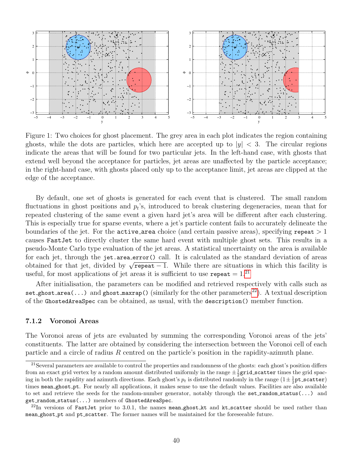

<span id="page-39-0"></span>Figure 1: Two choices for ghost placement. The grey area in each plot indicates the region containing ghosts, while the dots are particles, which here are accepted up to  $|y| < 3$ . The circular regions indicate the areas that will be found for two particular jets. In the left-hand case, with ghosts that extend well beyond the acceptance for particles, jet areas are unaffected by the particle acceptance; in the right-hand case, with ghosts placed only up to the acceptance limit, jet areas are clipped at the edge of the acceptance.

By default, one set of ghosts is generated for each event that is clustered. The small random fluctuations in ghost positions and  $p_t$ 's, introduced to break clustering degeneracies, mean that for repeated clustering of the same event a given hard jet's area will be different after each clustering. This is especially true for sparse events, where a jet's particle content fails to accurately delineate the boundaries of the jet. For the active area choice (and certain passive areas), specifying repeat  $> 1$ causes FastJet to directly cluster the same hard event with multiple ghost sets. This results in a pseudo-Monte Carlo type evaluation of the jet areas. A statistical uncertainty on the area is available for each jet, through the jet.area error() call. It is calculated as the standard deviation of areas for each jet, through the jet. area error () can. It is calculated as the standard deviation of areas<br>obtained for that jet, divided by  $\sqrt{\text{repeat} - 1}$ . While there are situations in which this facility is useful, for most applications of jet areas it is sufficient to use repeat  $= 1$ .<sup>[21](#page-39-1)</sup>

After initialisation, the parameters can be modified and retrieved respectively with calls such as set ghost area(...) and ghost maxrap() (similarly for the other parameters<sup>[22](#page-39-2)</sup>). A textual description of the GhostedAreaSpec can be obtained, as usual, with the description() member function.

#### 7.1.2 Voronoi Areas

The Voronoi areas of jets are evaluated by summing the corresponding Voronoi areas of the jets' constituents. The latter are obtained by considering the intersection between the Voronoi cell of each particle and a circle of radius R centred on the particle's position in the rapidity-azimuth plane.

<span id="page-39-1"></span><sup>&</sup>lt;sup>21</sup>Several parameters are available to control the properties and randomness of the ghosts: each ghost's position differs from an exact grid vertex by a random amount distributed uniformly in the range  $\pm \frac{1}{2}$ **grid\_scatter** times the grid spacing in both the rapidity and azimuth directions. Each ghost's  $p_t$  is distributed randomly in the range  $(1 \pm \frac{1}{2} \texttt{pt\_scatter})$ times mean ghost pt. For nearly all applications, it makes sense to use the default values. Facilities are also available to set and retrieve the seeds for the random-number generator, notably through the  $set\_random\_status(...)$  and get random status(...) members of GhostedAreaSpec.

<span id="page-39-2"></span> $^{22}$ In versions of FastJet prior to 3.0.1, the names mean ghost kt and kt scatter should be used rather than mean ghost pt and pt scatter. The former names will be maintained for the foreseeable future.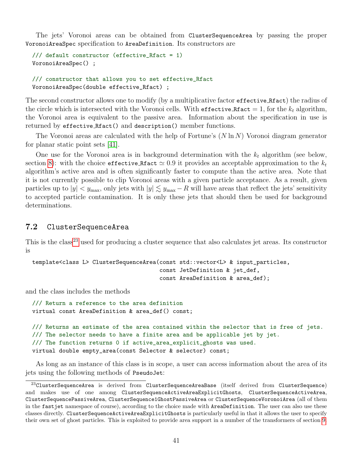The jets' Voronoi areas can be obtained from ClusterSequenceArea by passing the proper VoronoiAreaSpec specification to AreaDefinition. Its constructors are

```
/// default constructor (effective_Rfact = 1)
VoronoiAreaSpec() ;
```

```
/// constructor that allows you to set effective_Rfact
VoronoiAreaSpec(double effective_Rfact) ;
```
The second constructor allows one to modify (by a multiplicative factor effective Rfact) the radius of the circle which is intersected with the Voronoi cells. With effective Rfact  $= 1$ , for the  $k_t$  algorithm, the Voronoi area is equivalent to the passive area. Information about the specification in use is returned by effective Rfact() and description() member functions.

The Voronoi areas are calculated with the help of Fortune's  $(N \ln N)$  Voronoi diagram generator for planar static point sets [\[41\]](#page-81-0).

One use for the Voronoi area is in background determination with the  $k_t$  algorithm (see below, section [8\)](#page-41-0): with the choice effective Rfact  $\simeq 0.9$  it provides an acceptable approximation to the  $k_t$ algorithm's active area and is often significantly faster to compute than the active area. Note that it is not currently possible to clip Voronoi areas with a given particle acceptance. As a result, given particles up to  $|y| < y_{\text{max}}$ , only jets with  $|y| \lesssim y_{\text{max}} - R$  will have areas that reflect the jets' sensitivity to accepted particle contamination. It is only these jets that should then be used for background determinations.

### 7.2 ClusterSequenceArea

This is the class<sup>[23](#page-40-0)</sup> used for producing a cluster sequence that also calculates jet areas. Its constructor is

```
template<class L> ClusterSequenceArea(const std::vector<L> & input_particles,
                                      const JetDefinition & jet_def,
                                      const AreaDefinition & area_def);
```
and the class includes the methods

```
/// Return a reference to the area definition
virtual const AreaDefinition & area_def() const;
/// Returns an estimate of the area contained within the selector that is free of jets.
/// The selector needs to have a finite area and be applicable jet by jet.
/// The function returns 0 if active_area_explicit_ghosts was used.
virtual double empty_area(const Selector & selector) const;
```
As long as an instance of this class is in scope, a user can access information about the area of its jets using the following methods of PseudoJet:

<span id="page-40-0"></span> $^{23}$ ClusterSequenceArea is derived from ClusterSequenceAreaBase (itself derived from ClusterSequence) and makes use of one among ClusterSequenceActiveAreaExplicitGhosts, ClusterSequenceActiveArea, ClusterSequencePassiveArea, ClusterSequence1GhostPassiveArea or ClusterSequenceVoronoiArea (all of them in the fastjet namespace of course), according to the choice made with AreaDefinition. The user can also use these classes directly. ClusterSequenceActiveAreaExplicitGhosts is particularly useful in that it allows the user to specify their own set of ghost particles. This is exploited to provide area support in a number of the transformers of section [9.](#page-48-0)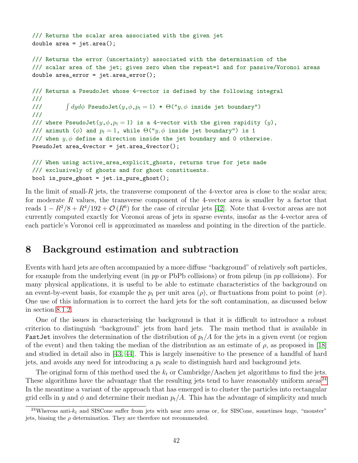```
/// Returns the scalar area associated with the given jet
double area = jet.area();
/// Returns the error (uncertainty) associated with the determination of the
/// scalar area of the jet; gives zero when the repeat=1 and for passive/Voronoi areas
double area_error = jet.area_error();
/// Returns a PseudoJet whose 4-vector is defined by the following integral
///
///
          \int dy d\phi PseudoJet(y, \phi, p_t = 1) * \Theta("y, \phi inside jet boundary")
///
/// where PseudoJet(y, \phi, p_t = 1) is a 4-vector with the given rapidity (y),
/// azimuth (\phi) and p_t = 1, while \Theta(\psi, \phi) inside jet boundary") is 1
/// when y, \phi define a direction inside the jet boundary and 0 otherwise.
PseudoJet area_4vector = jet.area_4vector();
/// When using active_area_explicit_ghosts, returns true for jets made
/// exclusively of ghosts and for ghost constituents.
bool is_pure_ghost = jet.is_pure_ghost();
```
In the limit of small-R jets, the transverse component of the 4-vector area is close to the scalar area; for moderate R values, the transverse component of the 4-vector area is smaller by a factor that reads  $1 - R^2/8 + R^4/192 + \mathcal{O}(R^6)$  for the case of circular jets [\[42\]](#page-81-1). Note that 4-vector areas are not currently computed exactly for Voronoi areas of jets in sparse events, insofar as the 4-vector area of each particle's Voronoi cell is approximated as massless and pointing in the direction of the particle.

## <span id="page-41-0"></span>8 Background estimation and subtraction

Events with hard jets are often accompanied by a more diffuse "background" of relatively soft particles, for example from the underlying event (in  $pp$  or PbPb collisions) or from pileup (in  $pp$  collisions). For many physical applications, it is useful to be able to estimate characteristics of the background on an event-by-event basis, for example the  $p_t$  per unit area  $(\rho)$ , or fluctuations from point to point  $(\sigma)$ . One use of this information is to correct the hard jets for the soft contamination, as discussed below in section [8.1.2.](#page-43-0)

One of the issues in characterising the background is that it is difficult to introduce a robust criterion to distinguish "background" jets from hard jets. The main method that is available in **FastJet** involves the determination of the distribution of  $p_t/A$  for the jets in a given event (or region of the event) and then taking the median of the distribution as an estimate of  $\rho$ , as proposed in [\[18\]](#page-80-1) and studied in detail also in [\[43,](#page-81-2) [44\]](#page-82-0). This is largely insensitive to the presence of a handful of hard jets, and avoids any need for introducing a  $p_t$  scale to distinguish hard and background jets.

The original form of this method used the  $k_t$  or Cambridge/Aachen jet algorithms to find the jets. These algorithms have the advantage that the resulting jets tend to have reasonably uniform areas<sup>[24](#page-41-1)</sup> In the meantime a variant of the approach that has emerged is to cluster the particles into rectangular grid cells in y and  $\phi$  and determine their median  $p_t/A$ . This has the advantage of simplicity and much

<span id="page-41-1"></span><sup>&</sup>lt;sup>24</sup>Whereas anti- $k_t$  and SISCone suffer from jets with near zero areas or, for SISCone, sometimes huge, "monster" jets, biasing the  $\rho$  determination. They are therefore not recommended.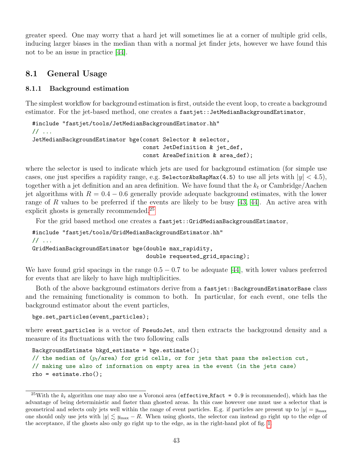greater speed. One may worry that a hard jet will sometimes lie at a corner of multiple grid cells, inducing larger biases in the median than with a normal jet finder jets, however we have found this not to be an issue in practice [\[44\]](#page-82-0).

## 8.1 General Usage

#### <span id="page-42-1"></span>8.1.1 Background estimation

The simplest workflow for background estimation is first, outside the event loop, to create a background estimator. For the jet-based method, one creates a fastjet::JetMedianBackgroundEstimator,

```
#include "fastjet/tools/JetMedianBackgroundEstimator.hh"
// ...
JetMedianBackgroundEstimator bge(const Selector & selector,
                                 const JetDefinition & jet_def,
                                 const AreaDefinition & area_def);
```
where the selector is used to indicate which jets are used for background estimation (for simple use cases, one just specifies a rapidity range, e.g. SelectorAbsRapMax(4.5) to use all jets with  $|y| < 4.5$ , together with a jet definition and an area definition. We have found that the  $k_t$  or Cambridge/Aachen jet algorithms with  $R = 0.4 - 0.6$  generally provide adequate background estimates, with the lower range of R values to be preferred if the events are likely to be busy [\[43,](#page-81-2) [44\]](#page-82-0). An active area with explicit ghosts is generally recommended.[25](#page-42-0)

For the grid based method one creates a fastjet::GridMedianBackgroundEstimator,

```
#include "fastjet/tools/GridMedianBackgroundEstimator.hh"
// ...
GridMedianBackgroundEstimator bge(double max_rapidity,
                                  double requested_grid_spacing);
```
We have found grid spacings in the range  $0.5 - 0.7$  to be adequate [\[44\]](#page-82-0), with lower values preferred for events that are likely to have high multiplicities.

Both of the above background estimators derive from a fastjet::BackgroundEstimatorBase class and the remaining functionality is common to both. In particular, for each event, one tells the background estimator about the event particles,

bge.set\_particles(event\_particles);

where event particles is a vector of PseudoJet, and then extracts the background density and a measure of its fluctuations with the two following calls

```
BackgroundEstimate bkgd_estimate = bge.estimate();
// the median of (p_t/a \text{rea}) for grid cells, or for jets that pass the selection cut,
// making use also of information on empty area in the event (in the jets case)
rho = estimate.rho();
```
<span id="page-42-0"></span><sup>&</sup>lt;sup>25</sup>With the  $k_t$  algorithm one may also use a Voronoi area (effective Rfact = 0.9 is recommended), which has the advantage of being deterministic and faster than ghosted areas. In this case however one must use a selector that is geometrical and selects only jets well within the range of event particles. E.g. if particles are present up to  $|y| = y_{\text{max}}$ one should only use jets with  $|y| \lesssim y_{\text{max}} - R$ . When using ghosts, the selector can instead go right up to the edge of the acceptance, if the ghosts also only go right up to the edge, as in the right-hand plot of fig. [1.](#page-39-0)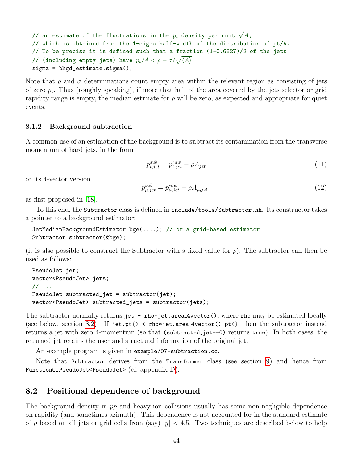```
// an estimate of the fluctuations in the p_t density per unit \sqrt{A},
// which is obtained from the 1-sigma half-width of the distribution of pt/A.
// To be precise it is defined such that a fraction (1-0.6827)/2 of the jets
// (including empty jets) have p_t/A < \rho - \sigma/\sqrt{\langle A \rangle}sigma = bkgd_estimate.sigma();
```
Note that  $\rho$  and  $\sigma$  determinations count empty area within the relevant region as consisting of jets of zero  $p_t$ . Thus (roughly speaking), if more that half of the area covered by the jets selector or grid rapidity range is empty, the median estimate for  $\rho$  will be zero, as expected and appropriate for quiet events.

#### <span id="page-43-0"></span>8.1.2 Background subtraction

A common use of an estimation of the background is to subtract its contamination from the transverse momentum of hard jets, in the form

$$
p_{t,jet}^{sub} = p_{t,jet}^{raw} - \rho A_{jet} \tag{11}
$$

or its 4-vector version

<span id="page-43-2"></span>
$$
p_{\mu,jet}^{sub} = p_{\mu,jet}^{raw} - \rho A_{\mu,jet} \,, \tag{12}
$$

as first proposed in [\[18\]](#page-80-1).

To this end, the Subtractor class is defined in include/tools/Subtractor.hh. Its constructor takes a pointer to a background estimator:

```
JetMedianBackgroundEstimator bge(....); // or a grid-based estimator
Subtractor subtractor(&bge);
```
(it is also possible to construct the Subtractor with a fixed value for  $\rho$ ). The subtractor can then be used as follows:

```
PseudoJet jet;
vector<PseudoJet> jets;
// ...
PseudoJet subtracted_jet = subtractor(jet);
vector<PseudoJet> subtracted_jets = subtractor(jets);
```
The subtractor normally returns jet - rho\*jet.area\_4vector(), where rho may be estimated locally (see below, section [8.2\)](#page-43-1). If jet.pt() < rho\*jet.area\_4vector().pt(), then the subtractor instead returns a jet with zero 4-momentum (so that (subtracted jet==0) returns true). In both cases, the returned jet retains the user and structural information of the original jet.

An example program is given in example/07-subtraction.cc.

Note that Subtractor derives from the Transformer class (see section [9\)](#page-48-0) and hence from FunctionOfPseudoJet<PseudoJet> (cf. appendix [D\)](#page-68-0).

### <span id="page-43-1"></span>8.2 Positional dependence of background

The background density in pp and heavy-ion collisions usually has some non-negligible dependence on rapidity (and sometimes azimuth). This dependence is not accounted for in the standard estimate of  $\rho$  based on all jets or grid cells from (say)  $|y| < 4.5$ . Two techniques are described below to help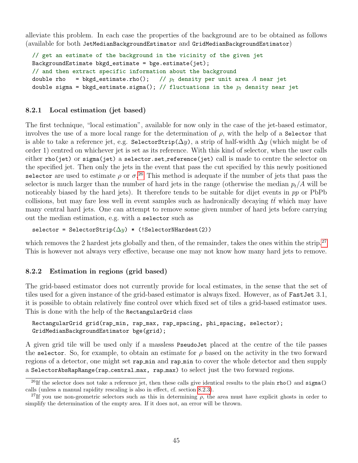alleviate this problem. In each case the properties of the background are to be obtained as follows (available for both JetMedianBackgroundEstimator and GridMedianBackgroundEstimator)

```
// get an estimate of the background in the vicinity of the given jet
BackgroundEstimate bkgd_estimate = bge.estimate(jet);// and then extract specific information about the background
double rho = bkgd_estimate.rho(); // p_t density per unit area A near jet
double sigma = bkgd_estimate.sigma(); // fluctuations in the p_t density near jet
```
#### <span id="page-44-2"></span>8.2.1 Local estimation (jet based)

The first technique, "local estimation", available for now only in the case of the jet-based estimator, involves the use of a more local range for the determination of  $\rho$ , with the help of a Selector that is able to take a reference jet, e.g. SelectorStrip( $\Delta y$ ), a strip of half-width  $\Delta y$  (which might be of order 1) centred on whichever jet is set as its reference. With this kind of selector, when the user calls either rho(jet) or sigma(jet) a selector.set reference(jet) call is made to centre the selector on the specified jet. Then only the jets in the event that pass the cut specified by this newly positioned selector are used to estimate  $\rho$  or  $\sigma$ .<sup>[26](#page-44-0)</sup> This method is adequate if the number of jets that pass the selector is much larger than the number of hard jets in the range (otherwise the median  $p_t/A$  will be noticeably biased by the hard jets). It therefore tends to be suitable for dijet events in pp or PbPb collisions, but may fare less well in event samples such as hadronically decaying  $t\bar{t}$  which may have many central hard jets. One can attempt to remove some given number of hard jets before carrying out the median estimation, e.g. with a selector such as

selector = SelectorStrip( $\Delta y$ ) \* (!SelectorNHardest(2))

which removes the 2 hardest jets globally and then, of the remainder, takes the ones within the strip.<sup>[27](#page-44-1)</sup> This is however not always very effective, because one may not know how many hard jets to remove.

#### <span id="page-44-3"></span>8.2.2 Estimation in regions (grid based)

The grid-based estimator does not currently provide for local estimates, in the sense that the set of tiles used for a given instance of the grid-based estimator is always fixed. However, as of FastJet 3.1, it is possible to obtain relatively fine control over which fixed set of tiles a grid-based estimator uses. This is done with the help of the RectangularGrid class

RectangularGrid grid(rap\_min, rap\_max, rap\_spacing, phi\_spacing, selector); GridMedianBackgroundEstimator bge(grid);

A given grid tile will be used only if a massless PseudoJet placed at the centre of the tile passes the selector. So, for example, to obtain an estimate for  $\rho$  based on the activity in the two forward regions of a detector, one might set rap min and rap min to cover the whole detector and then supply a SelectorAbsRapRange(rap central max, rap max) to select just the two forward regions.

<span id="page-44-0"></span> $^{26}$ If the selector does not take a reference jet, then these calls give identical results to the plain  $rho()$  and  $sigma()$ calls (unless a manual rapidity rescaling is also in effect, cf. section [8.2.3\)](#page-45-0).

<span id="page-44-1"></span><sup>&</sup>lt;sup>27</sup>If you use non-geometric selectors such as this in determining  $\rho$ , the area must have explicit ghosts in order to simplify the determination of the empty area. If it does not, an error will be thrown.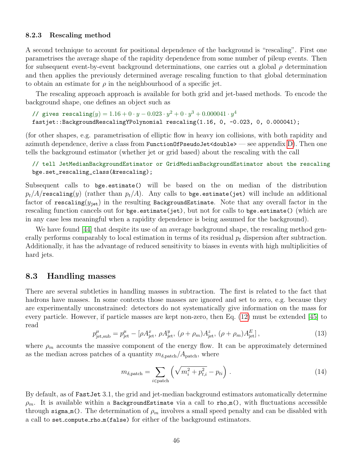#### <span id="page-45-0"></span>8.2.3 Rescaling method

A second technique to account for positional dependence of the background is "rescaling". First one parametrises the average shape of the rapidity dependence from some number of pileup events. Then for subsequent event-by-event background determinations, one carries out a global  $\rho$  determination and then applies the previously determined average rescaling function to that global determination to obtain an estimate for  $\rho$  in the neighbourhood of a specific jet.

The rescaling approach approach is available for both grid and jet-based methods. To encode the background shape, one defines an object such as

```
// gives {\sf rescaling}(y) = 1.16 + 0\cdot y - 0.023\cdot y^2 + 0\cdot y^3 + 0.000041\cdot y^4fastjet::BackgroundRescalingYPolynomial rescaling(1.16, 0, -0.023, 0, 0.000041);
```
(for other shapes, e.g. parametrisation of elliptic flow in heavy ion collisions, with both rapidity and azimuth dependence, derive a class from FunctionOfPseudoJet<double> — see appendix  $D$ ). Then one tells the background estimator (whether jet or grid based) about the rescaling with the call

### // tell JetMedianBackgroundEstimator or GridMedianBackgroundEstimator about the rescaling bge.set\_rescaling\_class(&rescaling);

Subsequent calls to bge.estimate() will be based on the on median of the distribution  $p_t/A$ /rescaling(y) (rather than  $p_t/A$ ). Any calls to bge.estimate(jet) will include an additional factor of rescaling( $y_{\text{jet}}$ ) in the resulting BackgroundEstimate. Note that any overall factor in the rescaling function cancels out for bge.estimate(jet), but not for calls to bge.estimate() (which are in any case less meaningful when a rapidity dependence is being assumed for the background).

We have found [\[44\]](#page-82-0) that despite its use of an average background shape, the rescaling method generally performs comparably to local estimation in terms of its residual  $p_t$  dispersion after subtraction. Additionally, it has the advantage of reduced sensitivity to biases in events with high multiplicities of hard jets.

### <span id="page-45-2"></span>8.3 Handling masses

There are several subtleties in handling masses in subtraction. The first is related to the fact that hadrons have masses. In some contexts those masses are ignored and set to zero, e.g. because they are experimentally unconstrained: detectors do not systematically give information on the mass for every particle. However, if particle masses are kept non-zero, then Eq. [\(12\)](#page-43-2) must be extended [\[45\]](#page-82-1) to read

<span id="page-45-1"></span>
$$
p_{\text{jet,sub}}^{\mu} = p_{\text{jet}}^{\mu} - [\rho A_{\text{jet}}^{x}, \rho A_{\text{jet}}^{y}, (\rho + \rho_{m}) A_{\text{jet}}^{z}, (\rho + \rho_{m}) A_{\text{jet}}^{E}],
$$
\n(13)

where  $\rho_m$  accounts the massive component of the energy flow. It can be approximately determined as the median across patches of a quantity  $m_{\delta, \text{patch}}/A_{\text{patch}}$ , where

$$
m_{\delta, \text{patch}} = \sum_{i \in \text{patch}} \left( \sqrt{m_i^2 + p_{t,i}^2} - p_{ti} \right) . \tag{14}
$$

By default, as of FastJet 3.1, the grid and jet-median background estimators automatically determine  $\rho_m$ . It is available within a BackgroundEstimate via a call to rho  $\mathbf{m}$ (), with fluctuations accessible through sigma m(). The determination of  $\rho_m$  involves a small speed penalty and can be disabled with a call to set\_compute\_rho\_m(false) for either of the background estimators.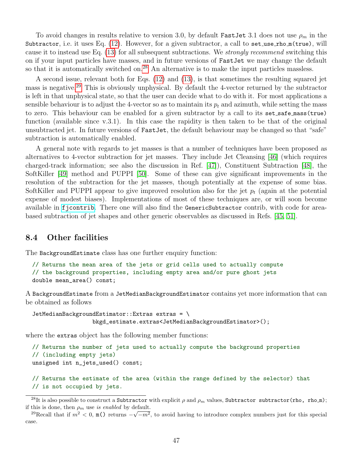To avoid changes in results relative to version 3.0, by default FastJet 3.1 does not use  $\rho_m$  in the Subtractor, i.e. it uses Eq. [\(12\)](#page-43-2). However, for a given subtractor, a call to set use rho m(true), will cause it to instead use Eq. [\(13\)](#page-45-1) for all subsequent subtractions. We strongly recommend switching this on if your input particles have masses, and in future versions of FastJet we may change the default so that it is automatically switched on.<sup>[28](#page-46-0)</sup> An alternative is to make the input particles massless.

A second issue, relevant both for Eqs. [\(12\)](#page-43-2) and [\(13\)](#page-45-1), is that sometimes the resulting squared jet mass is negative.[29](#page-46-1) This is obviously unphysical. By default the 4-vector returned by the subtractor is left in that unphysical state, so that the user can decide what to do with it. For most applications a sensible behaviour is to adjust the 4-vector so as to maintain its  $p_t$  and azimuth, while setting the mass to zero. This behaviour can be enabled for a given subtractor by a call to its set\_safe\_mass(true) function (available since v.3.1). In this case the rapidity is then taken to be that of the original unsubtracted jet. In future versions of FastJet, the default behaviour may be changed so that "safe" subtraction is automatically enabled.

A general note with regards to jet masses is that a number of techniques have been proposed as alternatives to 4-vector subtraction for jet masses. They include Jet Cleansing [\[46\]](#page-82-2) (which requires charged-track information; see also the discussion in Ref. [\[47\]](#page-82-3)), Constituent Subtraction [\[48\]](#page-82-4), the SoftKiller [\[49\]](#page-82-5) method and PUPPI [\[50\]](#page-82-6). Some of these can give significant improvements in the resolution of the subtraction for the jet masses, though potentially at the expense of some bias. SoftKiller and PUPPI appear to give improved resolution also for the jet  $p_t$  (again at the potential expense of modest biases). Implementations of most of these techniques are, or will soon become available in [fjcontrib](http://fastjet.hepforge.org/contrib/). There one will also find the GenericSubtractor contrib, with code for areabased subtraction of jet shapes and other generic observables as discussed in Refs. [\[45,](#page-82-1) [51\]](#page-82-7).

### <span id="page-46-2"></span>8.4 Other facilities

The BackgroundEstimate class has one further enquiry function:

```
// Returns the mean area of the jets or grid cells used to actually compute
// the background properties, including empty area and/or pure ghost jets
double mean_area() const;
```
A BackgroundEstimate from a JetMedianBackgroundEstimator contains yet more information that can be obtained as follows

```
JetMedianBackgroundEstimator::Extras extras = \
                  bkgd_estimate.extras<JetMedianBackgroundEstimator>();
```
where the extras object has the following member functions:

```
// Returns the number of jets used to actually compute the background properties
// (including empty jets)
unsigned int n_jets_used() const;
```
// Returns the estimate of the area (within the range defined by the selector) that // is not occupied by jets.

<span id="page-46-0"></span><sup>&</sup>lt;sup>28</sup>It is also possible to construct a Subtractor with explicit  $\rho$  and  $\rho_m$  values, Subtractor subtractor(rho, rho m); if this is done, then  $\rho_m$  use is enabled by default.

<span id="page-46-1"></span><sup>&</sup>lt;sup>29</sup>Recall that if  $m^2 < 0$ , m() returns  $-\sqrt{-m^2}$ , to avoid having to introduce complex numbers just for this special case.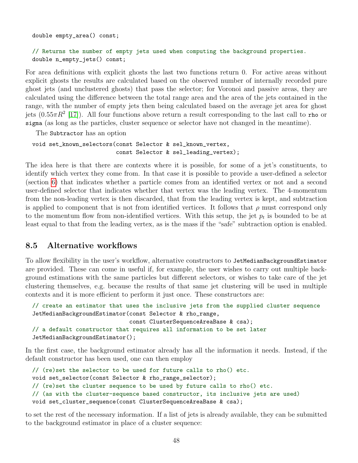double empty\_area() const;

// Returns the number of empty jets used when computing the background properties. double n\_empty\_jets() const;

For area definitions with explicit ghosts the last two functions return 0. For active areas without explicit ghosts the results are calculated based on the observed number of internally recorded pure ghost jets (and unclustered ghosts) that pass the selector; for Voronoi and passive areas, they are calculated using the difference between the total range area and the area of the jets contained in the range, with the number of empty jets then being calculated based on the average jet area for ghost jets  $(0.55\pi R^2$  [\[17\]](#page-80-0)). All four functions above return a result corresponding to the last call to rho or sigma (as long as the particles, cluster sequence or selector have not changed in the meantime).

The Subtractor has an option

```
void set_known_selectors(const Selector & sel_known_vertex,
                         const Selector & sel_leading_vertex);
```
The idea here is that there are contexts where it is possible, for some of a jet's constituents, to identify which vertex they come from. In that case it is possible to provide a user-defined a selector (section [6\)](#page-33-0) that indicates whether a particle comes from an identified vertex or not and a second user-defined selector that indicates whether that vertex was the leading vertex. The 4-momentum from the non-leading vertex is then discarded, that from the leading vertex is kept, and subtraction is applied to component that is not from identified vertices. It follows that  $\rho$  must correspond only to the momentum flow from non-identified vertices. With this setup, the jet  $p_t$  is bounded to be at least equal to that from the leading vertex, as is the mass if the "safe" subtraction option is enabled.

### 8.5 Alternative workflows

To allow flexibility in the user's workflow, alternative constructors to JetMedianBackgroundEstimator are provided. These can come in useful if, for example, the user wishes to carry out multiple background estimations with the same particles but different selectors, or wishes to take care of the jet clustering themselves, e.g. because the results of that same jet clustering will be used in multiple contexts and it is more efficient to perform it just once. These constructors are:

```
// create an estimator that uses the inclusive jets from the supplied cluster sequence
JetMedianBackgroundEstimator(const Selector & rho_range,
                             const ClusterSequenceAreaBase & csa);
// a default constructor that requires all information to be set later
JetMedianBackgroundEstimator();
```
In the first case, the background estimator already has all the information it needs. Instead, if the default constructor has been used, one can then employ

```
// (re)set the selector to be used for future calls to rho() etc.
void set_selector(const Selector & rho_range_selector);
// (re)set the cluster sequence to be used by future calls to rho() etc.
// (as with the cluster-sequence based constructor, its inclusive jets are used)
void set_cluster_sequence(const ClusterSequenceAreaBase & csa);
```
to set the rest of the necessary information. If a list of jets is already available, they can be submitted to the background estimator in place of a cluster sequence: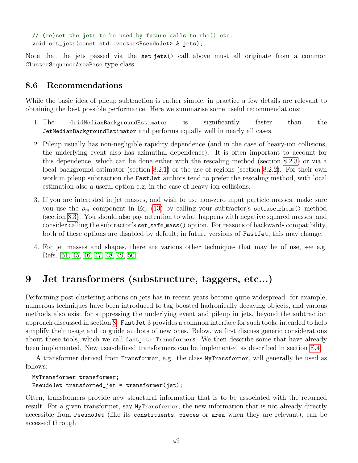```
// (re)set the jets to be used by future calls to rho() etc.
void set_jets(const std::vector<PseudoJet> & jets);
```
Note that the jets passed via the set jets() call above must all originate from a common ClusterSequenceAreaBase type class.

## 8.6 Recommendations

While the basic idea of pileup subtraction is rather simple, in practice a few details are relevant to obtaining the best possible performance. Here we summarise some useful recommendations:

- 1. The GridMedianBackgroundEstimator is significantly faster than the JetMedianBackgroundEstimator and performs equally well in nearly all cases.
- 2. Pileup usually has non-negligible rapidity dependence (and in the case of heavy-ion collisions, the underlying event also has azimuthal dependence). It is often important to account for this dependence, which can be done either with the rescaling method (section [8.2.3\)](#page-45-0) or via a local background estimator (section [8.2.1\)](#page-44-2) or the use of regions (section [8.2.2\)](#page-44-3). For their own work in pileup subtraction the FastJet authors tend to prefer the rescaling method, with local estimation also a useful option e.g. in the case of heavy-ion collisions.
- 3. If you are interested in jet masses, and wish to use non-zero input particle masses, make sure you use the  $\rho_m$  component in Eq. [\(13\)](#page-45-1) by calling your subtractor's set use rho m() method (section [8.3\)](#page-45-2). You should also pay attention to what happens with negative squared masses, and consider calling the subtractor's set\_safe\_mass() option. For reasons of backwards compatibility, both of these options are disabled by default; in future versions of FastJet, this may change.
- 4. For jet masses and shapes, there are various other techniques that may be of use, see e.g. Refs. [\[51,](#page-82-7) [45,](#page-82-1) [46,](#page-82-2) [47,](#page-82-3) [48,](#page-82-4) [49,](#page-82-5) [50\]](#page-82-6).

# <span id="page-48-0"></span>9 Jet transformers (substructure, taggers, etc...)

Performing post-clustering actions on jets has in recent years become quite widespread: for example, numerous techniques have been introduced to tag boosted hadronically decaying objects, and various methods also exist for suppressing the underlying event and pileup in jets, beyond the subtraction approach discussed in section [8.](#page-41-0) FastJet 3 provides a common interface for such tools, intended to help simplify their usage and to guide authors of new ones. Below, we first discuss generic considerations about these tools, which we call fastjet::Transformers. We then describe some that have already been implemented. New user-defined transformers can be implemented as described in section [E.4.](#page-72-0)

A transformer derived from Transformer, e.g. the class MyTransformer, will generally be used as follows:

```
MyTransformer transformer;
PseudoJet transformed_jet = transformer(jet);
```
Often, transformers provide new structural information that is to be associated with the returned result. For a given transformer, say MyTransformer, the new information that is not already directly accessible from PseudoJet (like its constituents, pieces or area when they are relevant), can be accessed through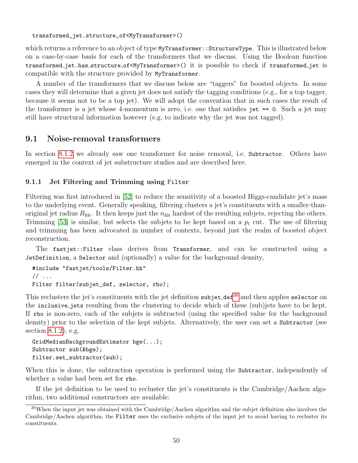transformed\_jet.structure\_of<MyTransformer>()

which returns a reference to an object of type MyTransformer::StructureType. This is illustrated below on a case-by-case basis for each of the transformers that we discuss. Using the Boolean function transformed\_jet.has\_structure\_of<MyTransformer>() it is possible to check if transformed\_jet is compatible with the structure provided by MyTransformer.

A number of the transformers that we discuss below are "taggers" for boosted objects. In some cases they will determine that a given jet does not satisfy the tagging conditions (e.g., for a top tagger, because it seems not to be a top jet). We will adopt the convention that in such cases the result of the transformer is a jet whose 4-momentum is zero, i.e. one that satisfies jet == 0. Such a jet may still have structural information however (e.g. to indicate why the jet was not tagged).

### 9.1 Noise-removal transformers

In section [8.1.2](#page-43-0) we already saw one transformer for noise removal, i.e. Subtractor. Others have emerged in the context of jet substructure studies and are described here.

### <span id="page-49-1"></span>9.1.1 Jet Filtering and Trimming using Filter

Filtering was first introduced in [\[52\]](#page-82-8) to reduce the sensitivity of a boosted Higgs-candidate jet's mass to the underlying event. Generally speaking, filtering clusters a jet's constituents with a smaller-thanoriginal jet radius  $R_{\text{filt}}$ . It then keeps just the  $n_{\text{filt}}$  hardest of the resulting subjets, rejecting the others. Trimming [\[53\]](#page-82-9) is similar, but selects the subjets to be kept based on a  $p_t$  cut. The use of filtering and trimming has been advocated in number of contexts, beyond just the realm of boosted object reconstruction.

The fastjet::Filter class derives from Transformer, and can be constructed using a JetDefinition, a Selector and (optionally) a value for the background density,

```
#include "fastjet/tools/Filter.hh"
// ...
Filter filter(subjet_def, selector, rho);
```
This reclusters the jet's constituents with the jet definition subjet  $\det^{30}$  $\det^{30}$  $\det^{30}$  and then applies selector on the inclusive jets resulting from the clustering to decide which of these (sub)jets have to be kept. If rho is non-zero, each of the subjets is subtracted (using the specified value for the background density) prior to the selection of the kept subjets. Alternatively, the user can set a Subtractor (see section [8.1.2\)](#page-43-0), e.g.

```
GridMedianBackgroundEstimator bge(...);
Subtractor sub(&bge);
filter.set_subtractor(sub);
```
When this is done, the subtraction operation is performed using the **Subtractor**, independently of whether a value had been set for rho.

If the jet definition to be used to recluster the jet's constituents is the Cambridge/Aachen algorithm, two additional constructors are available:

<span id="page-49-0"></span> $30$ When the input jet was obtained with the Cambridge/Aachen algorithm and the subjet definition also involves the Cambridge/Aachen algorithm, the Filter uses the exclusive subjets of the input jet to avoid having to recluster its constituents.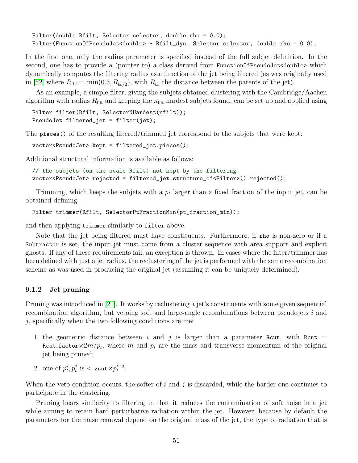Filter(double Rfilt, Selector selector, double rho = 0.0); Filter(FunctionOfPseudoJet<double> \* Rfilt\_dyn, Selector selector, double rho = 0.0);

In the first one, only the radius parameter is specified instead of the full subjet definition. In the second, one has to provide a (pointer to) a class derived from FunctionOfPseudoJet<double> which dynamically computes the filtering radius as a function of the jet being filtered (as was originally used in [\[52\]](#page-82-8) where  $R_{\text{filt}} = \min(0.3, R_{b\bar{b}/2})$ , with  $R_{b\bar{b}}$  the distance between the parents of the jet).

As an example, a simple filter, giving the subjets obtained clustering with the Cambridge/Aachen algorithm with radius  $R_{\text{filt}}$  and keeping the  $n_{\text{filt}}$  hardest subjets found, can be set up and applied using

```
Filter filter(Rfilt, SelectorNHardest(nfilt));
PseudoJet filtered_jet = filter(jet);
```
The pieces() of the resulting filtered/trimmed jet correspond to the subjets that were kept:

```
vector<PseudoJet> kept = filtered_jet.pieces();
```
Additional structural information is available as follows:

```
// the subjets (on the scale Rfilt) not kept by the filtering
vector<PseudoJet> rejected = filtered_jet.structure_of<Filter>().rejected();
```
Trimming, which keeps the subjets with a  $p_t$  larger than a fixed fraction of the input jet, can be obtained defining

Filter trimmer(Rfilt, SelectorPtFractionMin(pt\_fraction\_min));

and then applying trimmer similarly to filter above.

Note that the jet being filtered must have constituents. Furthermore, if rho is non-zero or if a Subtractor is set, the input jet must come from a cluster sequence with area support and explicit ghosts. If any of these requirements fail, an exception is thrown. In cases where the filter/trimmer has been defined with just a jet radius, the reclustering of the jet is performed with the same recombination scheme as was used in producing the original jet (assuming it can be uniquely determined).

#### 9.1.2 Jet pruning

Pruning was introduced in [\[21\]](#page-80-2). It works by reclustering a jet's constituents with some given sequential recombination algorithm, but vetoing soft and large-angle recombinations between pseudojets i and  $j$ , specifically when the two following conditions are met

- 1. the geometric distance between i and j is larger than a parameter Rcut, with Rcut  $=$ Rcut\_factor $\times 2m/p_t$ , where m and  $p_t$  are the mass and transverse momentum of the original jet being pruned;
- 2. one of  $p_t^i, p_t^j$  $\frac{j}{t}$  is  $<$  zcut $\times p_t^{i+j}$  $\frac{i+j}{t}$ .

When the veto condition occurs, the softer of i and j is discarded, while the harder one continues to participate in the clustering.

Pruning bears similarity to filtering in that it reduces the contamination of soft noise in a jet while aiming to retain hard perturbative radiation within the jet. However, because by default the parameters for the noise removal depend on the original mass of the jet, the type of radiation that is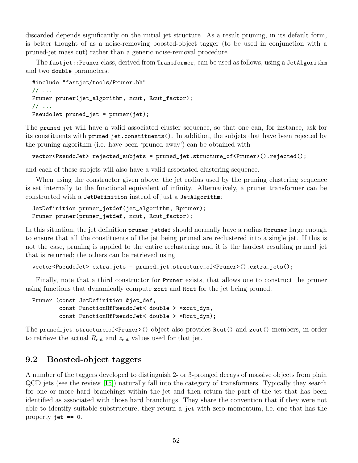discarded depends significantly on the initial jet structure. As a result pruning, in its default form, is better thought of as a noise-removing boosted-object tagger (to be used in conjunction with a pruned-jet mass cut) rather than a generic noise-removal procedure.

The fastjet::Pruner class, derived from Transformer, can be used as follows, using a JetAlgorithm and two double parameters:

```
#include "fastjet/tools/Pruner.hh"
// ...
Pruner pruner(jet_algorithm, zcut, Rcut_factor);
// ...
PseudoJet pruned_jet = pruner(jet);
```
The pruned jet will have a valid associated cluster sequence, so that one can, for instance, ask for its constituents with pruned jet.constituents(). In addition, the subjets that have been rejected by the pruning algorithm (i.e. have been 'pruned away') can be obtained with

vector<PseudoJet> rejected\_subjets = pruned\_jet.structure\_of<Pruner>().rejected();

and each of these subjets will also have a valid associated clustering sequence.

When using the constructor given above, the jet radius used by the pruning clustering sequence is set internally to the functional equivalent of infinity. Alternatively, a pruner transformer can be constructed with a JetDefinition instead of just a JetAlgorithm:

```
JetDefinition pruner_jetdef(jet_algorithm, Rpruner);
Pruner pruner(pruner_jetdef, zcut, Rcut_factor);
```
In this situation, the jet definition pruner jetdef should normally have a radius Rpruner large enough to ensure that all the constituents of the jet being pruned are reclustered into a single jet. If this is not the case, pruning is applied to the entire reclustering and it is the hardest resulting pruned jet that is returned; the others can be retrieved using

```
vector<PseudoJet> extra_jets = pruned_jet.structure_of<Pruner>().extra_jets();
```
Finally, note that a third constructor for Pruner exists, that allows one to construct the pruner using functions that dynamically compute zcut and Rcut for the jet being pruned:

```
Pruner (const JetDefinition &jet_def,
        const FunctionOfPseudoJet< double > *zcut_dyn,
        const FunctionOfPseudoJet< double > *Rcut_dyn);
```
The pruned jet.structure of <Pruner>() object also provides Rcut() and zcut() members, in order to retrieve the actual  $R_{\text{cut}}$  and  $z_{\text{cut}}$  values used for that jet.

## 9.2 Boosted-object taggers

A number of the taggers developed to distinguish 2- or 3-pronged decays of massive objects from plain QCD jets (see the review [\[15\]](#page-80-3)) naturally fall into the category of transformers. Typically they search for one or more hard branchings within the jet and then return the part of the jet that has been identified as associated with those hard branchings. They share the convention that if they were not able to identify suitable substructure, they return a jet with zero momentum, i.e. one that has the property jet  $== 0$ .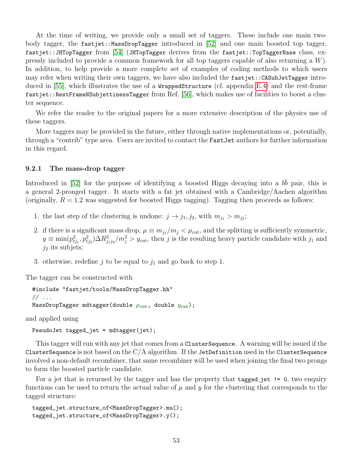At the time of writing, we provide only a small set of taggers. These include one main two-body tagger, the fastjet::MassDropTagger introduced in [\[52\]](#page-82-8) and one main boosted top tagger, fastjet::JHTopTagger from [\[54\]](#page-82-10) (JHTopTagger derives from the fastjet::TopTaggerBase class, expressly included to provide a common framework for all top taggers capable of also returning a W). In addition, to help provide a more complete set of examples of coding methods to which users may refer when writing their own taggers, we have also included the fast jet::CASubJetTagger introduced in [\[55\]](#page-82-11), which illustrates the use of a WrappedStructure (cf. appendix [E.4\)](#page-72-0) and the rest-frame fastjet::RestFrameNSubjettinessTagger from Ref. [\[56\]](#page-82-12), which makes use of facilities to boost a cluster sequence.

We refer the reader to the original papers for a more extensive description of the physics use of these taggers.

More taggers may be provided in the future, either through native implementations or, potentially, through a "contrib" type area. Users are invited to contact the FastJet authors for further information in this regard.

#### 9.2.1 The mass-drop tagger

Introduced in [\[52\]](#page-82-8) for the purpose of identifying a boosted Higgs decaying into a  $b\bar{b}$  pair, this is a general 2-pronged tagger. It starts with a fat jet obtained with a Cambridge/Aachen algorithm (originally,  $R = 1.2$  was suggested for boosted Higgs tagging). Tagging then proceeds as follows:

- 1. the last step of the clustering is undone:  $j \rightarrow j_1, j_2$ , with  $m_{j_1} > m_{j_2}$ ;
- 2. if there is a significant mass drop,  $\mu \equiv m_{j_1}/m_j < \mu_{\rm cut}$ , and the splitting is sufficiently symmetric,  $y \equiv \min(p_{ij_1}^2, p_{ij_2}^2) \Delta R_{j_1j_2}^2/m_j^2 > y_{\text{cut}}$ , then j is the resulting heavy particle candidate with  $j_1$  and  $j_2$  its subjets;
- 3. otherwise, redefine j to be equal to  $j_1$  and go back to step 1.

The tagger can be constructed with

```
#include "fastjet/tools/MassDropTagger.hh"
// ...
MassDropTagger mdtagger(double \mu_{\text{cut}}, double y_{\text{cut}});
```
and applied using

```
PseudoJet tagged_jet = mdtagger(jet);
```
This tagger will run with any jet that comes from a ClusterSequence. A warning will be issued if the ClusterSequence is not based on the  $C/A$  algorithm. If the JetDefinition used in the ClusterSequence involved a non-default recombiner, that same recombiner will be used when joining the final two prongs to form the boosted particle candidate.

For a jet that is returned by the tagger and has the property that tagged jet  $!= 0$ , two enquiry functions can be used to return the actual value of  $\mu$  and  $y$  for the clustering that corresponds to the tagged structure:

```
tagged_jet.structure_of<MassDropTagger>.mu();
tagged_jet.structure_of<MassDropTagger>.y();
```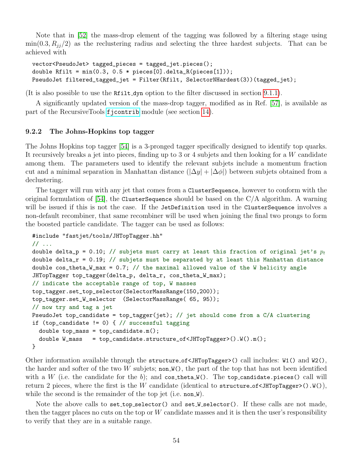Note that in [\[52\]](#page-82-8) the mass-drop element of the tagging was followed by a filtering stage using  $\min(0.3, R_{ij}/2)$  as the reclustering radius and selecting the three hardest subjects. That can be achieved with

```
vector<PseudoJet> tagged_pieces = tagged_jet.pieces();
double Rfilt = min(0.3, 0.5 * pieces[0].delta_R(pieces[1]));
PseudoJet filtered_tagged_jet = Filter(Rfilt, SelectorNHardest(3))(tagged_jet);
```
(It is also possible to use the Rfilt dyn option to the filter discussed in section [9.1.1\)](#page-49-1).

A significantly updated version of the mass-drop tagger, modified as in Ref. [\[57\]](#page-82-13), is available as part of the RecursiveTools [fjcontrib](http://fastjet.hepforge.org/contrib/) module (see section [14\)](#page-61-0).

### 9.2.2 The Johns-Hopkins top tagger

The Johns Hopkins top tagger [\[54\]](#page-82-10) is a 3-pronged tagger specifically designed to identify top quarks. It recursively breaks a jet into pieces, finding up to 3 or 4 subjets and then looking for a W candidate among them. The parameters used to identify the relevant subjets include a momentum fraction cut and a minimal separation in Manhattan distance  $(|\Delta y| + |\Delta \phi|)$  between subjets obtained from a declustering.

The tagger will run with any jet that comes from a ClusterSequence, however to conform with the original formulation of  $[54]$ , the ClusterSequence should be based on the  $C/A$  algorithm. A warning will be issued if this is not the case. If the JetDefinition used in the ClusterSequence involves a non-default recombiner, that same recombiner will be used when joining the final two prongs to form the boosted particle candidate. The tagger can be used as follows:

```
#include "fastjet/tools/JHTopTagger.hh"
// ...
double delta_p = 0.10; // subjets must carry at least this fraction of original jet's p_tdouble delta_r = 0.19; // subjets must be separated by at least this Manhattan distance
double cos_theta_W_max = 0.7; // the maximal allowed value of the W helicity angle
JHTopTagger top_tagger(delta_p, delta_r, cos_theta_W_max);
// indicate the acceptable range of top, W masses
top_tagger.set_top_selector(SelectorMassRange(150,200));
top_tagger.set_W_selector (SelectorMassRange( 65, 95));
// now try and tag a jet
PseudoJet top_candidate = top_tagger(jet); // jet should come from a C/A clustering
if (top_candidate != 0) { // successful tagging
 double top_mass = top\_candidate.m();
 double W_mass = top_candidate.structure_of<JHTopTagger>().W().m();
}
```
Other information available through the structure of<JHTopTagger>() call includes: W1() and W2(), the harder and softer of the two W subjets; non  $W(\lambda)$ , the part of the top that has not been identified with a W (i.e. the candidate for the b); and cos\_theta\_W(). The top\_candidate.pieces() call will return 2 pieces, where the first is the W candidate (identical to structure of <JHTopTagger>().W()), while the second is the remainder of the top jet (i.e. non W).

Note the above calls to set\_top\_selector() and set\_W\_selector(). If these calls are not made, then the tagger places no cuts on the top or  $W$  candidate masses and it is then the user's responsibility to verify that they are in a suitable range.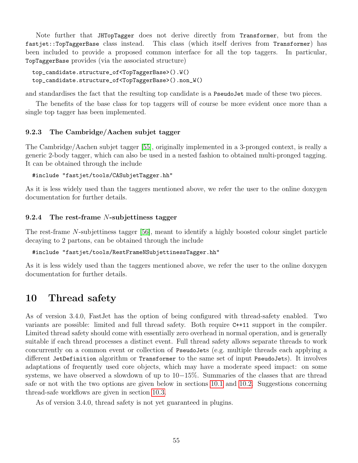Note further that JHTopTagger does not derive directly from Transformer, but from the fastjet::TopTaggerBase class instead. This class (which itself derives from Transformer) has been included to provide a proposed common interface for all the top taggers. In particular, TopTaggerBase provides (via the associated structure)

```
top_candidate.structure_of<TopTaggerBase>().W()
top_candidate.structure_of<TopTaggerBase>().non_W()
```
and standardises the fact that the resulting top candidate is a PseudoJet made of these two pieces.

The benefits of the base class for top taggers will of course be more evident once more than a single top tagger has been implemented.

### 9.2.3 The Cambridge/Aachen subjet tagger

The Cambridge/Aachen subjet tagger [\[55\]](#page-82-11), originally implemented in a 3-pronged context, is really a generic 2-body tagger, which can also be used in a nested fashion to obtained multi-pronged tagging. It can be obtained through the include

#include "fastjet/tools/CASubjetTagger.hh"

As it is less widely used than the taggers mentioned above, we refer the user to the online doxygen documentation for further details.

#### 9.2.4 The rest-frame N-subjettiness tagger

The rest-frame N-subjettiness tagger [\[56\]](#page-82-12), meant to identify a highly boosted colour singlet particle decaying to 2 partons, can be obtained through the include

#include "fastjet/tools/RestFrameNSubjettinessTagger.hh"

As it is less widely used than the taggers mentioned above, we refer the user to the online doxygen documentation for further details.

# 10 Thread safety

As of version 3.4.0, FastJet has the option of being configured with thread-safety enabled. Two variants are possible: limited and full thread safety. Both require C++11 support in the compiler. Limited thread safety should come with essentially zero overhead in normal operation, and is generally suitable if each thread processes a distinct event. Full thread safety allows separate threads to work concurrently on a common event or collection of PseudoJets (e.g. multiple threads each applying a different JetDefinition algorithm or Transformer to the same set of input PseudoJets). It involves adaptations of frequently used core objects, which may have a moderate speed impact: on some systems, we have observed a slowdown of up to 10−15%. Summaries of the classes that are thread safe or not with the two options are given below in sections [10.1](#page-55-0) and [10.2.](#page-55-1) Suggestions concerning thread-safe workflows are given in section [10.3.](#page-55-2)

As of version 3.4.0, thread safety is not yet guaranteed in plugins.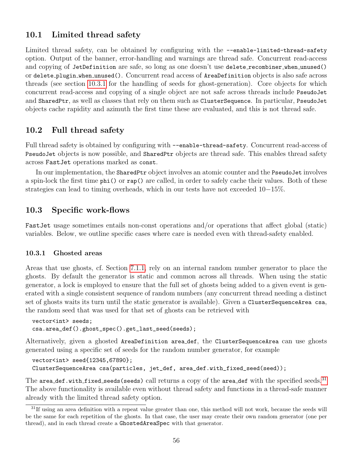## <span id="page-55-0"></span>10.1 Limited thread safety

Limited thread safety, can be obtained by configuring with the --enable-limited-thread-safety option. Output of the banner, error-handling and warnings are thread safe. Concurrent read-access and copying of JetDefinition are safe, so long as one doesn't use delete\_recombiner\_when\_unused() or delete plugin when unused(). Concurrent read access of AreaDefinition objects is also safe across threads (see section [10.3.1](#page-55-3) for the handling of seeds for ghost-generation). Core objects for which concurrent read-access and copying of a single object are not safe across threads include PseudoJet and SharedPtr, as well as classes that rely on them such as ClusterSequence. In particular, PseudoJet objects cache rapidity and azimuth the first time these are evaluated, and this is not thread safe.

## <span id="page-55-1"></span>10.2 Full thread safety

Full thread safety is obtained by configuring with  $-\text{enable-thread-safety}$ . Concurrent read-access of PseudoJet objects is now possible, and SharedPtr objects are thread safe. This enables thread safety across FastJet operations marked as const.

In our implementation, the SharedPtr object involves an atomic counter and the PseudoJet involves a spin-lock the first time phi() or rap() are called, in order to safely cache their values. Both of these strategies can lead to timing overheads, which in our tests have not exceeded 10−15%.

## <span id="page-55-2"></span>10.3 Specific work-flows

FastJet usage sometimes entails non-const operations and/or operations that affect global (static) variables. Below, we outline specific cases where care is needed even with thread-safety enabled.

### <span id="page-55-3"></span>10.3.1 Ghosted areas

Areas that use ghosts, cf. Section [7.1.1,](#page-38-2) rely on an internal random number generator to place the ghosts. By default the generator is static and common across all threads. When using the static generator, a lock is employed to ensure that the full set of ghosts being added to a given event is generated with a single consistent sequence of random numbers (any concurrent thread needing a distinct set of ghosts waits its turn until the static generator is available). Given a ClusterSequenceArea csa, the random seed that was used for that set of ghosts can be retrieved with

```
vector<int> seeds;
csa.area_def().ghost_spec().get_last_seed(seeds);
```
Alternatively, given a ghosted AreaDefinition area def, the ClusterSequenceArea can use ghosts generated using a specific set of seeds for the random number generator, for example

```
vector<int> seed{12345,67890};
ClusterSequenceArea csa(particles, jet_def, area_def.with_fixed_seed(seed));
```
The area def.with fixed seeds (seeds) call returns a copy of the area def with the specified seeds.<sup>[31](#page-55-4)</sup> The above functionality is available even without thread safety and functions in a thread-safe manner already with the limited thread safety option.

<span id="page-55-4"></span> $31$ If using an area definition with a repeat value greater than one, this method will not work, because the seeds will be the same for each repetition of the ghosts. In that case, the user may create their own random generator (one per thread), and in each thread create a GhostedAreaSpec with that generator.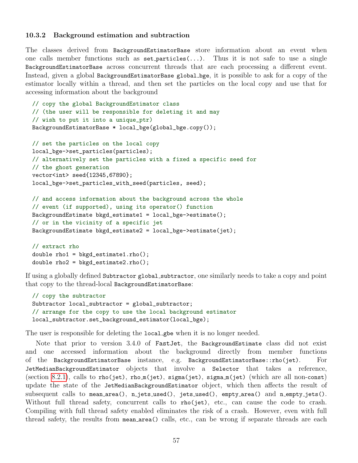#### 10.3.2 Background estimation and subtraction

The classes derived from BackgroundEstimatorBase store information about an event when one calls member functions such as set particles(...). Thus it is not safe to use a single BackgroundEstimatorBase across concurrent threads that are each processing a different event. Instead, given a global BackgroundEstimatorBase global bge, it is possible to ask for a copy of the estimator locally within a thread, and then set the particles on the local copy and use that for accessing information about the background

```
// copy the global BackgroundEstimator class
// (the user will be responsible for deleting it and may
// wish to put it into a unique_ptr)
BackgroundEstimatorBase * local_bge(global_bge.copy());
// set the particles on the local copy
local_bge->set_particles(particles);
// alternatively set the particles with a fixed a specific seed for
// the ghost generation
vector<int> seed{12345,67890};
local_bge->set_particles_with_seed(particles, seed);
// and access information about the background across the whole
// event (if supported), using its operator() function
BackgroundEstimate bkgd_estimate1 = local_bge->estimate();
// or in the vicinity of a specific jet
BackgroundEstimate bkgd_estimate2 = local_bge->estimate(jet);
```

```
// extract rho
double rho1 = bkgd_estimate1.rho();
double rho2 = bkgd_estimate2.rho();
```
If using a globally defined Subtractor global subtractor, one similarly needs to take a copy and point that copy to the thread-local BackgroundEstimatorBase:

```
// copy the subtractor
Subtractor local_subtractor = global_subtractor;
// arrange for the copy to use the local background estimator
local_subtractor.set_background_estimator(local_bge);
```
The user is responsible for deleting the local gbe when it is no longer needed.

Note that prior to version 3.4.0 of FastJet, the BackgroundEstimate class did not exist and one accessed information about the background directly from member functions of the BackgroundEstimatorBase instance, e.g. BackgroundEstimatorBase::rho(jet). For JetMedianBackgroundEstimator objects that involve a Selector that takes a reference, (section [8.2.1\)](#page-44-2), calls to rho(jet), rho  $m(jet)$ , sigma(jet), sigma $m(jet)$  (which are all non-const) update the state of the JetMedianBackgroundEstimator object, which then affects the result of subsequent calls to mean\_area(),  $n_{j}$  iets\_used(),  $j$ ets\_used(), empty\_area() and  $n_{j}$  empty\_jets(). Without full thread safety, concurrent calls to rho(jet), etc., can cause the code to crash. Compiling with full thread safety enabled eliminates the risk of a crash. However, even with full thread safety, the results from mean area() calls, etc., can be wrong if separate threads are each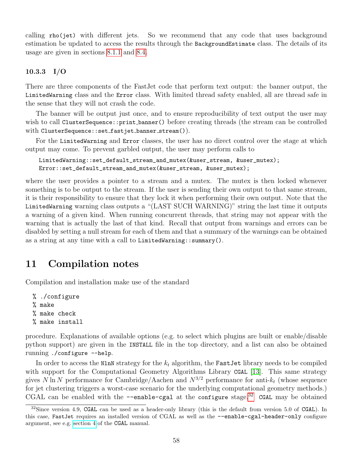calling rho(jet) with different jets. So we recommend that any code that uses background estimation be updated to access the results through the BackgroundEstimate class. The details of its usage are given in sections [8.1.1](#page-42-1) and [8.4.](#page-46-2)

### 10.3.3 I/O

There are three components of the FastJet code that perform text output: the banner output, the LimitedWarning class and the Error class. With limited thread safety enabled, all are thread safe in the sense that they will not crash the code.

The banner will be output just once, and to ensure reproducibility of text output the user may wish to call ClusterSequence::print\_banner() before creating threads (the stream can be controlled with ClusterSequence::set\_fastjet\_banner\_stream()).

For the LimitedWarning and Error classes, the user has no direct control over the stage at which output may come. To prevent garbled output, the user may perform calls to

```
LimitedWarning::set_default_stream_and_mutex(&user_stream, &user_mutex);
Error::set_default_stream_and_mutex(&user_stream, &user_mutex);
```
where the user provides a pointer to a stream and a mutex. The mutex is then locked whenever something is to be output to the stream. If the user is sending their own output to that same stream, it is their responsibility to ensure that they lock it when performing their own output. Note that the LimitedWarning warning class outputs a "(LAST SUCH WARNING)" string the last time it outputs a warning of a given kind. When running concurrent threads, that string may not appear with the warning that is actually the last of that kind. Recall that output from warnings and errors can be disabled by setting a null stream for each of them and that a summary of the warnings can be obtained as a string at any time with a call to LimitedWarning::summary().

# 11 Compilation notes

Compilation and installation make use of the standard

```
% ./configure
% make
% make check
% make install
```
procedure. Explanations of available options (e.g. to select which plugins are built or enable/disable python support) are given in the INSTALL file in the top directory, and a list can also be obtained running ./configure --help.

In order to access the N1nN strategy for the  $k_t$  algorithm, the FastJet library needs to be compiled with support for the Computational Geometry Algorithms Library CGAL [\[13\]](#page-80-4). This same strategy gives N ln N performance for Cambridge/Aachen and  $N^{3/2}$  performance for anti- $k_t$  (whose sequence for jet clustering triggers a worst-case scenario for the underlying computational geometry methods.) CGAL can be enabled with the  $\sim$ -enable-cgal at the configure stage.<sup>[32](#page-57-0)</sup> CGAL may be obtained

<span id="page-57-0"></span> $32\text{Since }$  version 4.9, CGAL can be used as a header-only library (this is the default from version 5.0 of CGAL). In this case, FastJet requires an installed version of CGAL as well as the --enable-cgal-header-only configure argument, see e.g. [section 4](https://doc.cgal.org/latest/Manual/usage.html#section_headeronly) of the CGAL manual.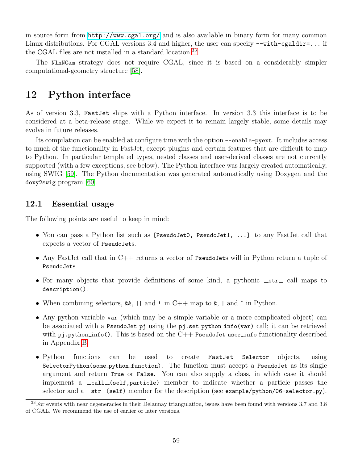in source form from <http://www.cgal.org/> and is also available in binary form for many common Linux distributions. For CGAL versions 3.4 and higher, the user can specify  $-\text{with-cgaldir} = ...$  if the CGAL files are not installed in a standard location.<sup>[33](#page-58-0)</sup>

The NlnNCam strategy does not require CGAL, since it is based on a considerably simpler computational-geometry structure [\[58\]](#page-82-14).

# 12 Python interface

As of version 3.3, FastJet ships with a Python interface. In version 3.3 this interface is to be considered at a beta-release stage. While we expect it to remain largely stable, some details may evolve in future releases.

Its compilation can be enabled at configure time with the option --enable-pyext. It includes access to much of the functionality in FastJet, except plugins and certain features that are difficult to map to Python. In particular templated types, nested classes and user-derived classes are not currently supported (with a few exceptions, see below). The Python interface was largely created automatically, using SWIG [\[59\]](#page-82-15). The Python documentation was generated automatically using Doxygen and the doxy2swig program [\[60\]](#page-82-16).

### 12.1 Essential usage

The following points are useful to keep in mind:

- You can pass a Python list such as [PseudoJet0, PseudoJet1, ...] to any FastJet call that expects a vector of PseudoJets.
- Any Fast Jet call that in  $C++$  returns a vector of PseudoJets will in Python return a tuple of PseudoJets
- For many objects that provide definitions of some kind, a pythonic  $\text{Istr}_{\text{I}}$  call maps to description().
- When combining selectors,  $\&$ ,  $||$  and  $||$  in  $C++$  map to  $\&$ ,  $||$  and  $||$  in Python.
- Any python variable var (which may be a simple variable or a more complicated object) can be associated with a PseudoJet pj using the pj.set\_python\_info(var) call; it can be retrieved with  $pj.python_info()$ . This is based on the  $C++$  PseudoJet user info functionality described in Appendix [B.](#page-65-0)
- Python functions can be used to create FastJet Selector objects, using SelectorPython(some python function). The function must accept a PseudoJet as its single argument and return True or False. You can also supply a class, in which case it should implement a \_call\_(self,particle) member to indicate whether a particle passes the selector and a  $\text{\_strut .str \_} (self)$  member for the description (see example/python/06-selector.py).

<span id="page-58-0"></span> $33$ For events with near degeneracies in their Delaunay triangulation, issues have been found with versions 3.7 and 3.8 of CGAL. We recommend the use of earlier or later versions.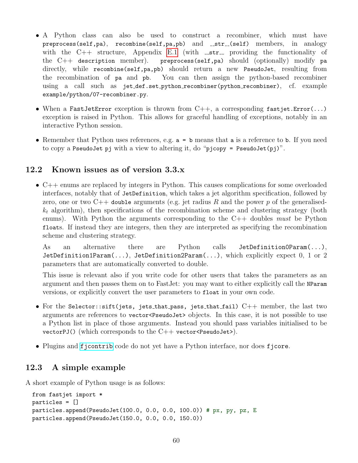- A Python class can also be used to construct a recombiner, which must have  $preprocess(self,pa)$ ,  $recombine(self,pa,pb)$  and  $str_{-}(self)$  members, in analogy with the  $C++$  structure, Appendix [E.1](#page-68-1) (with  $\text{str}_{-}$  providing the functionality of the  $C++$  description member). preprocess(self,pa) should (optionally) modify pa directly, while recombine(self,pa,pb) should return a new PseudoJet, resulting from the recombination of pa and pb. You can then assign the python-based recombiner using a call such as jet def.set python recombiner(python recombiner), cf. example example/python/07-recombiner.py.
- When a Fast JetError exception is thrown from  $C++$ , a corresponding fast jet. Error(...) exception is raised in Python. This allows for graceful handling of exceptions, notably in an interactive Python session.
- Remember that Python uses references, e.g.  $a = b$  means that a is a reference to b. If you need to copy a PseudoJet pj with a view to altering it, do "pjcopy = PseudoJet(pj)".

## 12.2 Known issues as of version 3.3.x

• C++ enums are replaced by integers in Python. This causes complications for some overloaded interfaces, notably that of JetDefinition, which takes a jet algorithm specification, followed by zero, one or two C++ double arguments (e.g. jet radius R and the power p of the generalised $k_t$  algorithm), then specifications of the recombination scheme and clustering strategy (both enums). With Python the arguments corresponding to the  $C++$  doubles must be Python floats. If instead they are integers, then they are interpreted as specifying the recombination scheme and clustering strategy.

As an alternative there are Python calls JetDefinition0Param(...), JetDefinition1Param(...), JetDefinition2Param(...), which explicitly expect 0, 1 or 2 parameters that are automatically converted to double.

This issue is relevant also if you write code for other users that takes the parameters as an argument and then passes them on to FastJet: you may want to either explicitly call the NParam versions, or explicitly convert the user parameters to float in your own code.

- For the Selector::sift(jets, jets\_that\_pass, jets\_that\_fail)  $C++$  member, the last two arguments are references to vector<PseudoJet> objects. In this case, it is not possible to use a Python list in place of those arguments. Instead you should pass variables initialised to be vectorPJ() (which corresponds to the  $C++$  vector $\leq$ PseudoJet $>$ ).
- Plugins and [fjcontrib](http://fastjet.hepforge.org/contrib/) code do not yet have a Python interface, nor does fjcore.

## 12.3 A simple example

A short example of Python usage is as follows:

```
from fastjet import *
particles = []
particles.append(PseudoJet(100.0, 0.0, 0.0, 100.0)) # px, py, pz, E
particles.append(PseudoJet(150.0, 0.0, 0.0, 150.0))
```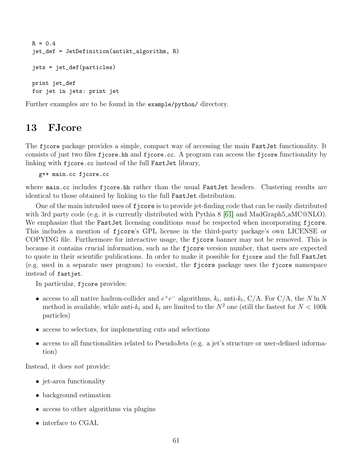```
R = 0.4jet_def = JetDefinition(antikt_algorithm, R)
jets = jet_def(particles)
print jet_def
for jet in jets: print jet
```
Further examples are to be found in the example/python/ directory.

# 13 FJcore

The fjcore package provides a simple, compact way of accessing the main FastJet functionality. It consists of just two files fjcore.hh and fjcore.cc. A program can access the fjcore functionality by linking with fjcore.cc instead of the full FastJet library,

g++ main.cc fjcore.cc

where main.cc includes fjcore.hh rather than the usual FastJet headers. Clustering results are identical to those obtained by linking to the full FastJet distribution.

One of the main intended uses of fjcore is to provide jet-finding code that can be easily distributed with 3rd party code (e.g. it is currently distributed with Pythia 8 [\[61\]](#page-82-17) and MadGraph5\_aMC@NLO). We emphasize that the FastJet licensing conditions must be respected when incorporating fjcore. This includes a mention of fjcore's GPL license in the third-party package's own LICENSE or COPYING file. Furthermore for interactive usage, the fjcore banner may not be removed. This is because it contains crucial information, such as the fjcore version number, that users are expected to quote in their scientific publications. In order to make it possible for fjcore and the full FastJet (e.g. used in a separate user program) to coexist, the fjcore package uses the fjcore namespace instead of fastjet.

In particular, fjcore provides:

- access to all native hadron-collider and  $e^+e^-$  algorithms,  $k_t$ , anti- $k_t$ , C/A. For C/A, the N ln N method is available, while anti- $k_t$  and  $k_t$  are limited to the  $N^2$  one (still the fastest for  $N < 100$ k particles)
- access to selectors, for implementing cuts and selections
- access to all functionalities related to PseudoJets (e.g. a jet's structure or user-defined information)

Instead, it does not provide:

- jet-area functionality
- background estimation
- access to other algorithms via plugins
- interface to CGAL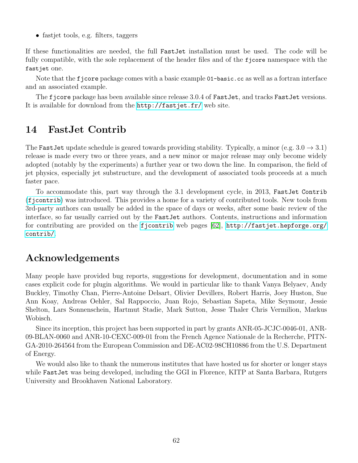• fastjet tools, e.g. filters, taggers

If these functionalities are needed, the full FastJet installation must be used. The code will be fully compatible, with the sole replacement of the header files and of the ficore namespace with the fastjet one.

Note that the fjcore package comes with a basic example 01-basic.cc as well as a fortran interface and an associated example.

The fjcore package has been available since release 3.0.4 of FastJet, and tracks FastJet versions. It is available for download from the <http://fastjet.fr/> web site.

# <span id="page-61-0"></span>14 FastJet Contrib

The FastJet update schedule is geared towards providing stability. Typically, a minor (e.g.  $3.0 \rightarrow 3.1$ ) release is made every two or three years, and a new minor or major release may only become widely adopted (notably by the experiments) a further year or two down the line. In comparison, the field of jet physics, especially jet substructure, and the development of associated tools proceeds at a much faster pace.

To accommodate this, part way through the 3.1 development cycle, in 2013, FastJet Contrib ([fjcontrib](http://fastjet.hepforge.org/contrib/)) was introduced. This provides a home for a variety of contributed tools. New tools from 3rd-party authors can usually be added in the space of days or weeks, after some basic review of the interface, so far usually carried out by the FastJet authors. Contents, instructions and information for contributing are provided on the [fjcontrib](http://fastjet.hepforge.org/contrib/) web pages [\[62\]](#page-82-18), [http://fastjet.hepforge.org/](http://fastjet.hepforge.org/contrib/) [contrib/](http://fastjet.hepforge.org/contrib/).

# Acknowledgements

Many people have provided bug reports, suggestions for development, documentation and in some cases explicit code for plugin algorithms. We would in particular like to thank Vanya Belyaev, Andy Buckley, Timothy Chan, Pierre-Antoine Delsart, Olivier Devillers, Robert Harris, Joey Huston, Sue Ann Koay, Andreas Oehler, Sal Rappoccio, Juan Rojo, Sebastian Sapeta, Mike Seymour, Jessie Shelton, Lars Sonnenschein, Hartmut Stadie, Mark Sutton, Jesse Thaler Chris Vermilion, Markus Wobisch.

Since its inception, this project has been supported in part by grants ANR-05-JCJC-0046-01, ANR-09-BLAN-0060 and ANR-10-CEXC-009-01 from the French Agence Nationale de la Recherche, PITN-GA-2010-264564 from the European Commission and DE-AC02-98CH10886 from the U.S. Department of Energy.

We would also like to thank the numerous institutes that have hosted us for shorter or longer stays while FastJet was being developed, including the GGI in Florence, KITP at Santa Barbara, Rutgers University and Brookhaven National Laboratory.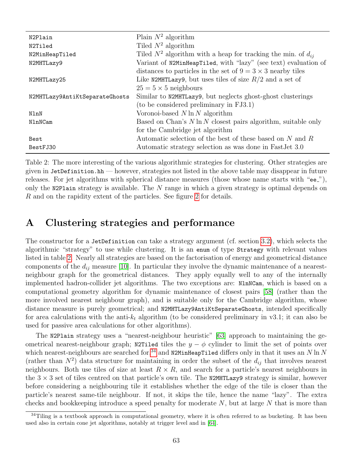| N2Plain                        | Plain $N^2$ algorithm                                               |  |  |  |
|--------------------------------|---------------------------------------------------------------------|--|--|--|
| N2Tiled                        | Tiled $N^2$ algorithm                                               |  |  |  |
| N2MinHeapTiled                 | Tiled $N^2$ algorithm with a heap for tracking the min. of $d_{ij}$ |  |  |  |
| N2MHTLazy9                     | Variant of N2MinHeapTiled, with "lazy" (see text) evaluation of     |  |  |  |
|                                | distances to particles in the set of $9 = 3 \times 3$ nearby tiles  |  |  |  |
| N2MHTLazy25                    | Like N2MHTLazy9, but uses tiles of size $R/2$ and a set of          |  |  |  |
|                                | $25 = 5 \times 5$ neighbours                                        |  |  |  |
| N2MHTLazy9AntiKtSeparateGhosts | Similar to N2MHTLazy9, but neglects ghost-ghost clusterings         |  |  |  |
|                                | (to be considered preliminary in FJ3.1)                             |  |  |  |
| NlnN                           | Voronoi-based $N \ln N$ algorithm                                   |  |  |  |
| NlnNCam                        | Based on Chan's $N \ln N$ closest pairs algorithm, suitable only    |  |  |  |
|                                | for the Cambridge jet algorithm                                     |  |  |  |
| Best                           | Automatic selection of the best of these based on $N$ and $R$       |  |  |  |
| BestFJ30                       | Automatic strategy selection as was done in FastJet 3.0             |  |  |  |

<span id="page-62-0"></span>Table 2: The more interesting of the various algorithmic strategies for clustering. Other strategies are given in JetDefinition.hh — however, strategies not listed in the above table may disappear in future releases. For jet algorithms with spherical distance measures (those whose name starts with "ee\_"), only the N2Plain strategy is available. The  $N$  range in which a given strategy is optimal depends on R and on the rapidity extent of the particles. See figure [2](#page-63-0) for details.

# A Clustering strategies and performance

The constructor for a JetDefinition can take a strategy argument (cf. section [3.2\)](#page-12-0), which selects the algorithmic "strategy" to use while clustering. It is an enum of type Strategy with relevant values listed in table [2.](#page-62-0) Nearly all strategies are based on the factorisation of energy and geometrical distance components of the  $d_{ij}$  measure [\[10\]](#page-80-5). In particular they involve the dynamic maintenance of a nearestneighbour graph for the geometrical distances. They apply equally well to any of the internally implemented hadron-collider jet algorithms. The two exceptions are: NlnNCam, which is based on a computational geometry algorithm for dynamic maintenance of closest pairs [\[58\]](#page-82-14) (rather than the more involved nearest neighbour graph), and is suitable only for the Cambridge algorithm, whose distance measure is purely geometrical; and N2MHTLazy9AntiKtSeparateGhosts, intended specifically for area calculations with the anti- $k_t$  algorithm (to be considered preliminary in v3.1; it can also be used for passive area calculations for other algorithms).

The N2Plain strategy uses a "nearest-neighbour heuristic" [\[63\]](#page-82-19) approach to maintaining the geometrical nearest-neighbour graph; N2Tiled tiles the  $y - \phi$  cylinder to limit the set of points over which nearest-neighbours are searched for,  $34$  and N2MinHeapTiled differs only in that it uses an N ln N (rather than  $N^2$ ) data structure for maintaining in order the subset of the  $d_{ij}$  that involves nearest neighbours. Both use tiles of size at least  $R \times R$ , and search for a particle's nearest neighbours in the  $3 \times 3$  set of tiles centred on that particle's own tile. The N2MHTLazy9 strategy is similar, however before considering a neighbouring tile it establishes whether the edge of the tile is closer than the particle's nearest same-tile neighbour. If not, it skips the tile, hence the name "lazy". The extra checks and bookkeeping introduce a speed penalty for moderate  $N$ , but at large  $N$  that is more than

<span id="page-62-1"></span> $34$ Tiling is a textbook approach in computational geometry, where it is often referred to as bucketing. It has been used also in certain cone jet algorithms, notably at trigger level and in [\[64\]](#page-82-20).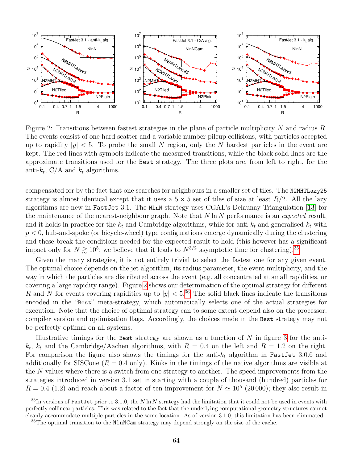

<span id="page-63-0"></span>Figure 2: Transitions between fastest strategies in the plane of particle multiplicity N and radius R. The events consist of one hard scatter and a variable number pileup collisions, with particles accepted up to rapidity  $|y| < 5$ . To probe the small N region, only the N hardest particles in the event are kept. The red lines with symbols indicate the measured transitions, while the black solid lines are the approximate transitions used for the Best strategy. The three plots are, from left to right, for the anti- $k_t$ , C/A and  $k_t$  algorithms.

compensated for by the fact that one searches for neighbours in a smaller set of tiles. The N2MHTLazy25 strategy is almost identical except that it uses a  $5 \times 5$  set of tiles of size at least  $R/2$ . All the lazy algorithms are new in FastJet 3.1. The NlnN strategy uses CGAL's Delaunay Triangulation [\[13\]](#page-80-4) for the maintenance of the nearest-neighbour graph. Note that  $N \ln N$  performance is an *expected* result, and it holds in practice for the  $k_t$  and Cambridge algorithms, while for anti- $k_t$  and generalised- $k_t$  with  $p < 0$ , hub-and-spoke (or bicycle-wheel) type configurations emerge dynamically during the clustering and these break the conditions needed for the expected result to hold (this however has a significant impact only for  $N \gtrsim 10^5$ ; we believe that it leads to  $N^{3/2}$  asymptotic time for clustering).<sup>[35](#page-63-1)</sup>

Given the many strategies, it is not entirely trivial to select the fastest one for any given event. The optimal choice depends on the jet algorithm, its radius parameter, the event multiplicity, and the way in which the particles are distributed across the event (e.g. all concentrated at small rapidities, or covering a large rapidity range). Figure [2](#page-63-0) shows our determination of the optimal strategy for different R and N for events covering rapidities up to  $|y| < 5^{36}$  $|y| < 5^{36}$  $|y| < 5^{36}$  The solid black lines indicate the transitions encoded in the "Best" meta-strategy, which automatically selects one of the actual strategies for execution. Note that the choice of optimal strategy can to some extent depend also on the processor, compiler version and optimisation flags. Accordingly, the choices made in the Best strategy may not be perfectly optimal on all systems.

Illustrative timings for the Best strategy are shown as a function of  $N$  in figure [3](#page-64-0) for the anti $k_t$ ,  $k_t$  and the Cambridge/Aachen algorithms, with  $R = 0.4$  on the left and  $R = 1.2$  on the right. For comparison the figure also shows the timings for the anti- $k_t$  algorithm in FastJet 3.0.6 and additionally for SISCone  $(R = 0.4 \text{ only})$ . Kinks in the timings of the native algorithms are visible at the  $N$  values where there is a switch from one strategy to another. The speed improvements from the strategies introduced in version 3.1 set in starting with a couple of thousand (hundred) particles for  $R = 0.4$  (1.2) and reach about a factor of ten improvement for  $N \simeq 10^5$  (20000); they also result in

<span id="page-63-1"></span> ${}^{35}$ In versions of FastJet prior to 3.1.0, the N ln N strategy had the limitation that it could not be used in events with perfectly collinear particles. This was related to the fact that the underlying computational geometry structures cannot cleanly accommodate multiple particles in the same location. As of version 3.1.0, this limitation has been eliminated.

<span id="page-63-2"></span> $36$ The optimal transition to the NlnNCam strategy may depend strongly on the size of the cache.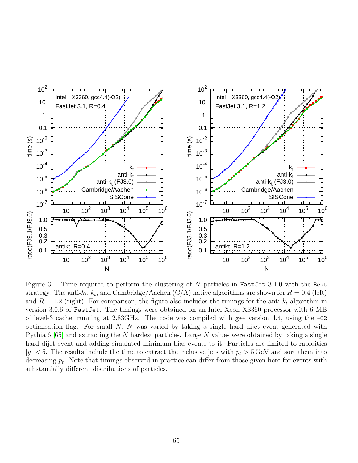

<span id="page-64-0"></span>Figure 3: Time required to perform the clustering of N particles in FastJet 3.1.0 with the Best strategy. The anti- $k_t$ ,  $k_t$ , and Cambridge/Aachen (C/A) native algorithms are shown for  $R = 0.4$  (left) and  $R = 1.2$  (right). For comparison, the figure also includes the timings for the anti- $k_t$  algorithm in version 3.0.6 of FastJet. The timings were obtained on an Intel Xeon X3360 processor with 6 MB of level-3 cache, running at 2.83GHz. The code was compiled with g++ version 4.4, using the -O2 optimisation flag. For small  $N$ ,  $N$  was varied by taking a single hard dijet event generated with Pythia 6 [\[65\]](#page-83-0) and extracting the N hardest particles. Large N values were obtained by taking a single hard dijet event and adding simulated minimum-bias events to it. Particles are limited to rapidities  $|y| < 5$ . The results include the time to extract the inclusive jets with  $p_t > 5$  GeV and sort them into decreasing  $p_t$ . Note that timings observed in practice can differ from those given here for events with substantially different distributions of particles.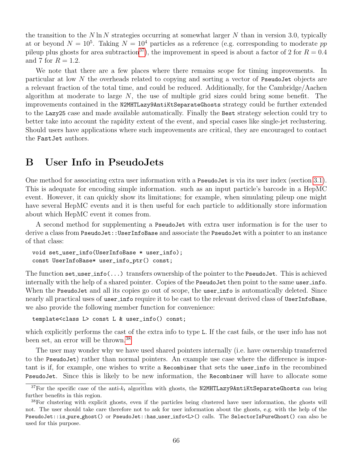the transition to the  $N \ln N$  strategies occurring at somewhat larger  $N$  than in version 3.0, typically at or beyond  $N = 10^5$ . Taking  $N = 10^4$  particles as a reference (e.g. corresponding to moderate pp pileup plus ghosts for area subtraction<sup>[37](#page-65-1)</sup>), the improvement in speed is about a factor of 2 for  $R = 0.4$ and 7 for  $R = 1.2$ .

We note that there are a few places where there remains scope for timing improvements. In particular at low N the overheads related to copying and sorting a vector of PseudoJet objects are a relevant fraction of the total time, and could be reduced. Additionally, for the Cambridge/Aachen algorithm at moderate to large N, the use of multiple grid sizes could bring some benefit. The improvements contained in the N2MHTLazy9AntiKtSeparateGhosts strategy could be further extended to the Lazy25 case and made available automatically. Finally the Best strategy selection could try to better take into account the rapidity extent of the event, and special cases like single-jet reclustering. Should users have applications where such improvements are critical, they are encouraged to contact the FastJet authors.

# <span id="page-65-0"></span>B User Info in PseudoJets

One method for associating extra user information with a PseudoJet is via its user index (section [3.1\)](#page-10-0). This is adequate for encoding simple information. such as an input particle's barcode in a HepMC event. However, it can quickly show its limitations; for example, when simulating pileup one might have several HepMC events and it is then useful for each particle to additionally store information about which HepMC event it comes from.

A second method for supplementing a PseudoJet with extra user information is for the user to derive a class from PseudoJet::UserInfoBase and associate the PseudoJet with a pointer to an instance of that class:

```
void set_user_info(UserInfoBase * user_info);
const UserInfoBase* user_info_ptr() const;
```
The function set user info( $\ldots$ ) transfers ownership of the pointer to the PseudoJet. This is achieved internally with the help of a shared pointer. Copies of the PseudoJet then point to the same user info. When the PseudoJet and all its copies go out of scope, the user info is automatically deleted. Since nearly all practical uses of user info require it to be cast to the relevant derived class of UserInfoBase, we also provide the following member function for convenience:

```
template<class L> const L & user_info() const;
```
which explicitly performs the cast of the extra info to type L. If the cast fails, or the user info has not been set, an error will be thrown.[38](#page-65-2)

The user may wonder why we have used shared pointers internally (i.e. have ownership transferred to the PseudoJet) rather than normal pointers. An example use case where the difference is important is if, for example, one wishes to write a Recombiner that sets the user info in the recombined PseudoJet. Since this is likely to be new information, the Recombiner will have to allocate some

<span id="page-65-1"></span> $37$ For the specific case of the anti- $k_t$  algorithm with ghosts, the N2MHTLazy9AntiKtSeparateGhosts can bring further benefits in this region.

<span id="page-65-2"></span><sup>38</sup>For clustering with explicit ghosts, even if the particles being clustered have user information, the ghosts will not. The user should take care therefore not to ask for user information about the ghosts, e.g. with the help of the PseudoJet::is pure ghost() or PseudoJet::has user info<L>() calls. The SelectorIsPureGhost() can also be used for this purpose.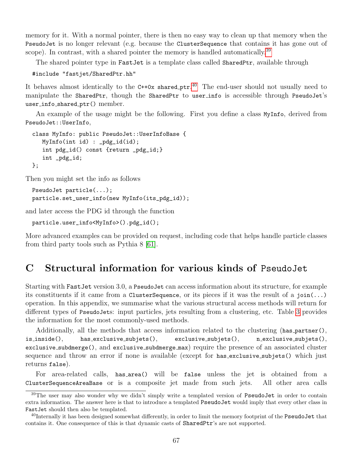memory for it. With a normal pointer, there is then no easy way to clean up that memory when the PseudoJet is no longer relevant (e.g. because the ClusterSequence that contains it has gone out of scope). In contrast, with a shared pointer the memory is handled automatically.<sup>[39](#page-66-0)</sup>

The shared pointer type in FastJet is a template class called SharedPtr, available through

```
#include "fastjet/SharedPtr.hh"
```
It behaves almost identically to the C++0x shared\_ptr.<sup>[40](#page-66-1)</sup> The end-user should not usually need to manipulate the SharedPtr, though the SharedPtr to user info is accessible through PseudoJet's user info shared ptr() member.

An example of the usage might be the following. First you define a class MyInfo, derived from PseudoJet::UserInfo,

```
class MyInfo: public PseudoJet::UserInfoBase {
  MyInfo(int id) : _pdg_id(id);
   int pdg_id() const {return _pdg_id;}
   int _pdg_id;
};
```
Then you might set the info as follows

```
PseudoJet particle(...);
particle.set_user_info(new MyInfo(its_pdg_id));
```
and later access the PDG id through the function

```
particle.user_info<MyInfo>().pdg_id();
```
More advanced examples can be provided on request, including code that helps handle particle classes from third party tools such as Pythia 8 [\[61\]](#page-82-17).

# C Structural information for various kinds of PseudoJet

Starting with FastJet version 3.0, a PseudoJet can access information about its structure, for example its constituents if it came from a ClusterSequence, or its pieces if it was the result of a join(...) operation. In this appendix, we summarise what the various structural access methods will return for different types of PseudoJets: input particles, jets resulting from a clustering, etc. Table [3](#page-67-0) provides the information for the most commonly-used methods.

Additionally, all the methods that access information related to the clustering (has\_partner(), is inside(), has exclusive subjets(), exclusive subjets(), n exclusive subjets(), exclusive subdmerge(), and exclusive subdmerge max) require the presence of an associated cluster sequence and throw an error if none is available (except for has\_exclusive\_subjets() which just returns false).

For area-related calls, has area() will be false unless the jet is obtained from a ClusterSequenceAreaBase or is a composite jet made from such jets. All other area calls

<span id="page-66-0"></span> $39$ The user may also wonder why we didn't simply write a templated version of PseudoJet in order to contain extra information. The answer here is that to introduce a templated PseudoJet would imply that every other class in FastJet should then also be templated.

<span id="page-66-1"></span><sup>&</sup>lt;sup>40</sup>Internally it has been designed somewhat differently, in order to limit the memory footprint of the PseudoJet that contains it. One consequence of this is that dynamic casts of SharedPtr's are not supported.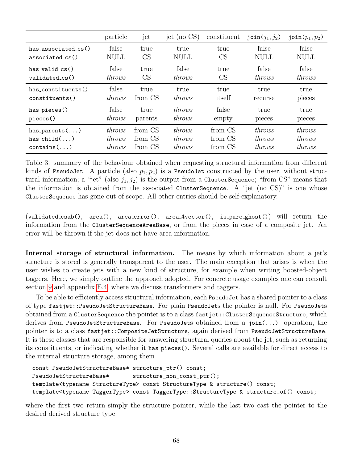|                     | particle      | jet     | jet (no CS)   | constituent | $\text{join}(j_1, j_2)$ | join $(p_1, p_2)$ |
|---------------------|---------------|---------|---------------|-------------|-------------------------|-------------------|
| has_associated_cs() | false         | true    | true          | true        | false                   | false             |
| $associated_c s()$  | NULL          | CS      | <b>NULL</b>   | CS          | <b>NULL</b>             | <b>NULL</b>       |
| $has\_valid_cs()$   | false         | true    | false         | true        | false                   | false             |
| valiated.cs()       | <i>throws</i> | CS      | <i>throws</i> | CS          | <i>throws</i>           | <i>throws</i>     |
| has_constituents()  | false         | true    | true          | true        | true                    | true              |
| constituents()      | <i>throws</i> | from CS | <i>throws</i> | itself      | recurse                 | pieces            |
| $has_pieces()$      | false         | true    | <i>throws</i> | false       | true                    | true              |
| pieces()            | <i>throws</i> | parents | <i>throws</i> | empty       | pieces                  | pieces            |
| $has_$ = parts(  )  | throws        | from CS | <i>throws</i> | from CS     | throws                  | <i>throws</i>     |
| $has\_child()$      | <i>throws</i> | from CS | <i>throws</i> | from CS     | throws                  | <i>throws</i>     |
| $contains($ $)$     | <i>throws</i> | from CS | <i>throws</i> | from CS     | <i>throws</i>           | <i>throws</i>     |

<span id="page-67-0"></span>Table 3: summary of the behaviour obtained when requesting structural information from different kinds of PseudoJet. A particle (also  $p_1, p_2$ ) is a PseudoJet constructed by the user, without structural information; a "jet" (also  $j_1, j_2$ ) is the output from a ClusterSequence; "from CS" means that the information is obtained from the associated ClusterSequence. A "jet (no CS)" is one whose ClusterSequence has gone out of scope. All other entries should be self-explanatory.

 $($ validated\_csab(), area(), area\_error(), area\_4vector(), is\_pure\_ghost()) will return the information from the ClusterSequenceAreaBase, or from the pieces in case of a composite jet. An error will be thrown if the jet does not have area information.

Internal storage of structural information. The means by which information about a jet's structure is stored is generally transparent to the user. The main exception that arises is when the user wishes to create jets with a new kind of structure, for example when writing boosted-object taggers. Here, we simply outline the approach adopted. For concrete usage examples one can consult section [9](#page-48-0) and appendix [E.4,](#page-72-0) where we discuss transformers and taggers.

To be able to efficiently access structural information, each PseudoJet has a shared pointer to a class of type fastjet::PseudoJetStructureBase. For plain PseudoJets the pointer is null. For PseudoJets obtained from a ClusterSequence the pointer is to a class fastjet::ClusterSequenceStructure, which derives from PseudoJetStructureBase. For PseudoJets obtained from a join(...) operation, the pointer is to a class fastjet::CompositeJetStructure, again derived from PseudoJetStructureBase. It is these classes that are responsible for answering structural queries about the jet, such as returning its constituents, or indicating whether it has pieces(). Several calls are available for direct access to the internal structure storage, among them

```
const PseudoJetStructureBase* structure_ptr() const;
PseudoJetStructureBase* structure_non_const_ptr();
template<typename StructureType> const StructureType & structure() const;
template<typename TaggerType> const TaggerType::StructureType & structure_of() const;
```
where the first two return simply the structure pointer, while the last two cast the pointer to the desired derived structure type.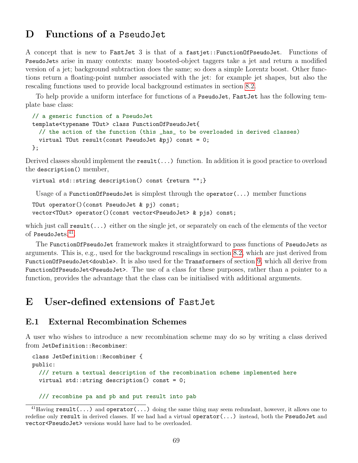# <span id="page-68-0"></span>D Functions of a PseudoJet

A concept that is new to FastJet 3 is that of a fastjet::FunctionOfPseudoJet. Functions of PseudoJets arise in many contexts: many boosted-object taggers take a jet and return a modified version of a jet; background subtraction does the same; so does a simple Lorentz boost. Other functions return a floating-point number associated with the jet: for example jet shapes, but also the rescaling functions used to provide local background estimates in section [8.2.](#page-43-1)

To help provide a uniform interface for functions of a PseudoJet, FastJet has the following template base class:

```
// a generic function of a PseudoJet
template<typename TOut> class FunctionOfPseudoJet{
  // the action of the function (this _has_ to be overloaded in derived classes)
  virtual TOut result(const PseudoJet &pj) const = 0;
};
```
Derived classes should implement the  $result(\ldots)$  function. In addition it is good practice to overload the description() member,

virtual std::string description() const {return "";}

Usage of a Function Of Pseudo Jet is simplest through the operator(...) member functions

```
TOut operator()(const PseudoJet & pj) const;
vector<TOut> operator()(const vector<PseudoJet> & pjs) const;
```
which just call  $result(...)$  either on the single jet, or separately on each of the elements of the vector of PseudoJets. $41$ .

The FunctionOfPseudoJet framework makes it straightforward to pass functions of PseudoJets as arguments. This is, e.g., used for the background rescalings in section [8.2,](#page-43-1) which are just derived from FunctionOfPseudoJet<double>. It is also used for the Transformers of section [9,](#page-48-0) which all derive from FunctionOfPseudoJet<PseudoJet>. The use of a class for these purposes, rather than a pointer to a function, provides the advantage that the class can be initialised with additional arguments.

## E User-defined extensions of FastJet

### <span id="page-68-1"></span>E.1 External Recombination Schemes

A user who wishes to introduce a new recombination scheme may do so by writing a class derived from JetDefinition::Recombiner:

```
class JetDefinition::Recombiner {
public:
  /// return a textual description of the recombination scheme implemented here
  virtual std::string description() const = 0;
```
/// recombine pa and pb and put result into pab

<span id="page-68-2"></span><sup>&</sup>lt;sup>41</sup>Having result( $\ldots$ ) and operator( $\ldots$ ) doing the same thing may seem redundant, however, it allows one to redefine only result in derived classes. If we had had a virtual operator(...) instead, both the PseudoJet and vector<PseudoJet> versions would have had to be overloaded.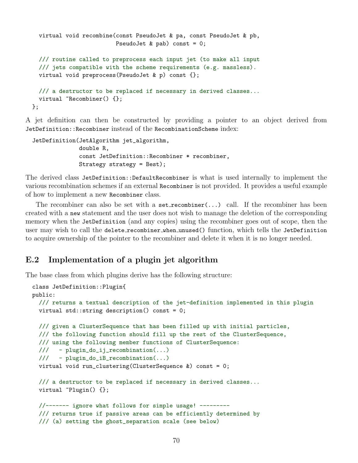```
virtual void recombine(const PseudoJet & pa, const PseudoJet & pb,
                         PseudoJet & pab) const = 0;
 /// routine called to preprocess each input jet (to make all input
 /// jets compatible with the scheme requirements (e.g. massless).
 virtual void preprocess(PseudoJet & p) const {};
 /// a destructor to be replaced if necessary in derived classes...
 virtual "Recombiner() {};
};
```
A jet definition can then be constructed by providing a pointer to an object derived from JetDefinition::Recombiner instead of the RecombinationScheme index:

```
JetDefinition(JetAlgorithm jet_algorithm,
              double R,
              const JetDefinition::Recombiner * recombiner,
              Strategy strategy = Best);
```
The derived class JetDefinition::DefaultRecombiner is what is used internally to implement the various recombination schemes if an external Recombiner is not provided. It provides a useful example of how to implement a new Recombiner class.

The recombiner can also be set with a set recombiner $(\ldots)$  call. If the recombiner has been created with a new statement and the user does not wish to manage the deletion of the corresponding memory when the JetDefinition (and any copies) using the recombiner goes out of scope, then the user may wish to call the delete recombiner when unused() function, which tells the JetDefinition to acquire ownership of the pointer to the recombiner and delete it when it is no longer needed.

## E.2 Implementation of a plugin jet algorithm

The base class from which plugins derive has the following structure:

```
class JetDefinition::Plugin{
public:
  /// returns a textual description of the jet-definition implemented in this plugin
 virtual std::string description() const = 0;
 /// given a ClusterSequence that has been filled up with initial particles,
  /// the following function should fill up the rest of the ClusterSequence,
  /// using the following member functions of ClusterSequence:
  /// - plugin_do_ij_recombination(...)
  /// - plugin_do_iB_recombination(...)
  virtual void run_clustering(ClusterSequence &) const = 0;
 /// a destructor to be replaced if necessary in derived classes...
 virtual "Plugin() {};
 //------- ignore what follows for simple usage! --------
  /// returns true if passive areas can be efficiently determined by
  /// (a) setting the ghost_separation scale (see below)
```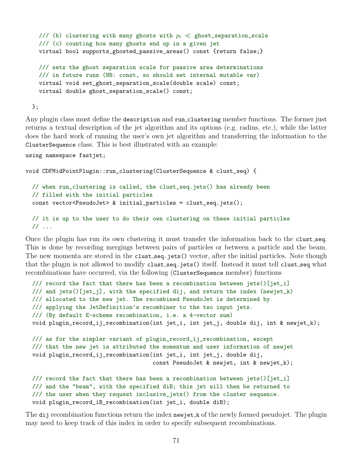```
/// (b) clustering with many ghosts with p_t \ll ghost_separation_scale
/// (c) counting how many ghosts end up in a given jet
virtual bool supports_ghosted_passive_areas() const {return false;}
/// sets the ghost separation scale for passive area determinations
/// in future runs (NB: const, so should set internal mutable var)
virtual void set_ghost_separation_scale(double scale) const;
virtual double ghost_separation_scale() const;
```
#### };

Any plugin class must define the description and run clustering member functions. The former just returns a textual description of the jet algorithm and its options (e.g. radius, etc.), while the latter does the hard work of running the user's own jet algorithm and transferring the information to the ClusterSequence class. This is best illustrated with an example:

```
using namespace fastjet;
```

```
void CDFMidPointPlugin::run_clustering(ClusterSequence & clust_seq) {
```

```
// when run_clustering is called, the clust_seq.jets() has already been
// filled with the initial particles
const vector<PseudoJet> & initial_particles = clust_seq.jets();
```

```
// it is up to the user to do their own clustering on these initial particles
// ...
```
Once the plugin has run its own clustering it must transfer the information back to the clust seq. This is done by recording mergings between pairs of particles or between a particle and the beam. The new momenta are stored in the clust\_seq.jets() vector, after the initial particles. Note though that the plugin is not allowed to modify clust seq.jets() itself. Instead it must tell clust seq what recombinations have occurred, via the following (ClusterSequence member) functions

```
/// record the fact that there has been a recombination between jets()[jet_i]
/// and jets()[jet_j], with the specified dij, and return the index (newjet_k)
/// allocated to the new jet. The recombined PseudoJet is determined by
/// applying the JetDefinition's recombiner to the two input jets.
/// (By default E-scheme recombination, i.e. a 4-vector sum)
void plugin_record_ij_recombination(int jet_i, int jet_j, double dij, int & newjet_k);
/// as for the simpler variant of plugin_record_ij_recombination, except
/// that the new jet is attributed the momentum and user information of newjet
void plugin_record_ij_recombination(int jet_i, int jet_j, double dij,
                                    const PseudoJet & newjet, int & newjet_k);
/// record the fact that there has been a recombination between jets()[jet_i]
/// and the "beam", with the specified diB; this jet will then be returned to
/// the user when they request inclusive_jets() from the cluster sequence.
```
void plugin\_record\_iB\_recombination(int jet\_i, double diB);

The dij recombination functions return the index newjet k of the newly formed pseudojet. The plugin may need to keep track of this index in order to specify subsequent recombinations.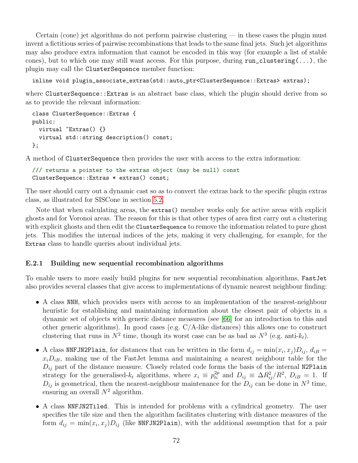Certain (cone) jet algorithms do not perform pairwise clustering — in these cases the plugin must invent a fictitious series of pairwise recombinations that leads to the same final jets. Such jet algorithms may also produce extra information that cannot be encoded in this way (for example a list of stable cones), but to which one may still want access. For this purpose, during  $run\_clustering(...)$ , the plugin may call the ClusterSequence member function:

inline void plugin\_associate\_extras(std::auto\_ptr<ClusterSequence::Extras> extras);

where ClusterSequence:: Extras is an abstract base class, which the plugin should derive from so as to provide the relevant information:

```
class ClusterSequence::Extras {
public:
  virtual ~Extras() {}
  virtual std::string description() const;
};
```
A method of ClusterSequence then provides the user with access to the extra information:

```
/// returns a pointer to the extras object (may be null) const
ClusterSequence::Extras * extras() const;
```
The user should carry out a dynamic cast so as to convert the extras back to the specific plugin extras class, as illustrated for SISCone in section [5.2.](#page-24-0)

Note that when calculating areas, the extras() member works only for active areas with explicit ghosts and for Voronoi areas. The reason for this is that other types of area first carry out a clustering with explicit ghosts and then edit the ClusterSequence to remove the information related to pure ghost jets. This modifies the internal indices of the jets, making it very challenging, for example, for the Extras class to handle queries about individual jets.

#### E.2.1 Building new sequential recombination algorithms

To enable users to more easily build plugins for new sequential recombination algorithms, FastJet also provides several classes that give access to implementations of dynamic nearest neighbour finding:

- A class NNH, which provides users with access to an implementation of the nearest-neighbour heuristic for establishing and maintaining information about the closest pair of objects in a dynamic set of objects with generic distance measures (see [\[66\]](#page-83-1) for an introduction to this and other generic algorithms). In good cases (e.g. C/A-like distances) this allows one to construct clustering that runs in  $N^2$  time, though its worst case can be as bad as  $N^3$  (e.g. anti- $k_t$ ).
- A class NNFJN2Plain, for distances that can be written in the form  $d_{ij} = \min(x_i, x_j)D_{ij}$ ,  $d_{iB} =$  $x_iD_{iB}$ , making use of the FastJet lemma and maintaining a nearest neighbour table for the  $D_{ij}$  part of the distance measure. Closely related code forms the basis of the internal N2Plain strategy for the generalised- $k_t$  algorithms, where  $x_i \equiv p_{ti}^{2p}$  and  $D_{ij} \equiv \Delta R_{ij}^2/R^2$ ,  $D_{iB} = 1$ . If  $D_{ij}$  is geometrical, then the nearest-neighbour maintenance for the  $D_{ij}$  can be done in  $N^2$  time, ensuring an overall  $N^2$  algorithm.
- A class NNFJN2Tiled. This is intended for problems with a cylindrical geometry. The user specifies the tile size and then the algorithm facilitates clustering with distance measures of the form  $d_{ij} = \min(x_i, x_j)D_{ij}$  (like NNFJN2Plain), with the additional assumption that for a pair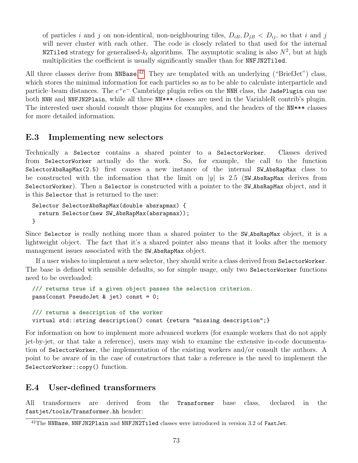of particles i and j on non-identical, non-neighbouring tiles,  $D_{iB}$ ,  $D_{iB}$  <  $D_{ii}$ , so that i and j will never cluster with each other. The code is closely related to that used for the internal N2Tiled strategy for generalised- $k_t$  algorithms. The asymptotic scaling is also  $N^2$ , but at high multiplicities the coefficient is usually significantly smaller than for NNFJN2Tiled.

All three classes derive from NNBase.<sup>[42](#page-72-0)</sup> They are templated with an underlying ("BriefJet") class, which stores the minimal information for each particles so as to be able to calculate interparticle and particle–beam distances. The  $e^+e^-$  Cambridge plugin relies on the NNH class, the JadePlugin can use both NNH and NNFJN2Plain, while all three NN\*\*\* classes are used in the VariableR contrib's plugin. The interested user should consult those plugins for examples, and the headers of the NN\*\*\* classes for more detailed information.

### E.3 Implementing new selectors

Technically a Selector contains a shared pointer to a SelectorWorker. Classes derived from SelectorWorker actually do the work. So, for example, the call to the function SelectorAbsRapMax(2.5) first causes a new instance of the internal SW AbsRapMax class to be constructed with the information that the limit on  $|y|$  is 2.5 (SW\_AbsRapMax derives from SelectorWorker). Then a Selector is constructed with a pointer to the SW AbsRapMax object, and it is this Selector that is returned to the user:

```
Selector SelectorAbsRapMax(double absrapmax) {
  return Selector(new SW_AbsRapMax(absrapmax));
}
```
Since Selector is really nothing more than a shared pointer to the SW AbsRapMax object, it is a lightweight object. The fact that it's a shared pointer also means that it looks after the memory management issues associated with the SW AbsRapMax object.

If a user wishes to implement a new selector, they should write a class derived from SelectorWorker. The base is defined with sensible defaults, so for simple usage, only two SelectorWorker functions need to be overloaded:

```
/// returns true if a given object passes the selection criterion.
pass(const PseudoJet & jet) const = 0;
/// returns a description of the worker
```
virtual std::string description() const {return "missing description";}

For information on how to implement more advanced workers (for example workers that do not apply jet-by-jet, or that take a reference), users may wish to examine the extensive in-code documentation of SelectorWorker, the implementation of the existing workers and/or consult the authors. A point to be aware of in the case of constructors that take a reference is the need to implement the SelectorWorker::copy() function.

### E.4 User-defined transformers

All transformers are derived from the Transformer base class, declared in the fastjet/tools/Transformer.hh header:

<span id="page-72-0"></span> $^{42}$ The NNBase, NNFJN2Plain and NNFJN2Tiled classes were introduced in version 3.2 of FastJet.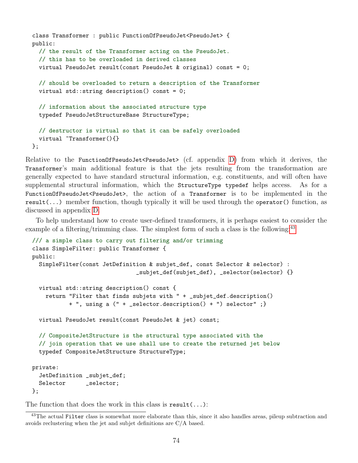```
class Transformer : public FunctionOfPseudoJet<PseudoJet> {
public:
 // the result of the Transformer acting on the PseudoJet.
 // this has to be overloaded in derived classes
 virtual PseudoJet result(const PseudoJet & original) const = 0;
 // should be overloaded to return a description of the Transformer
 virtual std::string description() const = 0;
 // information about the associated structure type
 typedef PseudoJetStructureBase StructureType;
 // destructor is virtual so that it can be safely overloaded
 virtual "Transformer(){}
};
```
Relative to the FunctionOfPseudoJet<PseudoJet> (cf. appendix [D\)](#page-68-0) from which it derives, the Transformer's main additional feature is that the jets resulting from the transformation are generally expected to have standard structural information, e.g. constituents, and will often have supplemental structural information, which the StructureType typedef helps access. As for a FunctionOfPseudoJet<PseudoJet>, the action of a Transformer is to be implemented in the result( $\ldots$ ) member function, though typically it will be used through the operator() function, as discussed in appendix [D.](#page-68-0)

To help understand how to create user-defined transformers, it is perhaps easiest to consider the example of a filtering/trimming class. The simplest form of such a class is the following:<sup>[43](#page-73-0)</sup>

```
/// a simple class to carry out filtering and/or trimming
class SimpleFilter: public Transformer {
public:
 SimpleFilter(const JetDefinition & subjet_def, const Selector & selector) :
                               _subjet_def(subjet_def), _selector(selector) {}
 virtual std::string description() const {
   return "Filter that finds subjets with " + _subjet_def.description()
          + ", using a (" + _selector.description() + ") selector" ;}
 virtual PseudoJet result(const PseudoJet & jet) const;
 // CompositeJetStructure is the structural type associated with the
 // join operation that we use shall use to create the returned jet below
 typedef CompositeJetStructure StructureType;
private:
 JetDefinition _subjet_def;
 Selector _selector;
};
```
The function that does the work in this class is  $result(...):$ 

<span id="page-73-0"></span><sup>&</sup>lt;sup>43</sup>The actual Filter class is somewhat more elaborate than this, since it also handles areas, pileup subtraction and avoids reclustering when the jet and subjet definitions are C/A based.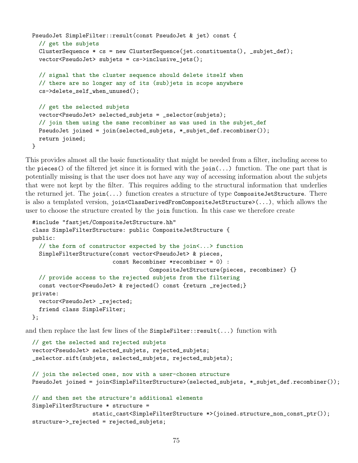```
PseudoJet SimpleFilter::result(const PseudoJet & jet) const {
  // get the subjets
  ClusterSequence * cs = new ClusterSequence(jet.constituents(), _subjet_def);
  vector<PseudoJet> subjets = cs->inclusive_jets();
 // signal that the cluster sequence should delete itself when
  // there are no longer any of its (sub)jets in scope anywhere
  cs->delete_self_when_unused();
 // get the selected subjets
  vector<PseudoJet> selected_subjets = _selector(subjets);
  // join them using the same recombiner as was used in the subjet_def
 PseudoJet joined = join(selected_subjets, *_subjet_def.recombiner());
 return joined;
}
```
This provides almost all the basic functionality that might be needed from a filter, including access to the pieces() of the filtered jet since it is formed with the join( $\dots$ ) function. The one part that is potentially missing is that the user does not have any way of accessing information about the subjets that were not kept by the filter. This requires adding to the structural information that underlies the returned jet. The join( $\ldots$ ) function creates a structure of type CompositeJetStructure. There is also a templated version, join<ClassDerivedFromCompositeJetStructure>(...), which allows the user to choose the structure created by the join function. In this case we therefore create

```
#include "fastjet/CompositeJetStructure.hh"
class SimpleFilterStructure: public CompositeJetStructure {
public:
  // the form of constructor expected by the join<...> function
  SimpleFilterStructure(const vector<PseudoJet> & pieces,
                        const Recombiner *recombiner = 0) :
                                   CompositeJetStructure(pieces, recombiner) {}
  // provide access to the rejected subjets from the filtering
  const vector<PseudoJet> & rejected() const {return _rejected;}
private:
  vector<PseudoJet> _rejected;
  friend class SimpleFilter;
};
```
and then replace the last few lines of the SimpleFilter::result(...) function with

```
// get the selected and rejected subjets
vector<PseudoJet> selected_subjets, rejected_subjets;
_selector.sift(subjets, selected_subjets, rejected_subjets);
// join the selected ones, now with a user-chosen structure
PseudoJet joined = join<SimpleFilterStructure>(selected_subjets, *_subjet_def.recombiner());
// and then set the structure's additional elements
SimpleFilterStructure * structure =
                  static_cast<SimpleFilterStructure *>(joined.structure_non_const_ptr());
structure->_rejected = rejected_subjets;
```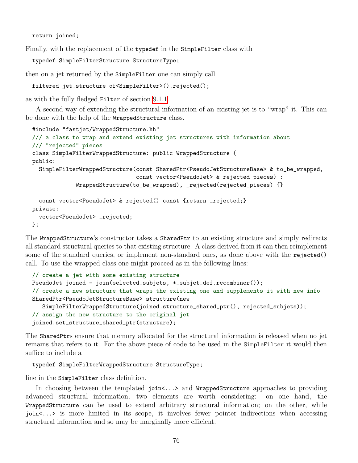return joined;

Finally, with the replacement of the typedef in the SimpleFilter class with

```
typedef SimpleFilterStructure StructureType;
```
then on a jet returned by the SimpleFilter one can simply call

```
filtered_jet.structure_of<SimpleFilter>().rejected();
```
as with the fully fledged Filter of section [9.1.1.](#page-49-0)

A second way of extending the structural information of an existing jet is to "wrap" it. This can be done with the help of the WrappedStructure class.

```
#include "fastjet/WrappedStructure.hh"
/// a class to wrap and extend existing jet structures with information about
/// "rejected" pieces
class SimpleFilterWrappedStructure: public WrappedStructure {
public:
  SimpleFilterWrappedStructure(const SharedPtr<PseudoJetStructureBase> & to_be_wrapped,
                               const vector<PseudoJet> & rejected_pieces) :
             WrappedStructure(to_be_wrapped), _rejected(rejected_pieces) {}
  const vector<PseudoJet> & rejected() const {return _rejected;}
private:
  vector<PseudoJet> _rejected;
};
```
The WrappedStructure's constructor takes a SharedPtr to an existing structure and simply redirects all standard structural queries to that existing structure. A class derived from it can then reimplement some of the standard queries, or implement non-standard ones, as done above with the rejected() call. To use the wrapped class one might proceed as in the following lines:

```
// create a jet with some existing structure
PseudoJet joined = join(selected_subjets, *_subjet_def.recombiner());
// create a new structure that wraps the existing one and supplements it with new info
SharedPtr<PseudoJetStructureBase> structure(new
   SimpleFilterWrappedStructure(joined.structure_shared_ptr(), rejected_subjets));
// assign the new structure to the original jet
joined.set_structure_shared_ptr(structure);
```
The SharedPtrs ensure that memory allocated for the structural information is released when no jet remains that refers to it. For the above piece of code to be used in the SimpleFilter it would then suffice to include a

#### typedef SimpleFilterWrappedStructure StructureType;

line in the SimpleFilter class definition.

In choosing between the templated join <...> and WrappedStructure approaches to providing advanced structural information, two elements are worth considering: on one hand, the WrappedStructure can be used to extend arbitrary structural information; on the other, while join<...> is more limited in its scope, it involves fewer pointer indirections when accessing structural information and so may be marginally more efficient.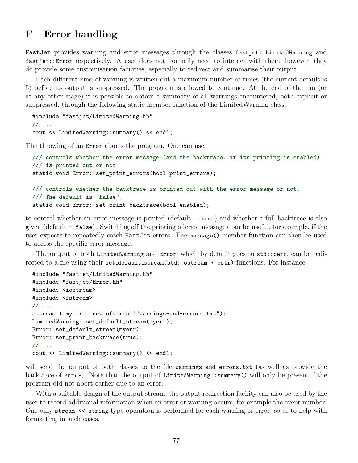# F Error handling

FastJet provides warning and error messages through the classes fastjet::LimitedWarning and fastjet::Error respectively. A user does not normally need to interact with them, however, they do provide some customisation facilities, especially to redirect and summarise their output.

Each different kind of warning is written out a maximum number of times (the current default is 5) before its output is suppressed. The program is allowed to continue. At the end of the run (or at any other stage) it is possible to obtain a summary of all warnings encountered, both explicit or suppressed, through the following static member function of the LimitedWarning class:

```
#include "fastjet/LimitedWarning.hh"
// ...
cout << LimitedWarning::summary() << endl;
```
The throwing of an Error aborts the program. One can use

```
/// controls whether the error message (and the backtrace, if its printing is enabled)
/// is printed out or not
static void Error::set_print_errors(bool print_errors);
/// controls whether the backtrace is printed out with the error message or not.
/// The default is "false".
static void Error::set_print_backtrace(bool enabled);
```
to control whether an error message is printed (default  $=$  true) and whether a full backtrace is also given (default  $=$  false). Switching off the printing of error messages can be useful, for example, if the user expects to repeatedly catch FastJet errors. The message() member function can then be used to access the specific error message.

The output of both LimitedWarning and Error, which by default goes to std::cerr, can be redirected to a file using their set\_default\_stream(std::ostream \* ostr) functions. For instance,

```
#include "fastjet/LimitedWarning.hh"
#include "fastjet/Error.hh"
#include <iostream>
#include <fstream>
// ...
ostream * myerr = new ofstream("warnings-and-errors.txt");
LimitedWarning::set_default_stream(myerr);
Error::set_default_stream(myerr);
Error::set_print_backtrace(true);
// ...
cout << LimitedWarning::summary() << endl;
```
will send the output of both classes to the file warnings-and-errors.txt (as well as provide the backtrace of errors). Note that the output of LimitedWarning::summary() will only be present if the program did not abort earlier due to an error.

With a suitable design of the output stream, the output redirection facility can also be used by the user to record additional information when an error or warning occurs, for example the event number. One only stream << string type operation is performed for each warning or error, so as to help with formatting in such cases.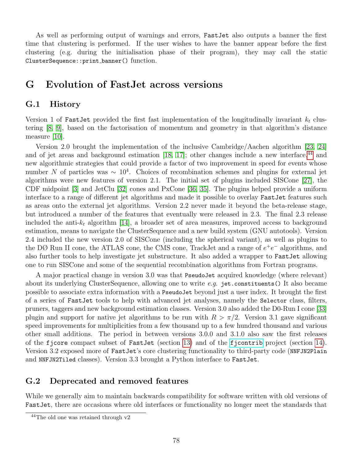As well as performing output of warnings and errors, FastJet also outputs a banner the first time that clustering is performed. If the user wishes to have the banner appear before the first clustering (e.g. during the initialisation phase of their program), they may call the static ClusterSequence::print banner() function.

## G Evolution of FastJet across versions

#### G.1 History

Version 1 of FastJet provided the first fast implementation of the longitudinally invariant  $k_t$  clustering [\[8,](#page-80-0) [9\]](#page-80-1), based on the factorisation of momentum and geometry in that algorithm's distance measure [\[10\]](#page-80-2).

Version 2.0 brought the implementation of the inclusive Cambridge/Aachen algorithm [\[23,](#page-81-0) [24\]](#page-81-1) and of jet areas and background estimation  $[18, 17]$  $[18, 17]$ ; other changes include a new interface,  $^{44}$  $^{44}$  $^{44}$  and new algorithmic strategies that could provide a factor of two improvement in speed for events whose number N of particles was  $\sim 10^4$ . Choices of recombination schemes and plugins for external jet algorithms were new features of version 2.1. The initial set of plugins included SISCone [\[27\]](#page-81-2), the CDF midpoint [\[3\]](#page-80-5) and JetClu [\[32\]](#page-81-3) cones and PxCone [\[36,](#page-81-4) [35\]](#page-81-5). The plugins helped provide a uniform interface to a range of different jet algorithms and made it possible to overlay FastJet features such as areas onto the external jet algorithms. Version 2.2 never made it beyond the beta-release stage, but introduced a number of the features that eventually were released in 2.3. The final 2.3 release included the anti- $k_t$  algorithm [\[14\]](#page-80-6), a broader set of area measures, improved access to background estimation, means to navigate the ClusterSequence and a new build system (GNU autotools). Version 2.4 included the new version 2.0 of SISCone (including the spherical variant), as well as plugins to the DØ Run II cone, the ATLAS cone, the CMS cone, TrackJet and a range of  $e^+e^-$  algorithms, and also further tools to help investigate jet substructure. It also added a wrapper to FastJet allowing one to run SISCone and some of the sequential recombination algorithms from Fortran programs.

A major practical change in version 3.0 was that PseudoJet acquired knowledge (where relevant) about its underlying ClusterSequence, allowing one to write  $e.g.$  jet.constituents() It also became possible to associate extra information with a PseudoJet beyond just a user index. It brought the first of a series of FastJet tools to help with advanced jet analyses, namely the Selector class, filters, pruners, taggers and new background estimation classes. Version 3.0 also added the D0-Run I cone [\[33\]](#page-81-6) plugin and support for native jet algorithms to be run with  $R > \pi/2$ . Version 3.1 gave significant speed improvements for multiplicities from a few thousand up to a few hundred thousand and various other small additions. The period in between versions 3.0.0 and 3.1.0 also saw the first releases of the fjcore compact subset of FastJet (section [13\)](#page-60-0) and of the [fjcontrib](http://fastjet.hepforge.org/contrib/) project (section [14\)](#page-61-0). Version 3.2 exposed more of FastJet's core clustering functionality to third-party code (NNFJN2Plain and NNFJN2Tiled classes). Version 3.3 brought a Python interface to FastJet.

#### G.2 Deprecated and removed features

While we generally aim to maintain backwards compatibility for software written with old versions of FastJet, there are occasions where old interfaces or functionality no longer meet the standards that

<span id="page-77-0"></span><sup>44</sup>The old one was retained through v2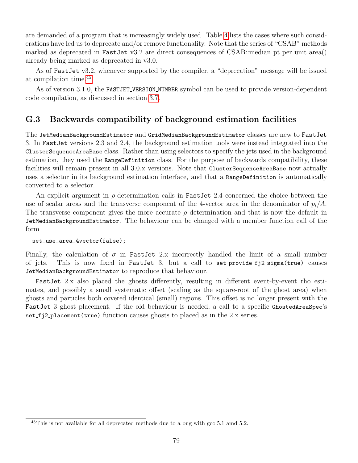are demanded of a program that is increasingly widely used. Table [4](#page-79-0) lists the cases where such considerations have led us to deprecate and/or remove functionality. Note that the series of "CSAB" methods marked as deprecated in FastJet v3.2 are direct consequences of CSAB::median pt per unit area() already being marked as deprecated in v3.0.

As of FastJet v3.2, whenever supported by the compiler, a "deprecation" message will be issued at compilation time.[45](#page-78-0)

As of version 3.1.0, the FASTJET VERSION NUMBER symbol can be used to provide version-dependent code compilation, as discussed in section [3.7.](#page-19-0)

## G.3 Backwards compatibility of background estimation facilities

The JetMedianBackgroundEstimator and GridMedianBackgroundEstimator classes are new to FastJet 3. In FastJet versions 2.3 and 2.4, the background estimation tools were instead integrated into the ClusterSequenceAreaBase class. Rather than using selectors to specify the jets used in the background estimation, they used the RangeDefinition class. For the purpose of backwards compatibility, these facilities will remain present in all 3.0.x versions. Note that ClusterSequenceAreaBase now actually uses a selector in its background estimation interface, and that a RangeDefinition is automatically converted to a selector.

An explicit argument in  $\rho$ -determination calls in FastJet 2.4 concerned the choice between the use of scalar areas and the transverse component of the 4-vector area in the denominator of  $p_t/A$ . The transverse component gives the more accurate  $\rho$  determination and that is now the default in JetMedianBackgroundEstimator. The behaviour can be changed with a member function call of the form

#### set\_use\_area\_4vector(false);

Finally, the calculation of  $\sigma$  in FastJet 2.x incorrectly handled the limit of a small number of jets. This is now fixed in FastJet 3, but a call to set provide fj2 sigma(true) causes JetMedianBackgroundEstimator to reproduce that behaviour.

FastJet 2.x also placed the ghosts differently, resulting in different event-by-event rho estimates, and possibly a small systematic offset (scaling as the square-root of the ghost area) when ghosts and particles both covered identical (small) regions. This offset is no longer present with the FastJet 3 ghost placement. If the old behaviour is needed, a call to a specific GhostedAreaSpec's set fj2 placement (true) function causes ghosts to placed as in the 2.x series.

<span id="page-78-0"></span> $^{45}$ This is not available for all deprecated methods due to a bug with gcc 5.1 amd 5.2.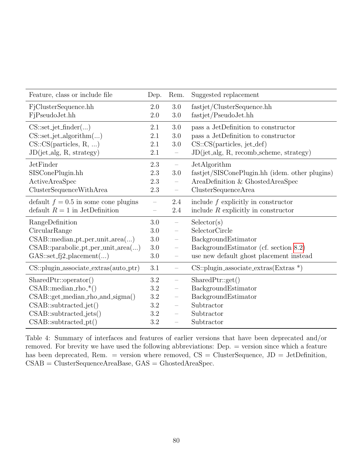| Feature, class or include file                                           | Dep.                     | Rem.                     | Suggested replacement                          |
|--------------------------------------------------------------------------|--------------------------|--------------------------|------------------------------------------------|
| FjClusterSequence.hh                                                     | 2.0                      | 3.0                      | fastjet/ClusterSequence.hh                     |
| FjPseudoJet.hh                                                           | 2.0                      | 3.0                      | fastjet/PseudoJet.hh                           |
| $CS::set,jet\_finder()$                                                  | 2.1                      | $3.0\,$                  | pass a JetDefinition to constructor            |
| $CS::set\_jet\_algorithm()$                                              | 2.1                      | 3.0                      | pass a JetDefinition to constructor            |
| CS::CS(particles, R, )                                                   | 2.1                      | $3.0\,$                  | $CS::CS(particles, jet_def)$                   |
| $JD(jet_alg, R, strategy)$                                               | 2.1                      | $\qquad \qquad -$        | $JD(jet_alg, R, recomb_scheme, strategy)$      |
| JetFinder                                                                | 2.3                      | $\equiv$                 | JetAlgorithm                                   |
| SISConePlugin.hh                                                         | 2.3                      | 3.0                      | fastjet/SISConePlugin.hh (idem. other plugins) |
| ActiveAreaSpec                                                           | $2.3\,$                  | $\overline{\phantom{0}}$ | AreaDefinition & GhostedAreaSpec               |
| ClusterSequenceWithArea                                                  | 2.3                      | $\overline{\phantom{0}}$ | ClusterSequenceArea                            |
| default $f = 0.5$ in some cone plugins                                   | $\overline{\phantom{0}}$ | 2.4                      | include $f$ explicitly in constructor          |
| default $R = 1$ in JetDefinition                                         | $\overline{\phantom{m}}$ | 2.4                      | include $R$ explicitly in constructor          |
| RangeDefinition                                                          | 3.0                      | $\equiv$                 | Selector(s)                                    |
| CircularRange                                                            | 3.0                      | $\overline{\phantom{0}}$ | SelectorCircle                                 |
| $CSAB::median_pt_per\_unit\_area()$                                      | 3.0                      | $\qquad \qquad$          | BackgroundEstimator                            |
| $CSAB::parabolic{\text{-}}pt{\text{-}}per{\text{-}}unit{\text{-}}area()$ | 3.0                      | $\overline{\phantom{0}}$ | BackgroundEstimator (cf. section 8.2)          |
| $GAS::set_fj2\_placement()$                                              | 3.0                      | $\overline{\phantom{0}}$ | use new default ghost placement instead        |
| $CS::plugin_$ associate_extras(auto_ptr)                                 | 3.1                      | $\overline{\phantom{0}}$ | $CS::plugin_$ associate_extras(Extras $*)$     |
| SharedPtr::operator()                                                    | $3.2\,$                  | $\qquad \qquad -$        | SharedPtr:get()                                |
| $CSAB::median\_rho_*^*($                                                 | 3.2                      | $\overline{\phantom{0}}$ | BackgroundEstimator                            |
| $CSAB::get\_median\_rho\_and\_sigma()$                                   | $3.2\,$                  | $\overline{\phantom{m}}$ | BackgroundEstimator                            |
| $CSAB::subtracted_jet()$                                                 | 3.2                      | $\qquad \qquad -$        | Subtractor                                     |
| $CSAB::subtracted_jets()$                                                | 3.2                      | $\qquad \qquad -$        | Subtractor                                     |
| $CSAB::subtracted_pt()$                                                  | 3.2                      | $\overline{\phantom{0}}$ | Subtractor                                     |

<span id="page-79-0"></span>Table 4: Summary of interfaces and features of earlier versions that have been deprecated and/or removed. For brevity we have used the following abbreviations: Dep. = version since which a feature has been deprecated, Rem. = version where removed,  $CS = ClusterSequence$ ,  $JD = JetDefinition$ ,  $\emph{CSAB} = \emph{ClusterSequenceAreaBase}, \emph{GAS} = \emph{GhostedAreaSpec}.$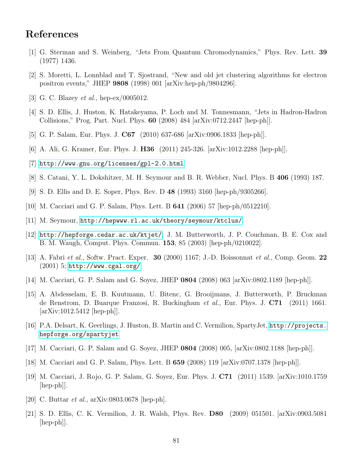# References

- [1] G. Sterman and S. Weinberg, "Jets From Quantum Chromodynamics," Phys. Rev. Lett. 39 (1977) 1436.
- [2] S. Moretti, L. Lonnblad and T. Sjostrand, "New and old jet clustering algorithms for electron positron events," JHEP 9808 (1998) 001 [arXiv:hep-ph/9804296].
- <span id="page-80-5"></span>[3] G. C. Blazey et al., hep-ex/0005012.
- [4] S. D. Ellis, J. Huston, K. Hatakeyama, P. Loch and M. Tonnesmann, "Jets in Hadron-Hadron Collisions," Prog. Part. Nucl. Phys. 60 (2008) 484 [arXiv:0712.2447 [hep-ph]].
- [5] G. P. Salam, Eur. Phys. J. C67 (2010) 637-686 [arXiv:0906.1833 [hep-ph]].
- [6] A. Ali, G. Kramer, Eur. Phys. J. H36 (2011) 245-326. [arXiv:1012.2288 [hep-ph]].
- [7] <http://www.gnu.org/licenses/gpl-2.0.html>
- <span id="page-80-0"></span>[8] S. Catani, Y. L. Dokshitzer, M. H. Seymour and B. R. Webber, Nucl. Phys. B 406 (1993) 187.
- <span id="page-80-1"></span>[9] S. D. Ellis and D. E. Soper, Phys. Rev. D 48 (1993) 3160 [hep-ph/9305266].
- <span id="page-80-2"></span>[10] M. Cacciari and G. P. Salam, Phys. Lett. B 641 (2006) 57 [hep-ph/0512210].
- [11] M. Seymour, <http://hepwww.rl.ac.uk/theory/seymour/ktclus/>.
- [12] <http://hepforge.cedar.ac.uk/ktjet/>; J. M. Butterworth, J. P. Couchman, B. E. Cox and B. M. Waugh, Comput. Phys. Commun. 153, 85 (2003) [hep-ph/0210022].
- [13] A. Fabri et al., Softw. Pract. Exper. 30 (2000) 1167; J.-D. Boissonnat et al., Comp. Geom. 22 (2001) 5; <http://www.cgal.org/>
- <span id="page-80-6"></span>[14] M. Cacciari, G. P. Salam and G. Soyez, JHEP 0804 (2008) 063 [arXiv:0802.1189 [hep-ph]].
- [15] A. Abdesselam, E. B. Kuutmann, U. Bitenc, G. Brooijmans, J. Butterworth, P. Bruckman de Renstrom, D. Buarque Franzosi, R. Buckingham et al., Eur. Phys. J. C71 (2011) 1661. [arXiv:1012.5412 [hep-ph]].
- [16] P.A. Delsart, K. Geerlings, J. Huston, B. Martin and C. Vermilion, SpartyJet, [http://projects.](http://projects.hepforge.org/spartyjet) [hepforge.org/spartyjet](http://projects.hepforge.org/spartyjet)
- <span id="page-80-4"></span>[17] M. Cacciari, G. P. Salam and G. Soyez, JHEP 0804 (2008) 005, [arXiv:0802.1188 [hep-ph]].
- <span id="page-80-3"></span>[18] M. Cacciari and G. P. Salam, Phys. Lett. B 659 (2008) 119 [arXiv:0707.1378 [hep-ph]].
- [19] M. Cacciari, J. Rojo, G. P. Salam, G. Soyez, Eur. Phys. J. C71 (2011) 1539. [arXiv:1010.1759 [hep-ph]].
- [20] C. Buttar *et al.*, arXiv:0803.0678 [hep-ph].
- [21] S. D. Ellis, C. K. Vermilion, J. R. Walsh, Phys. Rev. D80 (2009) 051501. [arXiv:0903.5081  $\vert \text{hep-ph} \vert$ .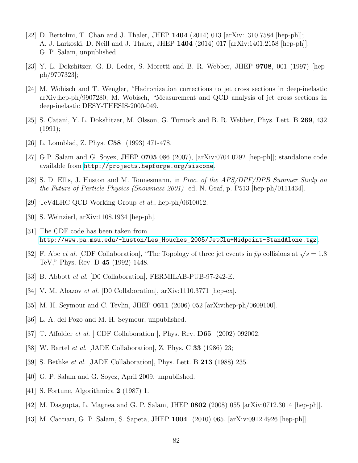- [22] D. Bertolini, T. Chan and J. Thaler, JHEP 1404 (2014) 013 [arXiv:1310.7584 [hep-ph]]; A. J. Larkoski, D. Neill and J. Thaler, JHEP 1404 (2014) 017 [arXiv:1401.2158 [hep-ph]]; G. P. Salam, unpublished.
- <span id="page-81-0"></span>[23] Y. L. Dokshitzer, G. D. Leder, S. Moretti and B. R. Webber, JHEP 9708, 001 (1997) [hepph/9707323];
- <span id="page-81-1"></span>[24] M. Wobisch and T. Wengler, "Hadronization corrections to jet cross sections in deep-inelastic arXiv:hep-ph/9907280; M. Wobisch, "Measurement and QCD analysis of jet cross sections in deep-inelastic DESY-THESIS-2000-049.
- [25] S. Catani, Y. L. Dokshitzer, M. Olsson, G. Turnock and B. R. Webber, Phys. Lett. B 269, 432 (1991);
- [26] L. Lonnblad, Z. Phys. C58 (1993) 471-478.
- <span id="page-81-2"></span>[27] G.P. Salam and G. Soyez, JHEP 0705 086 (2007), [arXiv:0704.0292 [hep-ph]]; standalone code available from <http://projects.hepforge.org/siscone>.
- [28] S. D. Ellis, J. Huston and M. Tonnesmann, in Proc. of the APS/DPF/DPB Summer Study on the Future of Particle Physics (Snowmass 2001) ed. N. Graf, p. P513 [hep-ph/0111434].
- [29] TeV4LHC QCD Working Group et al., hep-ph/0610012.
- [30] S. Weinzierl, arXiv:1108.1934 [hep-ph].
- [31] The CDF code has been taken from [http://www.pa.msu.edu/~huston/Les\\_Houches\\_2005/JetClu+Midpoint-StandAlone.tgz](http://www.pa.msu.edu/~huston/Les_Houches_2005/JetClu+Midpoint-StandAlone.tgz) .
- <span id="page-81-3"></span>[32] F. Abe *et al.* [CDF Collaboration], "The Topology of three jet events in  $\bar{p}p$  collisions at  $\sqrt{s} = 1.8$ TeV," Phys. Rev. D 45 (1992) 1448.
- <span id="page-81-6"></span>[33] B. Abbott et al. [D0 Collaboration], FERMILAB-PUB-97-242-E.
- [34] V. M. Abazov et al. [D0 Collaboration], arXiv:1110.3771 [hep-ex].
- <span id="page-81-5"></span>[35] M. H. Seymour and C. Tevlin, JHEP 0611 (2006) 052 [arXiv:hep-ph/0609100].
- <span id="page-81-4"></span>[36] L. A. del Pozo and M. H. Seymour, unpublished.
- [37] T. Affolder *et al.* [CDF Collaboration ], Phys. Rev. **D65** (2002) 092002.
- [38] W. Bartel et al. [JADE Collaboration], Z. Phys. C 33 (1986) 23;
- [39] S. Bethke et al. [JADE Collaboration], Phys. Lett. B 213 (1988) 235.
- [40] G. P. Salam and G. Soyez, April 2009, unpublished.
- [41] S. Fortune, Algorithmica 2 (1987) 1.
- [42] M. Dasgupta, L. Magnea and G. P. Salam, JHEP 0802 (2008) 055 [arXiv:0712.3014 [hep-ph]].
- [43] M. Cacciari, G. P. Salam, S. Sapeta, JHEP 1004 (2010) 065. [arXiv:0912.4926 [hep-ph]].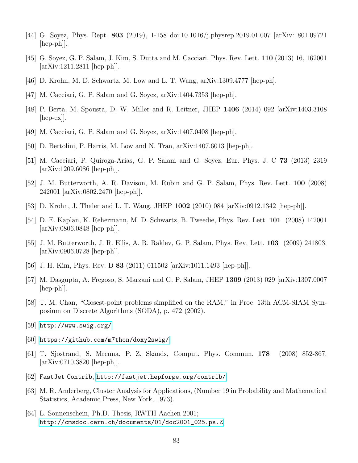- [44] G. Soyez, Phys. Rept. 803 (2019), 1-158 doi:10.1016/j.physrep.2019.01.007 [arXiv:1801.09721  $\vert \text{hep-ph} \vert$ .
- [45] G. Soyez, G. P. Salam, J. Kim, S. Dutta and M. Cacciari, Phys. Rev. Lett. 110 (2013) 16, 162001 [arXiv:1211.2811 [hep-ph]].
- [46] D. Krohn, M. D. Schwartz, M. Low and L. T. Wang, arXiv:1309.4777 [hep-ph].
- [47] M. Cacciari, G. P. Salam and G. Soyez, arXiv:1404.7353 [hep-ph].
- [48] P. Berta, M. Spousta, D. W. Miller and R. Leitner, JHEP 1406 (2014) 092 [arXiv:1403.3108 [hep-ex]].
- [49] M. Cacciari, G. P. Salam and G. Soyez, arXiv:1407.0408 [hep-ph].
- [50] D. Bertolini, P. Harris, M. Low and N. Tran, arXiv:1407.6013 [hep-ph].
- [51] M. Cacciari, P. Quiroga-Arias, G. P. Salam and G. Soyez, Eur. Phys. J. C 73 (2013) 2319 [arXiv:1209.6086 [hep-ph]].
- [52] J. M. Butterworth, A. R. Davison, M. Rubin and G. P. Salam, Phys. Rev. Lett. 100 (2008) 242001 [arXiv:0802.2470 [hep-ph]].
- [53] D. Krohn, J. Thaler and L. T. Wang, JHEP 1002 (2010) 084 [arXiv:0912.1342 [hep-ph]].
- [54] D. E. Kaplan, K. Rehermann, M. D. Schwartz, B. Tweedie, Phys. Rev. Lett. 101 (2008) 142001 [arXiv:0806.0848 [hep-ph]].
- [55] J. M. Butterworth, J. R. Ellis, A. R. Raklev, G. P. Salam, Phys. Rev. Lett. 103 (2009) 241803. [arXiv:0906.0728 [hep-ph]].
- [56] J. H. Kim, Phys. Rev. D 83 (2011) 011502 [arXiv:1011.1493 [hep-ph]].
- [57] M. Dasgupta, A. Fregoso, S. Marzani and G. P. Salam, JHEP 1309 (2013) 029 [arXiv:1307.0007 [hep-ph]].
- [58] T. M. Chan, "Closest-point problems simplified on the RAM," in Proc. 13th ACM-SIAM Symposium on Discrete Algorithms (SODA), p. 472 (2002).
- [59] <http://www.swig.org/>
- [60] <https://github.com/m7thon/doxy2swig/>
- [61] T. Sjostrand, S. Mrenna, P. Z. Skands, Comput. Phys. Commun. 178 (2008) 852-867. [arXiv:0710.3820 [hep-ph]].
- [62] FastJet Contrib, <http://fastjet.hepforge.org/contrib/>.
- [63] M. R. Anderberg, Cluster Analysis for Applications, (Number 19 in Probability and Mathematical Statistics, Academic Press, New York, 1973).
- [64] L. Sonnenschein, Ph.D. Thesis, RWTH Aachen 2001; [http://cmsdoc.cern.ch/documents/01/doc2001\\_025.ps.Z](http://cmsdoc.cern.ch/documents/01/doc2001_025.ps.Z)